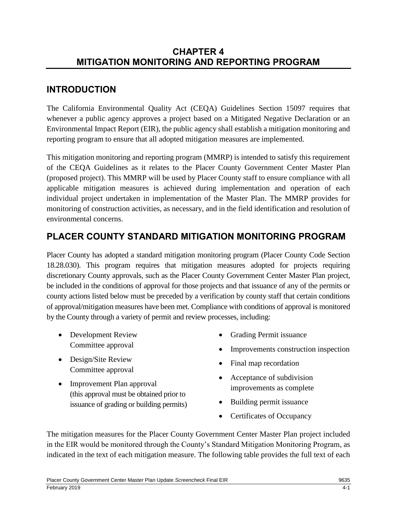## **CHAPTER 4 MITIGATION MONITORING AND REPORTING PROGRAM**

# **INTRODUCTION**

The California Environmental Quality Act (CEQA) Guidelines Section 15097 requires that whenever a public agency approves a project based on a Mitigated Negative Declaration or an Environmental Impact Report (EIR), the public agency shall establish a mitigation monitoring and reporting program to ensure that all adopted mitigation measures are implemented.

This mitigation monitoring and reporting program (MMRP) is intended to satisfy this requirement of the CEQA Guidelines as it relates to the Placer County Government Center Master Plan (proposed project). This MMRP will be used by Placer County staff to ensure compliance with all applicable mitigation measures is achieved during implementation and operation of each individual project undertaken in implementation of the Master Plan. The MMRP provides for monitoring of construction activities, as necessary, and in the field identification and resolution of environmental concerns.

# **PLACER COUNTY STANDARD MITIGATION MONITORING PROGRAM**

Placer County has adopted a standard mitigation monitoring program (Placer County Code Section 18.28.030). This program requires that mitigation measures adopted for projects requiring discretionary County approvals, such as the Placer County Government Center Master Plan project, be included in the conditions of approval for those projects and that issuance of any of the permits or county actions listed below must be preceded by a verification by county staff that certain conditions of approval/mitigation measures have been met. Compliance with conditions of approval is monitored by the County through a variety of permit and review processes, including:

- Development Review Committee approval
- Design/Site Review Committee approval
- Improvement Plan approval (this approval must be obtained prior to issuance of grading or building permits)
- Grading Permit issuance
- Improvements construction inspection
- Final map recordation
- Acceptance of subdivision improvements as complete
- Building permit issuance
- Certificates of Occupancy

The mitigation measures for the Placer County Government Center Master Plan project included in the EIR would be monitored through the County's Standard Mitigation Monitoring Program, as indicated in the text of each mitigation measure. The following table provides the full text of each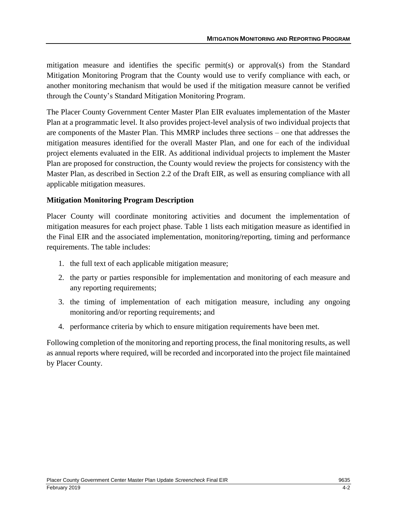mitigation measure and identifies the specific permit(s) or approval(s) from the Standard Mitigation Monitoring Program that the County would use to verify compliance with each, or another monitoring mechanism that would be used if the mitigation measure cannot be verified through the County's Standard Mitigation Monitoring Program.

The Placer County Government Center Master Plan EIR evaluates implementation of the Master Plan at a programmatic level. It also provides project-level analysis of two individual projects that are components of the Master Plan. This MMRP includes three sections – one that addresses the mitigation measures identified for the overall Master Plan, and one for each of the individual project elements evaluated in the EIR. As additional individual projects to implement the Master Plan are proposed for construction, the County would review the projects for consistency with the Master Plan, as described in Section 2.2 of the Draft EIR, as well as ensuring compliance with all applicable mitigation measures.

#### **Mitigation Monitoring Program Description**

Placer County will coordinate monitoring activities and document the implementation of mitigation measures for each project phase. Table 1 lists each mitigation measure as identified in the Final EIR and the associated implementation, monitoring/reporting, timing and performance requirements. The table includes:

- 1. the full text of each applicable mitigation measure;
- 2. the party or parties responsible for implementation and monitoring of each measure and any reporting requirements;
- 3. the timing of implementation of each mitigation measure, including any ongoing monitoring and/or reporting requirements; and
- 4. performance criteria by which to ensure mitigation requirements have been met.

Following completion of the monitoring and reporting process, the final monitoring results, as well as annual reports where required, will be recorded and incorporated into the project file maintained by Placer County.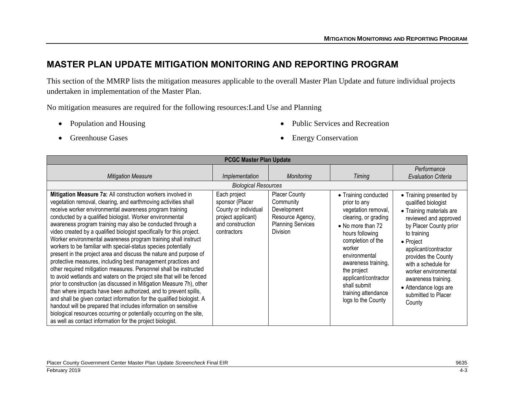### **MASTER PLAN UPDATE MITIGATION MONITORING AND REPORTING PROGRAM**

This section of the MMRP lists the mitigation measures applicable to the overall Master Plan Update and future individual projects undertaken in implementation of the Master Plan.

No mitigation measures are required for the following resources:Land Use and Planning

• Population and Housing

• Public Services and Recreation

• Greenhouse Gases

• Energy Conservation

| <b>PCGC Master Plan Update</b>                                                                                                                                                                                                                                                                                                                                                                                                                                                                                                                                                                                                                                                                                                                                                                                                                                                                                                                                                                                                                                                                                                                                                                                                                |                                                                                                                  |                                                                                                                     |                                                                                                                                                                                                                                                                                                        |                                                                                                                                                                                                                                                                                                                                          |  |
|-----------------------------------------------------------------------------------------------------------------------------------------------------------------------------------------------------------------------------------------------------------------------------------------------------------------------------------------------------------------------------------------------------------------------------------------------------------------------------------------------------------------------------------------------------------------------------------------------------------------------------------------------------------------------------------------------------------------------------------------------------------------------------------------------------------------------------------------------------------------------------------------------------------------------------------------------------------------------------------------------------------------------------------------------------------------------------------------------------------------------------------------------------------------------------------------------------------------------------------------------|------------------------------------------------------------------------------------------------------------------|---------------------------------------------------------------------------------------------------------------------|--------------------------------------------------------------------------------------------------------------------------------------------------------------------------------------------------------------------------------------------------------------------------------------------------------|------------------------------------------------------------------------------------------------------------------------------------------------------------------------------------------------------------------------------------------------------------------------------------------------------------------------------------------|--|
| <b>Mitigation Measure</b>                                                                                                                                                                                                                                                                                                                                                                                                                                                                                                                                                                                                                                                                                                                                                                                                                                                                                                                                                                                                                                                                                                                                                                                                                     | Implementation                                                                                                   | <b>Monitoring</b>                                                                                                   | Timing                                                                                                                                                                                                                                                                                                 | Performance<br><b>Evaluation Criteria</b>                                                                                                                                                                                                                                                                                                |  |
|                                                                                                                                                                                                                                                                                                                                                                                                                                                                                                                                                                                                                                                                                                                                                                                                                                                                                                                                                                                                                                                                                                                                                                                                                                               | <b>Biological Resources</b>                                                                                      |                                                                                                                     |                                                                                                                                                                                                                                                                                                        |                                                                                                                                                                                                                                                                                                                                          |  |
| Mitigation Measure 7a: All construction workers involved in<br>vegetation removal, clearing, and earthmoving activities shall<br>receive worker environmental awareness program training<br>conducted by a qualified biologist. Worker environmental<br>awareness program training may also be conducted through a<br>video created by a qualified biologist specifically for this project.<br>Worker environmental awareness program training shall instruct<br>workers to be familiar with special-status species potentially<br>present in the project area and discuss the nature and purpose of<br>protective measures, including best management practices and<br>other required mitigation measures. Personnel shall be instructed<br>to avoid wetlands and waters on the project site that will be fenced<br>prior to construction (as discussed in Mitigation Measure 7h), other<br>than where impacts have been authorized, and to prevent spills,<br>and shall be given contact information for the qualified biologist. A<br>handout will be prepared that includes information on sensitive<br>biological resources occurring or potentially occurring on the site,<br>as well as contact information for the project biologist. | Each project<br>sponsor (Placer<br>County or individual<br>project applicant)<br>and construction<br>contractors | <b>Placer County</b><br>Community<br>Development<br>Resource Agency,<br><b>Planning Services</b><br><b>Division</b> | • Training conducted<br>prior to any<br>vegetation removal,<br>clearing, or grading<br>• No more than 72<br>hours following<br>completion of the<br>worker<br>environmental<br>awareness training,<br>the project<br>applicant/contractor<br>shall submit<br>training attendance<br>logs to the County | • Training presented by<br>qualified biologist<br>• Training materials are<br>reviewed and approved<br>by Placer County prior<br>to training<br>• Project<br>applicant/contractor<br>provides the County<br>with a schedule for<br>worker environmental<br>awareness training.<br>• Attendance logs are<br>submitted to Placer<br>County |  |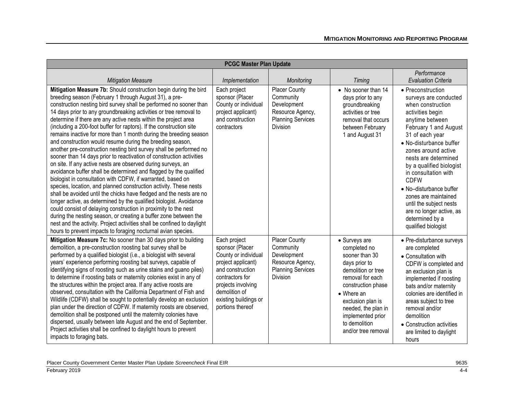|                                                                                                                                                                                                                                                                                                                                                                                                                                                                                                                                                                                                                                                                                                                                                                                                                                                                                                                                                                                                                                                                                                                                                                                                                                                                                                                                                                                                          | <b>PCGC Master Plan Update</b>                                                                                                                                                                           |                                                                                                                     |                                                                                                                                                                                                                                                                 |                                                                                                                                                                                                                                                                                                                                                                                                                                                     |
|----------------------------------------------------------------------------------------------------------------------------------------------------------------------------------------------------------------------------------------------------------------------------------------------------------------------------------------------------------------------------------------------------------------------------------------------------------------------------------------------------------------------------------------------------------------------------------------------------------------------------------------------------------------------------------------------------------------------------------------------------------------------------------------------------------------------------------------------------------------------------------------------------------------------------------------------------------------------------------------------------------------------------------------------------------------------------------------------------------------------------------------------------------------------------------------------------------------------------------------------------------------------------------------------------------------------------------------------------------------------------------------------------------|----------------------------------------------------------------------------------------------------------------------------------------------------------------------------------------------------------|---------------------------------------------------------------------------------------------------------------------|-----------------------------------------------------------------------------------------------------------------------------------------------------------------------------------------------------------------------------------------------------------------|-----------------------------------------------------------------------------------------------------------------------------------------------------------------------------------------------------------------------------------------------------------------------------------------------------------------------------------------------------------------------------------------------------------------------------------------------------|
| <b>Mitigation Measure</b>                                                                                                                                                                                                                                                                                                                                                                                                                                                                                                                                                                                                                                                                                                                                                                                                                                                                                                                                                                                                                                                                                                                                                                                                                                                                                                                                                                                | Implementation                                                                                                                                                                                           | Monitoring                                                                                                          | Timing                                                                                                                                                                                                                                                          | Performance<br><b>Evaluation Criteria</b>                                                                                                                                                                                                                                                                                                                                                                                                           |
| Mitigation Measure 7b: Should construction begin during the bird<br>breeding season (February 1 through August 31), a pre-<br>construction nesting bird survey shall be performed no sooner than<br>14 days prior to any groundbreaking activities or tree removal to<br>determine if there are any active nests within the project area<br>(including a 200-foot buffer for raptors). If the construction site<br>remains inactive for more than 1 month during the breeding season<br>and construction would resume during the breeding season,<br>another pre-construction nesting bird survey shall be performed no<br>sooner than 14 days prior to reactivation of construction activities<br>on site. If any active nests are observed during surveys, an<br>avoidance buffer shall be determined and flagged by the qualified<br>biologist in consultation with CDFW, if warranted, based on<br>species, location, and planned construction activity. These nests<br>shall be avoided until the chicks have fledged and the nests are no<br>longer active, as determined by the qualified biologist. Avoidance<br>could consist of delaying construction in proximity to the nest<br>during the nesting season, or creating a buffer zone between the<br>nest and the activity. Project activities shall be confined to daylight<br>hours to prevent impacts to foraging nocturnal avian species. | Each project<br>sponsor (Placer<br>County or individual<br>project applicant)<br>and construction<br>contractors                                                                                         | <b>Placer County</b><br>Community<br>Development<br>Resource Agency,<br><b>Planning Services</b><br><b>Division</b> | • No sooner than 14<br>days prior to any<br>groundbreaking<br>activities or tree<br>removal that occurs<br>between February<br>1 and August 31                                                                                                                  | • Preconstruction<br>surveys are conducted<br>when construction<br>activities begin<br>anytime between<br>February 1 and August<br>31 of each year<br>• No-disturbance buffer<br>zones around active<br>nests are determined<br>by a qualified biologist<br>in consultation with<br><b>CDFW</b><br>• No-disturbance buffer<br>zones are maintained<br>until the subject nests<br>are no longer active, as<br>determined by a<br>qualified biologist |
| Mitigation Measure 7c: No sooner than 30 days prior to building<br>demolition, a pre-construction roosting bat survey shall be<br>performed by a qualified biologist (i.e., a biologist with several<br>years' experience performing roosting bat surveys, capable of<br>identifying signs of roosting such as urine stains and guano piles)<br>to determine if roosting bats or maternity colonies exist in any of<br>the structures within the project area. If any active roosts are<br>observed, consultation with the California Department of Fish and<br>Wildlife (CDFW) shall be sought to potentially develop an exclusion<br>plan under the direction of CDFW. If maternity roosts are observed,<br>demolition shall be postponed until the maternity colonies have<br>dispersed, usually between late August and the end of September.<br>Project activities shall be confined to daylight hours to prevent<br>impacts to foraging bats.                                                                                                                                                                                                                                                                                                                                                                                                                                                      | Each project<br>sponsor (Placer<br>County or individual<br>project applicant)<br>and construction<br>contractors for<br>projects involving<br>demolition of<br>existing buildings or<br>portions thereof | Placer County<br>Community<br>Development<br>Resource Agency,<br><b>Planning Services</b><br><b>Division</b>        | • Surveys are<br>completed no<br>sooner than 30<br>days prior to<br>demolition or tree<br>removal for each<br>construction phase<br>$\bullet$ Where an<br>exclusion plan is<br>needed, the plan in<br>implemented prior<br>to demolition<br>and/or tree removal | • Pre-disturbance surveys<br>are completed<br>• Consultation with<br>CDFW is completed and<br>an exclusion plan is<br>implemented if roosting<br>bats and/or maternity<br>colonies are identified in<br>areas subject to tree<br>removal and/or<br>demolition<br>• Construction activities<br>are limited to daylight<br>hours                                                                                                                      |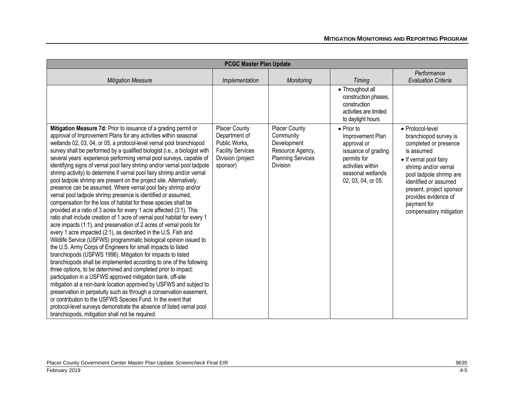| <b>PCGC Master Plan Update</b>                                                                                                                                                                                                                                                                                                                                                                                                                                                                                                                                                                                                                                                                                                                                                                                                                                                                                                                                                                                                                                                                                                                                                                                                                                                                                                                                                                                                                                                                                                                                                                                                                                                                                                                                                                                                                           |                                                                                                                     |                                                                                                              |                                                                                                                                                             |                                                                                                                                                                                                                                                                                      |
|----------------------------------------------------------------------------------------------------------------------------------------------------------------------------------------------------------------------------------------------------------------------------------------------------------------------------------------------------------------------------------------------------------------------------------------------------------------------------------------------------------------------------------------------------------------------------------------------------------------------------------------------------------------------------------------------------------------------------------------------------------------------------------------------------------------------------------------------------------------------------------------------------------------------------------------------------------------------------------------------------------------------------------------------------------------------------------------------------------------------------------------------------------------------------------------------------------------------------------------------------------------------------------------------------------------------------------------------------------------------------------------------------------------------------------------------------------------------------------------------------------------------------------------------------------------------------------------------------------------------------------------------------------------------------------------------------------------------------------------------------------------------------------------------------------------------------------------------------------|---------------------------------------------------------------------------------------------------------------------|--------------------------------------------------------------------------------------------------------------|-------------------------------------------------------------------------------------------------------------------------------------------------------------|--------------------------------------------------------------------------------------------------------------------------------------------------------------------------------------------------------------------------------------------------------------------------------------|
| <b>Mitigation Measure</b>                                                                                                                                                                                                                                                                                                                                                                                                                                                                                                                                                                                                                                                                                                                                                                                                                                                                                                                                                                                                                                                                                                                                                                                                                                                                                                                                                                                                                                                                                                                                                                                                                                                                                                                                                                                                                                | Implementation                                                                                                      | <b>Monitoring</b>                                                                                            | <b>Timing</b>                                                                                                                                               | Performance<br><b>Evaluation Criteria</b>                                                                                                                                                                                                                                            |
|                                                                                                                                                                                                                                                                                                                                                                                                                                                                                                                                                                                                                                                                                                                                                                                                                                                                                                                                                                                                                                                                                                                                                                                                                                                                                                                                                                                                                                                                                                                                                                                                                                                                                                                                                                                                                                                          |                                                                                                                     |                                                                                                              | • Throughout all<br>construction phases,<br>construction<br>activities are limited<br>to daylight hours                                                     |                                                                                                                                                                                                                                                                                      |
| Mitigation Measure 7d: Prior to issuance of a grading permit or<br>approval of Improvement Plans for any activities within seasonal<br>wetlands 02, 03, 04, or 05, a protocol-level vernal pool branchiopod<br>survey shall be performed by a qualified biologist (i.e., a biologist with<br>several years' experience performing vernal pool surveys, capable of<br>identifying signs of vernal pool fairy shrimp and/or vernal pool tadpole<br>shrimp activity) to determine if vernal pool fairy shrimp and/or vernal<br>pool tadpole shrimp are present on the project site. Alternatively,<br>presence can be assumed. Where vernal pool fairy shrimp and/or<br>vernal pool tadpole shrimp presence is identified or assumed,<br>compensation for the loss of habitat for these species shall be<br>provided at a ratio of 3 acres for every 1 acre affected (3:1). This<br>ratio shall include creation of 1 acre of vernal pool habitat for every 1<br>acre impacts (1:1), and preservation of 2 acres of vernal pools for<br>every 1 acre impacted (2:1), as described in the U.S. Fish and<br>Wildlife Service (USFWS) programmatic biological opinion issued to<br>the U.S. Army Corps of Engineers for small impacts to listed<br>branchiopods (USFWS 1996). Mitigation for impacts to listed<br>branchiopods shall be implemented according to one of the following<br>three options, to be determined and completed prior to impact:<br>participation in a USFWS approved mitigation bank, off-site<br>mitigation at a non-bank location approved by USFWS and subject to<br>preservation in perpetuity such as through a conservation easement,<br>or contribution to the USFWS Species Fund. In the event that<br>protocol-level surveys demonstrate the absence of listed vernal pool<br>branchiopods, mitigation shall not be required. | <b>Placer County</b><br>Department of<br>Public Works,<br><b>Facility Services</b><br>Division (project<br>sponsor) | <b>Placer County</b><br>Community<br>Development<br>Resource Agency,<br><b>Planning Services</b><br>Division | $\bullet$ Prior to<br>Improvement Plan<br>approval or<br>issuance of grading<br>permits for<br>activities within<br>seasonal wetlands<br>02, 03, 04, or 05. | • Protocol-level<br>branchiopod survey is<br>completed or presence<br>is assumed<br>• If vernal pool fairy<br>shrimp and/or vernal<br>pool tadpole shrimp are<br>identified or assumed<br>present, project sponsor<br>provides evidence of<br>payment for<br>compensatory mitigation |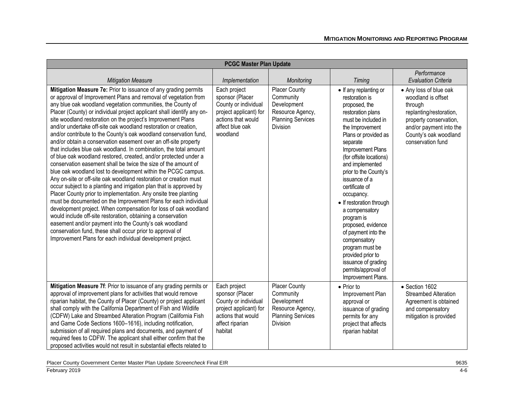| <b>PCGC Master Plan Update</b>                                                                                                                                                                                                                                                                                                                                                                                                                                                                                                                                                                                                                                                                                                                                                                                                                                                                                                                                                                                                                                                                                                                                                                                                                                                                                                                                                                                                               |                                                                                                                                        |                                                                                                                     |                                                                                                                                                                                                                                                                                                                                                                                                                                                                                                                                                |                                                                                                                                                                                       |
|----------------------------------------------------------------------------------------------------------------------------------------------------------------------------------------------------------------------------------------------------------------------------------------------------------------------------------------------------------------------------------------------------------------------------------------------------------------------------------------------------------------------------------------------------------------------------------------------------------------------------------------------------------------------------------------------------------------------------------------------------------------------------------------------------------------------------------------------------------------------------------------------------------------------------------------------------------------------------------------------------------------------------------------------------------------------------------------------------------------------------------------------------------------------------------------------------------------------------------------------------------------------------------------------------------------------------------------------------------------------------------------------------------------------------------------------|----------------------------------------------------------------------------------------------------------------------------------------|---------------------------------------------------------------------------------------------------------------------|------------------------------------------------------------------------------------------------------------------------------------------------------------------------------------------------------------------------------------------------------------------------------------------------------------------------------------------------------------------------------------------------------------------------------------------------------------------------------------------------------------------------------------------------|---------------------------------------------------------------------------------------------------------------------------------------------------------------------------------------|
| <b>Mitigation Measure</b>                                                                                                                                                                                                                                                                                                                                                                                                                                                                                                                                                                                                                                                                                                                                                                                                                                                                                                                                                                                                                                                                                                                                                                                                                                                                                                                                                                                                                    | Implementation                                                                                                                         | Monitoring                                                                                                          | Timing                                                                                                                                                                                                                                                                                                                                                                                                                                                                                                                                         | Performance<br><b>Evaluation Criteria</b>                                                                                                                                             |
| Mitigation Measure 7e: Prior to issuance of any grading permits<br>or approval of Improvement Plans and removal of vegetation from<br>any blue oak woodland vegetation communities, the County of<br>Placer (County) or individual project applicant shall identify any on-<br>site woodland restoration on the project's Improvement Plans<br>and/or undertake off-site oak woodland restoration or creation,<br>and/or contribute to the County's oak woodland conservation fund,<br>and/or obtain a conservation easement over an off-site property<br>that includes blue oak woodland. In combination, the total amount<br>of blue oak woodland restored, created, and/or protected under a<br>conservation easement shall be twice the size of the amount of<br>blue oak woodland lost to development within the PCGC campus.<br>Any on-site or off-site oak woodland restoration or creation must<br>occur subject to a planting and irrigation plan that is approved by<br>Placer County prior to implementation. Any onsite tree planting<br>must be documented on the Improvement Plans for each individual<br>development project. When compensation for loss of oak woodland<br>would include off-site restoration, obtaining a conservation<br>easement and/or payment into the County's oak woodland<br>conservation fund, these shall occur prior to approval of<br>Improvement Plans for each individual development project. | Each project<br>sponsor (Placer<br>County or individual<br>project applicant) for<br>actions that would<br>affect blue oak<br>woodland | Placer County<br>Community<br>Development<br>Resource Agency,<br><b>Planning Services</b><br>Division               | • If any replanting or<br>restoration is<br>proposed, the<br>restoration plans<br>must be included in<br>the Improvement<br>Plans or provided as<br>separate<br>Improvement Plans<br>(for offsite locations)<br>and implemented<br>prior to the County's<br>issuance of a<br>certificate of<br>occupancy.<br>• If restoration through<br>a compensatory<br>program is<br>proposed, evidence<br>of payment into the<br>compensatory<br>program must be<br>provided prior to<br>issuance of grading<br>permits/approval of<br>Improvement Plans. | • Any loss of blue oak<br>woodland is offset<br>through<br>replanting/restoration,<br>property conservation,<br>and/or payment into the<br>County's oak woodland<br>conservation fund |
| Mitigation Measure 7f: Prior to issuance of any grading permits or<br>approval of improvement plans for activities that would remove<br>riparian habitat, the County of Placer (County) or project applicant<br>shall comply with the California Department of Fish and Wildlife<br>(CDFW) Lake and Streambed Alteration Program (California Fish<br>and Game Code Sections 1600-1616), including notification,<br>submission of all required plans and documents, and payment of<br>required fees to CDFW. The applicant shall either confirm that the<br>proposed activities would not result in substantial effects related to                                                                                                                                                                                                                                                                                                                                                                                                                                                                                                                                                                                                                                                                                                                                                                                                            | Each project<br>sponsor (Placer<br>County or individual<br>project applicant) for<br>actions that would<br>affect riparian<br>habitat  | <b>Placer County</b><br>Community<br>Development<br>Resource Agency,<br><b>Planning Services</b><br><b>Division</b> | • Prior to<br>Improvement Plan<br>approval or<br>issuance of grading<br>permits for any<br>project that affects<br>riparian habitat                                                                                                                                                                                                                                                                                                                                                                                                            | • Section 1602<br><b>Streambed Alteration</b><br>Agreement is obtained<br>and compensatory<br>mitigation is provided                                                                  |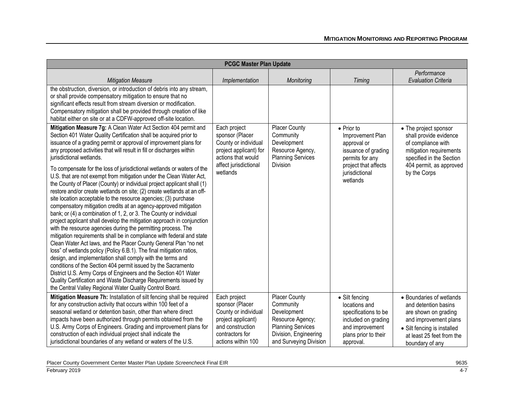| <b>PCGC Master Plan Update</b>                                                                                                                                                                                                                                                                                                                                                                                                                                                                                                                                                                                                                                                                                                                                                                                                                                                                                                                                                                                                                                                                                                                                                                                                                                                                                                                                                                                                                                                                                                        |                                                                                                                                              |                                                                                                                                              |                                                                                                                                                       |                                                                                                                                                                                  |
|---------------------------------------------------------------------------------------------------------------------------------------------------------------------------------------------------------------------------------------------------------------------------------------------------------------------------------------------------------------------------------------------------------------------------------------------------------------------------------------------------------------------------------------------------------------------------------------------------------------------------------------------------------------------------------------------------------------------------------------------------------------------------------------------------------------------------------------------------------------------------------------------------------------------------------------------------------------------------------------------------------------------------------------------------------------------------------------------------------------------------------------------------------------------------------------------------------------------------------------------------------------------------------------------------------------------------------------------------------------------------------------------------------------------------------------------------------------------------------------------------------------------------------------|----------------------------------------------------------------------------------------------------------------------------------------------|----------------------------------------------------------------------------------------------------------------------------------------------|-------------------------------------------------------------------------------------------------------------------------------------------------------|----------------------------------------------------------------------------------------------------------------------------------------------------------------------------------|
| <b>Mitigation Measure</b>                                                                                                                                                                                                                                                                                                                                                                                                                                                                                                                                                                                                                                                                                                                                                                                                                                                                                                                                                                                                                                                                                                                                                                                                                                                                                                                                                                                                                                                                                                             | Implementation                                                                                                                               | Monitoring                                                                                                                                   | Timing                                                                                                                                                | Performance<br><b>Evaluation Criteria</b>                                                                                                                                        |
| the obstruction, diversion, or introduction of debris into any stream,<br>or shall provide compensatory mitigation to ensure that no<br>significant effects result from stream diversion or modification.<br>Compensatory mitigation shall be provided through creation of like<br>habitat either on site or at a CDFW-approved off-site location.                                                                                                                                                                                                                                                                                                                                                                                                                                                                                                                                                                                                                                                                                                                                                                                                                                                                                                                                                                                                                                                                                                                                                                                    |                                                                                                                                              |                                                                                                                                              |                                                                                                                                                       |                                                                                                                                                                                  |
| Mitigation Measure 7g: A Clean Water Act Section 404 permit and<br>Section 401 Water Quality Certification shall be acquired prior to<br>issuance of a grading permit or approval of improvement plans for<br>any proposed activities that will result in fill or discharges within<br>jurisdictional wetlands.<br>To compensate for the loss of jurisdictional wetlands or waters of the<br>U.S. that are not exempt from mitigation under the Clean Water Act,<br>the County of Placer (County) or individual project applicant shall (1)<br>restore and/or create wetlands on site; (2) create wetlands at an off-<br>site location acceptable to the resource agencies; (3) purchase<br>compensatory mitigation credits at an agency-approved mitigation<br>bank; or (4) a combination of 1, 2, or 3. The County or individual<br>project applicant shall develop the mitigation approach in conjunction<br>with the resource agencies during the permitting process. The<br>mitigation requirements shall be in compliance with federal and state<br>Clean Water Act laws, and the Placer County General Plan "no net<br>loss" of wetlands policy (Policy 6.B.1). The final mitigation ratios,<br>design, and implementation shall comply with the terms and<br>conditions of the Section 404 permit issued by the Sacramento<br>District U.S. Army Corps of Engineers and the Section 401 Water<br>Quality Certification and Waste Discharge Requirements issued by<br>the Central Valley Regional Water Quality Control Board. | Each project<br>sponsor (Placer<br>County or individual<br>project applicant) for<br>actions that would<br>affect jurisdictional<br>wetlands | Placer County<br>Community<br>Development<br>Resource Agency,<br><b>Planning Services</b><br><b>Division</b>                                 | $\bullet$ Prior to<br>Improvement Plan<br>approval or<br>issuance of grading<br>permits for any<br>project that affects<br>jurisdictional<br>wetlands | • The project sponsor<br>shall provide evidence<br>of compliance with<br>mitigation requirements<br>specified in the Section<br>404 permit, as approved<br>by the Corps          |
| Mitigation Measure 7h: Installation of silt fencing shall be required<br>for any construction activity that occurs within 100 feet of a<br>seasonal wetland or detention basin, other than where direct<br>impacts have been authorized through permits obtained from the<br>U.S. Army Corps of Engineers. Grading and improvement plans for<br>construction of each individual project shall indicate the<br>jurisdictional boundaries of any wetland or waters of the U.S.                                                                                                                                                                                                                                                                                                                                                                                                                                                                                                                                                                                                                                                                                                                                                                                                                                                                                                                                                                                                                                                          | Each project<br>sponsor (Placer<br>County or individual<br>project applicant)<br>and construction<br>contractors for<br>actions within 100   | Placer County<br>Community<br>Development<br>Resource Agency;<br><b>Planning Services</b><br>Division, Engineering<br>and Surveying Division | • Silt fencing<br>locations and<br>specifications to be<br>included on grading<br>and improvement<br>plans prior to their<br>approval.                | • Boundaries of wetlands<br>and detention basins<br>are shown on grading<br>and improvement plans<br>• Silt fencing is installed<br>at least 25 feet from the<br>boundary of any |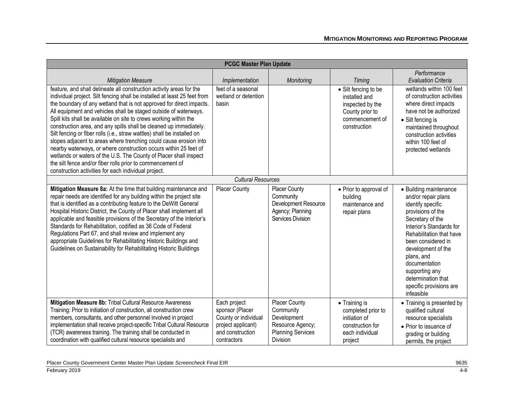|                                                                                                                                                                                                                                                                                                                                                                                                                                                                                                                                                                                                                                                                                                                                                                                                                                                         | <b>PCGC Master Plan Update</b>                                                                                   |                                                                                                              |                                                                                                                 |                                                                                                                                                                                                                                                                                                                                 |
|---------------------------------------------------------------------------------------------------------------------------------------------------------------------------------------------------------------------------------------------------------------------------------------------------------------------------------------------------------------------------------------------------------------------------------------------------------------------------------------------------------------------------------------------------------------------------------------------------------------------------------------------------------------------------------------------------------------------------------------------------------------------------------------------------------------------------------------------------------|------------------------------------------------------------------------------------------------------------------|--------------------------------------------------------------------------------------------------------------|-----------------------------------------------------------------------------------------------------------------|---------------------------------------------------------------------------------------------------------------------------------------------------------------------------------------------------------------------------------------------------------------------------------------------------------------------------------|
| <b>Mitigation Measure</b>                                                                                                                                                                                                                                                                                                                                                                                                                                                                                                                                                                                                                                                                                                                                                                                                                               | Implementation                                                                                                   | Monitoring                                                                                                   | Timing                                                                                                          | Performance<br><b>Evaluation Criteria</b>                                                                                                                                                                                                                                                                                       |
| feature, and shall delineate all construction activity areas for the<br>individual project. Silt fencing shall be installed at least 25 feet from<br>the boundary of any wetland that is not approved for direct impacts.<br>All equipment and vehicles shall be staged outside of waterways.<br>Spill kits shall be available on site to crews working within the<br>construction area, and any spills shall be cleaned up immediately.<br>Silt fencing or fiber rolls (i.e., straw wattles) shall be installed on<br>slopes adjacent to areas where trenching could cause erosion into<br>nearby waterways, or where construction occurs within 25 feet of<br>wetlands or waters of the U.S. The County of Placer shall inspect<br>the silt fence and/or fiber rolls prior to commencement of<br>construction activities for each individual project. | feet of a seasonal<br>wetland or detention<br>basin                                                              |                                                                                                              | • Silt fencing to be<br>installed and<br>inspected by the<br>County prior to<br>commencement of<br>construction | wetlands within 100 feet<br>of construction activities<br>where direct impacts<br>have not be authorized<br>• Silt fencing is<br>maintained throughout<br>construction activities<br>within 100 feet of<br>protected wetlands                                                                                                   |
|                                                                                                                                                                                                                                                                                                                                                                                                                                                                                                                                                                                                                                                                                                                                                                                                                                                         | <b>Cultural Resources</b>                                                                                        |                                                                                                              |                                                                                                                 |                                                                                                                                                                                                                                                                                                                                 |
| Mitigation Measure 8a: At the time that building maintenance and<br>repair needs are identified for any building within the project site<br>that is identified as a contributing feature to the DeWitt General<br>Hospital Historic District, the County of Placer shall implement all<br>applicable and feasible provisions of the Secretary of the Interior's<br>Standards for Rehabilitation, codified as 36 Code of Federal<br>Regulations Part 67, and shall review and implement any<br>appropriate Guidelines for Rehabilitating Historic Buildings and<br>Guidelines on Sustainability for Rehabilitating Historic Buildings                                                                                                                                                                                                                    | <b>Placer County</b>                                                                                             | <b>Placer County</b><br>Community<br>Development Resource<br>Agency; Planning<br>Services Division           | • Prior to approval of<br>building<br>maintenance and<br>repair plans                                           | • Building maintenance<br>and/or repair plans<br>identify specific<br>provisions of the<br>Secretary of the<br>Interior's Standards for<br>Rehabilitation that have<br>been considered in<br>development of the<br>plans, and<br>documentation<br>supporting any<br>determination that<br>specific provisions are<br>infeasible |
| Mitigation Measure 8b: Tribal Cultural Resource Awareness<br>Training: Prior to initiation of construction, all construction crew<br>members, consultants, and other personnel involved in project<br>implementation shall receive project-specific Tribal Cultural Resource<br>(TCR) awareness training. The training shall be conducted in<br>coordination with qualified cultural resource specialists and                                                                                                                                                                                                                                                                                                                                                                                                                                           | Each project<br>sponsor (Placer<br>County or individual<br>project applicant)<br>and construction<br>contractors | <b>Placer County</b><br>Community<br>Development<br>Resource Agency;<br><b>Planning Services</b><br>Division | • Training is<br>completed prior to<br>initiation of<br>construction for<br>each individual<br>project          | • Training is presented by<br>qualified cultural<br>resource specialists<br>• Prior to issuance of<br>grading or building<br>permits, the project                                                                                                                                                                               |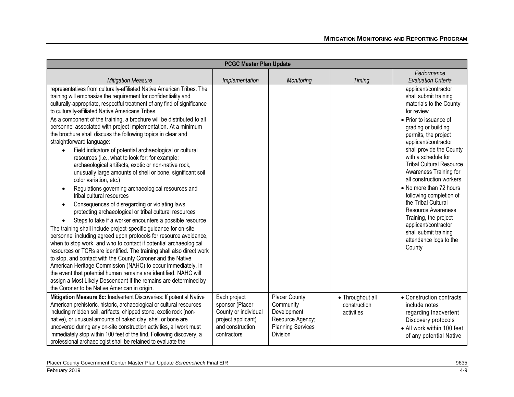| <b>PCGC Master Plan Update</b>                                                                                                                                                                                                                                                                                                                                                                                                                                                                                                                                                                                                                                                                                                                                                                                                                                                                                                                                                                                                                                                                                                                                                                                                                                                                                                                                                                                                                                                                                                                                                                                                                             |                                                                                                                  |                                                                                                              |                                                |                                                                                                                                                                                                                                                                                                                                                                                                                                                                                                                                                      |
|------------------------------------------------------------------------------------------------------------------------------------------------------------------------------------------------------------------------------------------------------------------------------------------------------------------------------------------------------------------------------------------------------------------------------------------------------------------------------------------------------------------------------------------------------------------------------------------------------------------------------------------------------------------------------------------------------------------------------------------------------------------------------------------------------------------------------------------------------------------------------------------------------------------------------------------------------------------------------------------------------------------------------------------------------------------------------------------------------------------------------------------------------------------------------------------------------------------------------------------------------------------------------------------------------------------------------------------------------------------------------------------------------------------------------------------------------------------------------------------------------------------------------------------------------------------------------------------------------------------------------------------------------------|------------------------------------------------------------------------------------------------------------------|--------------------------------------------------------------------------------------------------------------|------------------------------------------------|------------------------------------------------------------------------------------------------------------------------------------------------------------------------------------------------------------------------------------------------------------------------------------------------------------------------------------------------------------------------------------------------------------------------------------------------------------------------------------------------------------------------------------------------------|
| <b>Mitigation Measure</b>                                                                                                                                                                                                                                                                                                                                                                                                                                                                                                                                                                                                                                                                                                                                                                                                                                                                                                                                                                                                                                                                                                                                                                                                                                                                                                                                                                                                                                                                                                                                                                                                                                  | Implementation                                                                                                   | Monitoring                                                                                                   | Timing                                         | Performance<br><b>Evaluation Criteria</b>                                                                                                                                                                                                                                                                                                                                                                                                                                                                                                            |
| representatives from culturally-affiliated Native American Tribes. The<br>training will emphasize the requirement for confidentiality and<br>culturally-appropriate, respectful treatment of any find of significance<br>to culturally-affiliated Native Americans Tribes.<br>As a component of the training, a brochure will be distributed to all<br>personnel associated with project implementation. At a minimum<br>the brochure shall discuss the following topics in clear and<br>straightforward language:<br>Field indicators of potential archaeological or cultural<br>resources (i.e., what to look for; for example:<br>archaeological artifacts, exotic or non-native rock,<br>unusually large amounts of shell or bone, significant soil<br>color variation, etc.)<br>Regulations governing archaeological resources and<br>tribal cultural resources<br>Consequences of disregarding or violating laws<br>protecting archaeological or tribal cultural resources<br>Steps to take if a worker encounters a possible resource<br>The training shall include project-specific guidance for on-site<br>personnel including agreed upon protocols for resource avoidance,<br>when to stop work, and who to contact if potential archaeological<br>resources or TCRs are identified. The training shall also direct work<br>to stop, and contact with the County Coroner and the Native<br>American Heritage Commission (NAHC) to occur immediately, in<br>the event that potential human remains are identified. NAHC will<br>assign a Most Likely Descendant if the remains are determined by<br>the Coroner to be Native American in origin. |                                                                                                                  |                                                                                                              |                                                | applicant/contractor<br>shall submit training<br>materials to the County<br>for review<br>• Prior to issuance of<br>grading or building<br>permits, the project<br>applicant/contractor<br>shall provide the County<br>with a schedule for<br><b>Tribal Cultural Resource</b><br>Awareness Training for<br>all construction workers<br>• No more than 72 hours<br>following completion of<br>the Tribal Cultural<br>Resource Awareness<br>Training, the project<br>applicant/contractor<br>shall submit training<br>attendance logs to the<br>County |
| Mitigation Measure 8c: Inadvertent Discoveries: If potential Native<br>American prehistoric, historic, archaeological or cultural resources<br>including midden soil, artifacts, chipped stone, exotic rock (non-<br>native), or unusual amounts of baked clay, shell or bone are<br>uncovered during any on-site construction activities, all work must<br>immediately stop within 100 feet of the find. Following discovery, a<br>professional archaeologist shall be retained to evaluate the                                                                                                                                                                                                                                                                                                                                                                                                                                                                                                                                                                                                                                                                                                                                                                                                                                                                                                                                                                                                                                                                                                                                                           | Each project<br>sponsor (Placer<br>County or individual<br>project applicant)<br>and construction<br>contractors | <b>Placer County</b><br>Community<br>Development<br>Resource Agency;<br><b>Planning Services</b><br>Division | • Throughout all<br>construction<br>activities | • Construction contracts<br>include notes<br>regarding Inadvertent<br>Discovery protocols<br>• All work within 100 feet<br>of any potential Native                                                                                                                                                                                                                                                                                                                                                                                                   |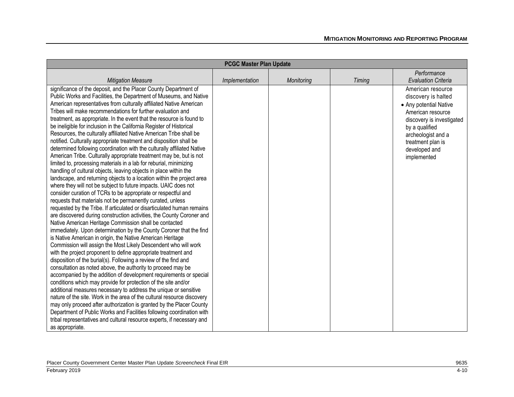| <b>PCGC Master Plan Update</b>                                          |                |            |               |                            |
|-------------------------------------------------------------------------|----------------|------------|---------------|----------------------------|
|                                                                         |                |            |               | Performance                |
| <b>Mitigation Measure</b>                                               | Implementation | Monitoring | <b>Timing</b> | <b>Evaluation Criteria</b> |
| significance of the deposit, and the Placer County Department of        |                |            |               | American resource          |
| Public Works and Facilities, the Department of Museums, and Native      |                |            |               | discovery is halted        |
| American representatives from culturally affiliated Native American     |                |            |               | • Any potential Native     |
| Tribes will make recommendations for further evaluation and             |                |            |               | American resource          |
| treatment, as appropriate. In the event that the resource is found to   |                |            |               | discovery is investigated  |
| be ineligible for inclusion in the California Register of Historical    |                |            |               | by a qualified             |
| Resources, the culturally affiliated Native American Tribe shall be     |                |            |               | archeologist and a         |
| notified. Culturally appropriate treatment and disposition shall be     |                |            |               | treatment plan is          |
| determined following coordination with the culturally affiliated Native |                |            |               | developed and              |
| American Tribe. Culturally appropriate treatment may be, but is not     |                |            |               | implemented                |
| limited to, processing materials in a lab for reburial, minimizing      |                |            |               |                            |
| handling of cultural objects, leaving objects in place within the       |                |            |               |                            |
| landscape, and returning objects to a location within the project area  |                |            |               |                            |
| where they will not be subject to future impacts. UAIC does not         |                |            |               |                            |
| consider curation of TCRs to be appropriate or respectful and           |                |            |               |                            |
| requests that materials not be permanently curated, unless              |                |            |               |                            |
| requested by the Tribe. If articulated or disarticulated human remains  |                |            |               |                            |
| are discovered during construction activities, the County Coroner and   |                |            |               |                            |
| Native American Heritage Commission shall be contacted                  |                |            |               |                            |
| immediately. Upon determination by the County Coroner that the find     |                |            |               |                            |
| is Native American in origin, the Native American Heritage              |                |            |               |                            |
| Commission will assign the Most Likely Descendent who will work         |                |            |               |                            |
| with the project proponent to define appropriate treatment and          |                |            |               |                            |
| disposition of the burial(s). Following a review of the find and        |                |            |               |                            |
| consultation as noted above, the authority to proceed may be            |                |            |               |                            |
| accompanied by the addition of development requirements or special      |                |            |               |                            |
| conditions which may provide for protection of the site and/or          |                |            |               |                            |
| additional measures necessary to address the unique or sensitive        |                |            |               |                            |
| nature of the site. Work in the area of the cultural resource discovery |                |            |               |                            |
| may only proceed after authorization is granted by the Placer County    |                |            |               |                            |
| Department of Public Works and Facilities following coordination with   |                |            |               |                            |
| tribal representatives and cultural resource experts, if necessary and  |                |            |               |                            |
| as appropriate.                                                         |                |            |               |                            |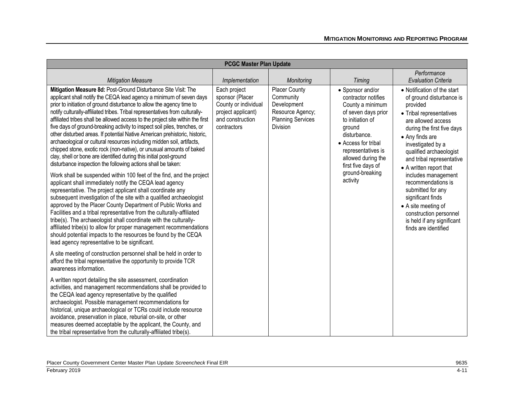| <b>PCGC Master Plan Update</b>                                                                                                                                                                                                                                                                                                                                                                                                                                                                                                                                                                                                                                                                                                                                                                                                      |                                                                                                                  |                                                                                                                     |                                                                                                                                                                                                                           |                                                                                                                                                                                                                                                                                |  |
|-------------------------------------------------------------------------------------------------------------------------------------------------------------------------------------------------------------------------------------------------------------------------------------------------------------------------------------------------------------------------------------------------------------------------------------------------------------------------------------------------------------------------------------------------------------------------------------------------------------------------------------------------------------------------------------------------------------------------------------------------------------------------------------------------------------------------------------|------------------------------------------------------------------------------------------------------------------|---------------------------------------------------------------------------------------------------------------------|---------------------------------------------------------------------------------------------------------------------------------------------------------------------------------------------------------------------------|--------------------------------------------------------------------------------------------------------------------------------------------------------------------------------------------------------------------------------------------------------------------------------|--|
| <b>Mitigation Measure</b>                                                                                                                                                                                                                                                                                                                                                                                                                                                                                                                                                                                                                                                                                                                                                                                                           | Implementation                                                                                                   | Monitoring                                                                                                          | Timing                                                                                                                                                                                                                    | Performance<br><b>Evaluation Criteria</b>                                                                                                                                                                                                                                      |  |
| Mitigation Measure 8d: Post-Ground Disturbance Site Visit: The<br>applicant shall notify the CEQA lead agency a minimum of seven days<br>prior to initiation of ground disturbance to allow the agency time to<br>notify culturally-affiliated tribes. Tribal representatives from culturally-<br>affiliated tribes shall be allowed access to the project site within the first<br>five days of ground-breaking activity to inspect soil piles, trenches, or<br>other disturbed areas. If potential Native American prehistoric, historic,<br>archaeological or cultural resources including midden soil, artifacts,<br>chipped stone, exotic rock (non-native), or unusual amounts of baked<br>clay, shell or bone are identified during this initial post-ground<br>disturbance inspection the following actions shall be taken: | Each project<br>sponsor (Placer<br>County or individual<br>project applicant)<br>and construction<br>contractors | <b>Placer County</b><br>Community<br>Development<br>Resource Agency;<br><b>Planning Services</b><br><b>Division</b> | • Sponsor and/or<br>contractor notifies<br>County a minimum<br>of seven days prior<br>to initiation of<br>ground<br>disturbance.<br>• Access for tribal<br>representatives is<br>allowed during the<br>first five days of | • Notification of the start<br>of ground disturbance is<br>provided<br>• Tribal representatives<br>are allowed access<br>during the first five days<br>• Any finds are<br>investigated by a<br>qualified archaeologist<br>and tribal representative<br>• A written report that |  |
| Work shall be suspended within 100 feet of the find, and the project<br>applicant shall immediately notify the CEQA lead agency<br>representative. The project applicant shall coordinate any<br>subsequent investigation of the site with a qualified archaeologist<br>approved by the Placer County Department of Public Works and<br>Facilities and a tribal representative from the culturally-affiliated<br>tribe(s). The archaeologist shall coordinate with the culturally-<br>affiliated tribe(s) to allow for proper management recommendations<br>should potential impacts to the resources be found by the CEQA<br>lead agency representative to be significant.                                                                                                                                                         |                                                                                                                  |                                                                                                                     | ground-breaking<br>activity                                                                                                                                                                                               | includes management<br>recommendations is<br>submitted for any<br>significant finds<br>• A site meeting of<br>construction personnel<br>is held if any significant<br>finds are identified                                                                                     |  |
| A site meeting of construction personnel shall be held in order to<br>afford the tribal representative the opportunity to provide TCR<br>awareness information.                                                                                                                                                                                                                                                                                                                                                                                                                                                                                                                                                                                                                                                                     |                                                                                                                  |                                                                                                                     |                                                                                                                                                                                                                           |                                                                                                                                                                                                                                                                                |  |
| A written report detailing the site assessment, coordination<br>activities, and management recommendations shall be provided to<br>the CEQA lead agency representative by the qualified<br>archaeologist. Possible management recommendations for<br>historical, unique archaeological or TCRs could include resource<br>avoidance, preservation in place, reburial on-site, or other<br>measures deemed acceptable by the applicant, the County, and<br>the tribal representative from the culturally-affiliated tribe(s).                                                                                                                                                                                                                                                                                                         |                                                                                                                  |                                                                                                                     |                                                                                                                                                                                                                           |                                                                                                                                                                                                                                                                                |  |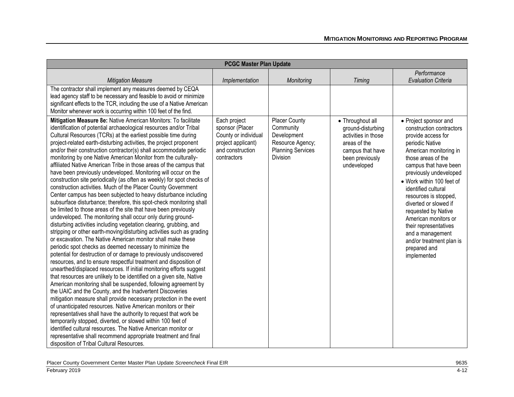| <b>PCGC Master Plan Update</b>                                                                                                                                                                                                                                                                                                                                                                                                                                                                                                                                                                                                                                                                                                                                                                                                                                                                                                                                                                                                                                                                                                                                                                                                                                                                                                                                                                                                                                                                                                                                                                                                                                                                                                                                                                                                                                                                                                                                                                                                                                                                                                                 |                                                                                                                  |                                                                                                       |                                                                                                                                    |                                                                                                                                                                                                                                                                                                                                                                                                                                                            |
|------------------------------------------------------------------------------------------------------------------------------------------------------------------------------------------------------------------------------------------------------------------------------------------------------------------------------------------------------------------------------------------------------------------------------------------------------------------------------------------------------------------------------------------------------------------------------------------------------------------------------------------------------------------------------------------------------------------------------------------------------------------------------------------------------------------------------------------------------------------------------------------------------------------------------------------------------------------------------------------------------------------------------------------------------------------------------------------------------------------------------------------------------------------------------------------------------------------------------------------------------------------------------------------------------------------------------------------------------------------------------------------------------------------------------------------------------------------------------------------------------------------------------------------------------------------------------------------------------------------------------------------------------------------------------------------------------------------------------------------------------------------------------------------------------------------------------------------------------------------------------------------------------------------------------------------------------------------------------------------------------------------------------------------------------------------------------------------------------------------------------------------------|------------------------------------------------------------------------------------------------------------------|-------------------------------------------------------------------------------------------------------|------------------------------------------------------------------------------------------------------------------------------------|------------------------------------------------------------------------------------------------------------------------------------------------------------------------------------------------------------------------------------------------------------------------------------------------------------------------------------------------------------------------------------------------------------------------------------------------------------|
| <b>Mitigation Measure</b>                                                                                                                                                                                                                                                                                                                                                                                                                                                                                                                                                                                                                                                                                                                                                                                                                                                                                                                                                                                                                                                                                                                                                                                                                                                                                                                                                                                                                                                                                                                                                                                                                                                                                                                                                                                                                                                                                                                                                                                                                                                                                                                      | Implementation                                                                                                   | Monitoring                                                                                            | <b>Timing</b>                                                                                                                      | Performance<br><b>Evaluation Criteria</b>                                                                                                                                                                                                                                                                                                                                                                                                                  |
| The contractor shall implement any measures deemed by CEQA<br>lead agency staff to be necessary and feasible to avoid or minimize<br>significant effects to the TCR, including the use of a Native American<br>Monitor whenever work is occurring within 100 feet of the find.                                                                                                                                                                                                                                                                                                                                                                                                                                                                                                                                                                                                                                                                                                                                                                                                                                                                                                                                                                                                                                                                                                                                                                                                                                                                                                                                                                                                                                                                                                                                                                                                                                                                                                                                                                                                                                                                 |                                                                                                                  |                                                                                                       |                                                                                                                                    |                                                                                                                                                                                                                                                                                                                                                                                                                                                            |
| Mitigation Measure 8e: Native American Monitors: To facilitate<br>identification of potential archaeological resources and/or Tribal<br>Cultural Resources (TCRs) at the earliest possible time during<br>project-related earth-disturbing activities, the project proponent<br>and/or their construction contractor(s) shall accommodate periodic<br>monitoring by one Native American Monitor from the culturally-<br>affiliated Native American Tribe in those areas of the campus that<br>have been previously undeveloped. Monitoring will occur on the<br>construction site periodically (as often as weekly) for spot checks of<br>construction activities. Much of the Placer County Government<br>Center campus has been subjected to heavy disturbance including<br>subsurface disturbance; therefore, this spot-check monitoring shall<br>be limited to those areas of the site that have been previously<br>undeveloped. The monitoring shall occur only during ground-<br>disturbing activities including vegetation clearing, grubbing, and<br>stripping or other earth-moving/disturbing activities such as grading<br>or excavation. The Native American monitor shall make these<br>periodic spot checks as deemed necessary to minimize the<br>potential for destruction of or damage to previously undiscovered<br>resources, and to ensure respectful treatment and disposition of<br>unearthed/displaced resources. If initial monitoring efforts suggest<br>that resources are unlikely to be identified on a given site, Native<br>American monitoring shall be suspended, following agreement by<br>the UAIC and the County, and the Inadvertent Discoveries<br>mitigation measure shall provide necessary protection in the event<br>of unanticipated resources. Native American monitors or their<br>representatives shall have the authority to request that work be<br>temporarily stopped, diverted, or slowed within 100 feet of<br>identified cultural resources. The Native American monitor or<br>representative shall recommend appropriate treatment and final<br>disposition of Tribal Cultural Resources. | Each project<br>sponsor (Placer<br>County or individual<br>project applicant)<br>and construction<br>contractors | Placer County<br>Community<br>Development<br>Resource Agency;<br><b>Planning Services</b><br>Division | • Throughout all<br>ground-disturbing<br>activities in those<br>areas of the<br>campus that have<br>been previously<br>undeveloped | • Project sponsor and<br>construction contractors<br>provide access for<br>periodic Native<br>American monitoring in<br>those areas of the<br>campus that have been<br>previously undeveloped<br>• Work within 100 feet of<br>identified cultural<br>resources is stopped,<br>diverted or slowed if<br>requested by Native<br>American monitors or<br>their representatives<br>and a management<br>and/or treatment plan is<br>prepared and<br>implemented |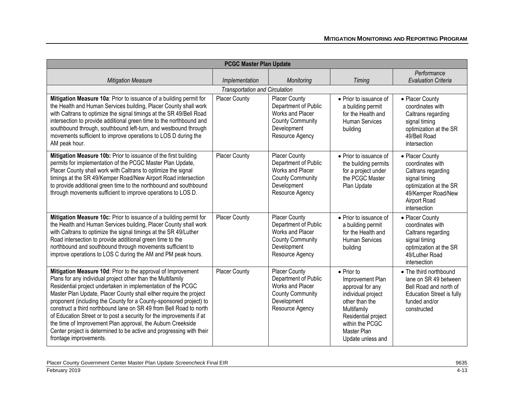| <b>PCGC Master Plan Update</b>                                                                                                                                                                                                                                                                                                                                                                                                                                                                                                                                                                                                                         |                                       |                                                                                                                               |                                                                                                                                                                                                 |                                                                                                                                                            |
|--------------------------------------------------------------------------------------------------------------------------------------------------------------------------------------------------------------------------------------------------------------------------------------------------------------------------------------------------------------------------------------------------------------------------------------------------------------------------------------------------------------------------------------------------------------------------------------------------------------------------------------------------------|---------------------------------------|-------------------------------------------------------------------------------------------------------------------------------|-------------------------------------------------------------------------------------------------------------------------------------------------------------------------------------------------|------------------------------------------------------------------------------------------------------------------------------------------------------------|
| <b>Mitigation Measure</b>                                                                                                                                                                                                                                                                                                                                                                                                                                                                                                                                                                                                                              | Implementation                        | Monitoring                                                                                                                    | Timing                                                                                                                                                                                          | Performance<br><b>Evaluation Criteria</b>                                                                                                                  |
|                                                                                                                                                                                                                                                                                                                                                                                                                                                                                                                                                                                                                                                        | <b>Transportation and Circulation</b> |                                                                                                                               |                                                                                                                                                                                                 |                                                                                                                                                            |
| Mitigation Measure 10a: Prior to issuance of a building permit for<br>the Health and Human Services building, Placer County shall work<br>with Caltrans to optimize the signal timings at the SR 49/Bell Road<br>intersection to provide additional green time to the northbound and<br>southbound through, southbound left-turn, and westbound through<br>movements sufficient to improve operations to LOS D during the<br>AM peak hour.                                                                                                                                                                                                             | <b>Placer County</b>                  | <b>Placer County</b><br>Department of Public<br>Works and Placer<br><b>County Community</b><br>Development<br>Resource Agency | • Prior to issuance of<br>a building permit<br>for the Health and<br><b>Human Services</b><br>building                                                                                          | • Placer County<br>coordinates with<br>Caltrans regarding<br>signal timing<br>optimization at the SR<br>49/Bell Road<br>intersection                       |
| Mitigation Measure 10b: Prior to issuance of the first building<br>permits for implementation of the PCGC Master Plan Update,<br>Placer County shall work with Caltrans to optimize the signal<br>timings at the SR 49/Kemper Road/New Airport Road intersection<br>to provide additional green time to the northbound and southbound<br>through movements sufficient to improve operations to LOS D.                                                                                                                                                                                                                                                  | Placer County                         | <b>Placer County</b><br>Department of Public<br>Works and Placer<br><b>County Community</b><br>Development<br>Resource Agency | • Prior to issuance of<br>the building permits<br>for a project under<br>the PCGC Master<br>Plan Update                                                                                         | • Placer County<br>coordinates with<br>Caltrans regarding<br>signal timing<br>optimization at the SR<br>49/Kemper Road/New<br>Airport Road<br>intersection |
| Mitigation Measure 10c: Prior to issuance of a building permit for<br>the Health and Human Services building, Placer County shall work<br>with Caltrans to optimize the signal timings at the SR 49/Luther<br>Road intersection to provide additional green time to the<br>northbound and southbound through movements sufficient to<br>improve operations to LOS C during the AM and PM peak hours.                                                                                                                                                                                                                                                   | Placer County                         | Placer County<br>Department of Public<br>Works and Placer<br><b>County Community</b><br>Development<br>Resource Agency        | • Prior to issuance of<br>a building permit<br>for the Health and<br><b>Human Services</b><br>building                                                                                          | • Placer County<br>coordinates with<br>Caltrans regarding<br>signal timing<br>optimization at the SR<br>49/Luther Road<br>intersection                     |
| Mitigation Measure 10d: Prior to the approval of Improvement<br>Plans for any individual project other than the Multifamily<br>Residential project undertaken in implementation of the PCGC<br>Master Plan Update, Placer County shall either require the project<br>proponent (including the County for a County-sponsored project) to<br>construct a third northbound lane on SR 49 from Bell Road to north<br>of Education Street or to post a security for the improvements if at<br>the time of Improvement Plan approval, the Auburn Creekside<br>Center project is determined to be active and progressing with their<br>frontage improvements. | <b>Placer County</b>                  | <b>Placer County</b><br>Department of Public<br>Works and Placer<br><b>County Community</b><br>Development<br>Resource Agency | $\bullet$ Prior to<br>Improvement Plan<br>approval for any<br>individual project<br>other than the<br>Multifamily<br>Residential project<br>within the PCGC<br>Master Plan<br>Update unless and | • The third northbound<br>lane on SR 49 between<br>Bell Road and north of<br><b>Education Street is fully</b><br>funded and/or<br>constructed              |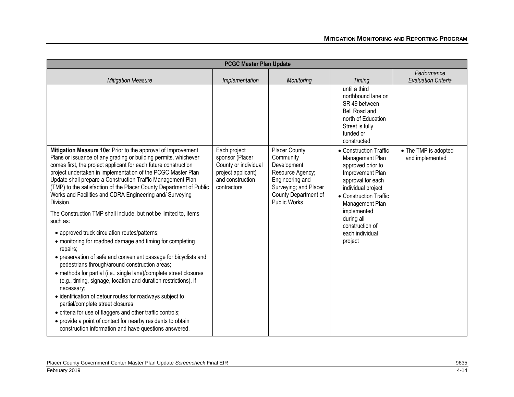|                                                                                                                                                                                                                                                                                                                                                                                                                                                                                                                                                                                                                                                                                                                                                                                                                                                                                                                                                                                                                                                                                                                                                                                                                                                                 | <b>PCGC Master Plan Update</b>                                                                                   |                                                                                                                                                          |                                                                                                                                                                                                                                                          |                                           |
|-----------------------------------------------------------------------------------------------------------------------------------------------------------------------------------------------------------------------------------------------------------------------------------------------------------------------------------------------------------------------------------------------------------------------------------------------------------------------------------------------------------------------------------------------------------------------------------------------------------------------------------------------------------------------------------------------------------------------------------------------------------------------------------------------------------------------------------------------------------------------------------------------------------------------------------------------------------------------------------------------------------------------------------------------------------------------------------------------------------------------------------------------------------------------------------------------------------------------------------------------------------------|------------------------------------------------------------------------------------------------------------------|----------------------------------------------------------------------------------------------------------------------------------------------------------|----------------------------------------------------------------------------------------------------------------------------------------------------------------------------------------------------------------------------------------------------------|-------------------------------------------|
| <b>Mitigation Measure</b>                                                                                                                                                                                                                                                                                                                                                                                                                                                                                                                                                                                                                                                                                                                                                                                                                                                                                                                                                                                                                                                                                                                                                                                                                                       | Implementation                                                                                                   | Monitoring                                                                                                                                               | <b>Timing</b>                                                                                                                                                                                                                                            | Performance<br><b>Evaluation Criteria</b> |
|                                                                                                                                                                                                                                                                                                                                                                                                                                                                                                                                                                                                                                                                                                                                                                                                                                                                                                                                                                                                                                                                                                                                                                                                                                                                 |                                                                                                                  |                                                                                                                                                          | until a third<br>northbound lane on<br>SR 49 between<br><b>Bell Road and</b><br>north of Education<br>Street is fully<br>funded or<br>constructed                                                                                                        |                                           |
| Mitigation Measure 10e: Prior to the approval of Improvement<br>Plans or issuance of any grading or building permits, whichever<br>comes first, the project applicant for each future construction<br>project undertaken in implementation of the PCGC Master Plan<br>Update shall prepare a Construction Traffic Management Plan<br>(TMP) to the satisfaction of the Placer County Department of Public<br>Works and Facilities and CDRA Engineering and/ Surveying<br>Division.<br>The Construction TMP shall include, but not be limited to, items<br>such as:<br>• approved truck circulation routes/patterns;<br>• monitoring for roadbed damage and timing for completing<br>repairs;<br>• preservation of safe and convenient passage for bicyclists and<br>pedestrians through/around construction areas;<br>• methods for partial (i.e., single lane)/complete street closures<br>(e.g., timing, signage, location and duration restrictions), if<br>necessary;<br>· identification of detour routes for roadways subject to<br>partial/complete street closures<br>• criteria for use of flaggers and other traffic controls;<br>• provide a point of contact for nearby residents to obtain<br>construction information and have questions answered. | Each project<br>sponsor (Placer<br>County or individual<br>project applicant)<br>and construction<br>contractors | <b>Placer County</b><br>Community<br>Development<br>Resource Agency;<br>Engineering and<br>Surveying; and Placer<br>County Department of<br>Public Works | • Construction Traffic<br>Management Plan<br>approved prior to<br>Improvement Plan<br>approval for each<br>individual project<br>• Construction Traffic<br>Management Plan<br>implemented<br>during all<br>construction of<br>each individual<br>project | • The TMP is adopted<br>and implemented   |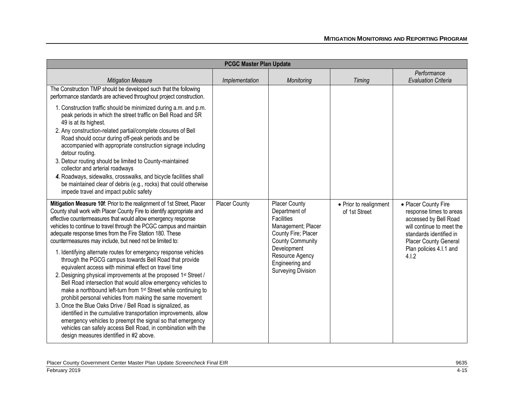| <b>PCGC Master Plan Update</b>                                                                                                                                                                                                                                                                                                                                                                                                                                                                                                                                                                                                                                                                                                                                                                                                                                                                                                                                                                                                                                                                                                                                                                |                      |                                                                                                                                                                                                                      |                                         |                                                                                                                                                                                                      |
|-----------------------------------------------------------------------------------------------------------------------------------------------------------------------------------------------------------------------------------------------------------------------------------------------------------------------------------------------------------------------------------------------------------------------------------------------------------------------------------------------------------------------------------------------------------------------------------------------------------------------------------------------------------------------------------------------------------------------------------------------------------------------------------------------------------------------------------------------------------------------------------------------------------------------------------------------------------------------------------------------------------------------------------------------------------------------------------------------------------------------------------------------------------------------------------------------|----------------------|----------------------------------------------------------------------------------------------------------------------------------------------------------------------------------------------------------------------|-----------------------------------------|------------------------------------------------------------------------------------------------------------------------------------------------------------------------------------------------------|
| <b>Mitigation Measure</b>                                                                                                                                                                                                                                                                                                                                                                                                                                                                                                                                                                                                                                                                                                                                                                                                                                                                                                                                                                                                                                                                                                                                                                     | Implementation       | Monitoring                                                                                                                                                                                                           | <b>Timing</b>                           | Performance<br><b>Evaluation Criteria</b>                                                                                                                                                            |
| The Construction TMP should be developed such that the following<br>performance standards are achieved throughout project construction.                                                                                                                                                                                                                                                                                                                                                                                                                                                                                                                                                                                                                                                                                                                                                                                                                                                                                                                                                                                                                                                       |                      |                                                                                                                                                                                                                      |                                         |                                                                                                                                                                                                      |
| 1. Construction traffic should be minimized during a.m. and p.m.<br>peak periods in which the street traffic on Bell Road and SR<br>49 is at its highest.<br>2. Any construction-related partial/complete closures of Bell<br>Road should occur during off-peak periods and be<br>accompanied with appropriate construction signage including<br>detour routing.<br>3. Detour routing should be limited to County-maintained<br>collector and arterial roadways<br>4. Roadways, sidewalks, crosswalks, and bicycle facilities shall<br>be maintained clear of debris (e.g., rocks) that could otherwise<br>impede travel and impact public safety                                                                                                                                                                                                                                                                                                                                                                                                                                                                                                                                             |                      |                                                                                                                                                                                                                      |                                         |                                                                                                                                                                                                      |
| Mitigation Measure 10f: Prior to the realignment of 1st Street, Placer<br>County shall work with Placer County Fire to identify appropriate and<br>effective countermeasures that would allow emergency response<br>vehicles to continue to travel through the PCGC campus and maintain<br>adequate response times from the Fire Station 180. These<br>countermeasures may include, but need not be limited to:<br>1. Identifying alternate routes for emergency response vehicles<br>through the PGCG campus towards Bell Road that provide<br>equivalent access with minimal effect on travel time<br>2. Designing physical improvements at the proposed 1st Street /<br>Bell Road intersection that would allow emergency vehicles to<br>make a northbound left-turn from 1 <sup>st</sup> Street while continuing to<br>prohibit personal vehicles from making the same movement<br>3. Once the Blue Oaks Drive / Bell Road is signalized, as<br>identified in the cumulative transportation improvements, allow<br>emergency vehicles to preempt the signal so that emergency<br>vehicles can safely access Bell Road, in combination with the<br>design measures identified in #2 above. | <b>Placer County</b> | <b>Placer County</b><br>Department of<br><b>Facilities</b><br>Management; Placer<br>County Fire; Placer<br><b>County Community</b><br>Development<br>Resource Agency<br>Engineering and<br><b>Surveying Division</b> | • Prior to realignment<br>of 1st Street | • Placer County Fire<br>response times to areas<br>accessed by Bell Road<br>will continue to meet the<br>standards identified in<br><b>Placer County General</b><br>Plan policies 4.I.1 and<br>4.1.2 |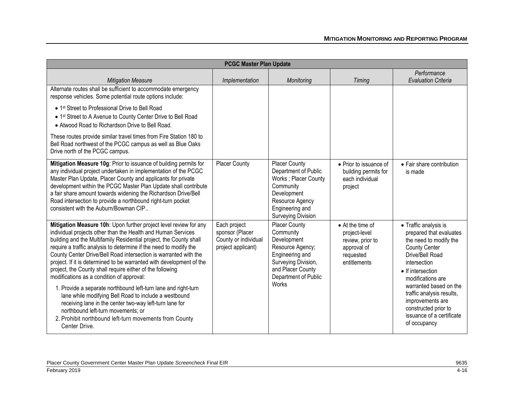| <b>PCGC Master Plan Update</b>                                                                                                                                                                                                                                                                                                                                                                                                                                                                                                     |                                                                               |                                                                                                                                                               |                                                                                                   |                                                                                                                                                                                 |
|------------------------------------------------------------------------------------------------------------------------------------------------------------------------------------------------------------------------------------------------------------------------------------------------------------------------------------------------------------------------------------------------------------------------------------------------------------------------------------------------------------------------------------|-------------------------------------------------------------------------------|---------------------------------------------------------------------------------------------------------------------------------------------------------------|---------------------------------------------------------------------------------------------------|---------------------------------------------------------------------------------------------------------------------------------------------------------------------------------|
| <b>Mitigation Measure</b>                                                                                                                                                                                                                                                                                                                                                                                                                                                                                                          | Implementation                                                                | Monitoring                                                                                                                                                    | <b>Timing</b>                                                                                     | Performance<br><b>Evaluation Criteria</b>                                                                                                                                       |
| Alternate routes shall be sufficient to accommodate emergency<br>response vehicles. Some potential route options include:                                                                                                                                                                                                                                                                                                                                                                                                          |                                                                               |                                                                                                                                                               |                                                                                                   |                                                                                                                                                                                 |
| • 1 <sup>st</sup> Street to Professional Drive to Bell Road<br>• 1st Street to A Avenue to County Center Drive to Bell Road<br>• Atwood Road to Richardson Drive to Bell Road.                                                                                                                                                                                                                                                                                                                                                     |                                                                               |                                                                                                                                                               |                                                                                                   |                                                                                                                                                                                 |
| These routes provide similar travel times from Fire Station 180 to<br>Bell Road northwest of the PCGC campus as well as Blue Oaks<br>Drive north of the PCGC campus.                                                                                                                                                                                                                                                                                                                                                               |                                                                               |                                                                                                                                                               |                                                                                                   |                                                                                                                                                                                 |
| Mitigation Measure 10g: Prior to issuance of building permits for<br>any individual project undertaken in implementation of the PCGC<br>Master Plan Update, Placer County and applicants for private<br>development within the PCGC Master Plan Update shall contribute<br>a fair share amount towards widening the Richardson Drive/Bell<br>Road intersection to provide a northbound right-turn pocket<br>consistent with the Auburn/Bowman CIP.                                                                                 | <b>Placer County</b>                                                          | Placer County<br>Department of Public<br>Works ; Placer County<br>Community<br>Development<br>Resource Agency<br>Engineering and<br><b>Surveying Division</b> | • Prior to issuance of<br>building permits for<br>each individual<br>project                      | • Fair share contribution<br>is made                                                                                                                                            |
| Mitigation Measure 10h: Upon further project level review for any<br>individual projects other than the Health and Human Services<br>building and the Multifamily Residential project, the County shall<br>require a traffic analysis to determine if the need to modify the<br>County Center Drive/Bell Road intersection is warranted with the<br>project. If it is determined to be warranted with development of the<br>project, the County shall require either of the following<br>modifications as a condition of approval: | Each project<br>sponsor (Placer<br>County or individual<br>project applicant) | <b>Placer County</b><br>Community<br>Development<br>Resource Agency;<br>Engineering and<br>Surveying Division,<br>and Placer County<br>Department of Public   | • At the time of<br>project-level<br>review, prior to<br>approval of<br>requested<br>entitlements | • Traffic analysis is<br>prepared that evaluates<br>the need to modify the<br><b>County Center</b><br>Drive/Bell Road<br>intersection<br>• If intersection<br>modifications are |
| 1. Provide a separate northbound left-turn lane and right-turn<br>lane while modifying Bell Road to include a westbound<br>receiving lane in the center two-way left-turn lane for<br>northbound left-turn movements; or<br>2. Prohibit northbound left-turn movements from County<br>Center Drive.                                                                                                                                                                                                                                |                                                                               | <b>Works</b>                                                                                                                                                  |                                                                                                   | warranted based on the<br>traffic analysis results,<br>improvements are<br>constructed prior to<br>issuance of a certificate<br>of occupancy                                    |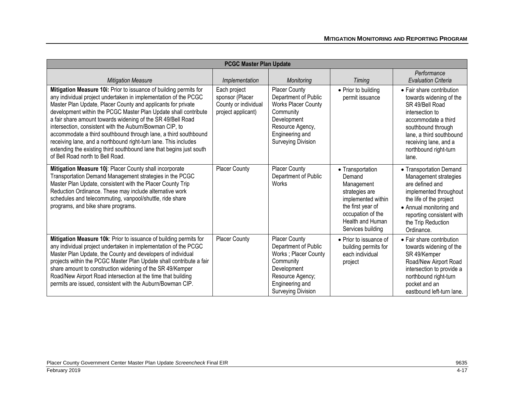| <b>PCGC Master Plan Update</b>                                                                                                                                                                                                                                                                                                                                                                                                                                                                                                                                                                                                                     |                                                                               |                                                                                                                                                                            |                                                                                                                                                                     |                                                                                                                                                                                                                                |
|----------------------------------------------------------------------------------------------------------------------------------------------------------------------------------------------------------------------------------------------------------------------------------------------------------------------------------------------------------------------------------------------------------------------------------------------------------------------------------------------------------------------------------------------------------------------------------------------------------------------------------------------------|-------------------------------------------------------------------------------|----------------------------------------------------------------------------------------------------------------------------------------------------------------------------|---------------------------------------------------------------------------------------------------------------------------------------------------------------------|--------------------------------------------------------------------------------------------------------------------------------------------------------------------------------------------------------------------------------|
| <b>Mitigation Measure</b>                                                                                                                                                                                                                                                                                                                                                                                                                                                                                                                                                                                                                          | Implementation                                                                | Monitoring                                                                                                                                                                 | <b>Timing</b>                                                                                                                                                       | Performance<br><b>Evaluation Criteria</b>                                                                                                                                                                                      |
| Mitigation Measure 10i: Prior to issuance of building permits for<br>any individual project undertaken in implementation of the PCGC<br>Master Plan Update, Placer County and applicants for private<br>development within the PCGC Master Plan Update shall contribute<br>a fair share amount towards widening of the SR 49/Bell Road<br>intersection, consistent with the Auburn/Bowman CIP, to<br>accommodate a third southbound through lane, a third southbound<br>receiving lane, and a northbound right-turn lane. This includes<br>extending the existing third southbound lane that begins just south<br>of Bell Road north to Bell Road. | Each project<br>sponsor (Placer<br>County or individual<br>project applicant) | <b>Placer County</b><br>Department of Public<br><b>Works Placer County</b><br>Community<br>Development<br>Resource Agency,<br>Engineering and<br><b>Surveying Division</b> | • Prior to building<br>permit issuance                                                                                                                              | • Fair share contribution<br>towards widening of the<br>SR 49/Bell Road<br>intersection to<br>accommodate a third<br>southbound through<br>lane, a third southbound<br>receiving lane, and a<br>northbound right-turn<br>lane. |
| Mitigation Measure 10j: Placer County shall incorporate<br>Transportation Demand Management strategies in the PCGC<br>Master Plan Update, consistent with the Placer County Trip<br>Reduction Ordinance. These may include alternative work<br>schedules and telecommuting, vanpool/shuttle, ride share<br>programs, and bike share programs.                                                                                                                                                                                                                                                                                                      | Placer County                                                                 | <b>Placer County</b><br>Department of Public<br>Works                                                                                                                      | • Transportation<br>Demand<br>Management<br>strategies are<br>implemented within<br>the first year of<br>occupation of the<br>Health and Human<br>Services building | • Transportation Demand<br>Management strategies<br>are defined and<br>implemented throughout<br>the life of the project<br>• Annual monitoring and<br>reporting consistent with<br>the Trip Reduction<br>Ordinance.           |
| Mitigation Measure 10k: Prior to issuance of building permits for<br>any individual project undertaken in implementation of the PCGC<br>Master Plan Update, the County and developers of individual<br>projects within the PCGC Master Plan Update shall contribute a fair<br>share amount to construction widening of the SR 49/Kemper<br>Road/New Airport Road intersection at the time that building<br>permits are issued, consistent with the Auburn/Bowman CIP.                                                                                                                                                                              | <b>Placer County</b>                                                          | <b>Placer County</b><br>Department of Public<br>Works; Placer County<br>Community<br>Development<br>Resource Agency;<br>Engineering and<br><b>Surveying Division</b>       | • Prior to issuance of<br>building permits for<br>each individual<br>project                                                                                        | • Fair share contribution<br>towards widening of the<br>SR 49/Kemper<br>Road/New Airport Road<br>intersection to provide a<br>northbound right-turn<br>pocket and an<br>eastbound left-turn lane.                              |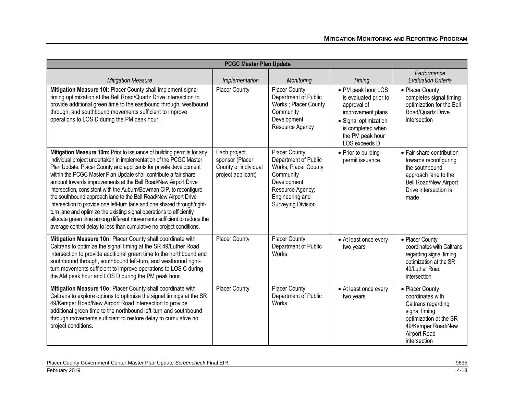|                                                                                                                                                                                                                                                                                                                                                                                                                                                                                                                                                                                                                                                                                                                                                                                                        | <b>PCGC Master Plan Update</b>                                                |                                                                                                                                                                      |                                                                                                                                                                    |                                                                                                                                                            |  |
|--------------------------------------------------------------------------------------------------------------------------------------------------------------------------------------------------------------------------------------------------------------------------------------------------------------------------------------------------------------------------------------------------------------------------------------------------------------------------------------------------------------------------------------------------------------------------------------------------------------------------------------------------------------------------------------------------------------------------------------------------------------------------------------------------------|-------------------------------------------------------------------------------|----------------------------------------------------------------------------------------------------------------------------------------------------------------------|--------------------------------------------------------------------------------------------------------------------------------------------------------------------|------------------------------------------------------------------------------------------------------------------------------------------------------------|--|
| <b>Mitigation Measure</b>                                                                                                                                                                                                                                                                                                                                                                                                                                                                                                                                                                                                                                                                                                                                                                              | Implementation                                                                | Monitoring                                                                                                                                                           | <b>Timing</b>                                                                                                                                                      | Performance<br><b>Evaluation Criteria</b>                                                                                                                  |  |
| Mitigation Measure 10I: Placer County shall implement signal<br>timing optimization at the Bell Road/Quartz Drive intersection to<br>provide additional green time to the eastbound through, westbound<br>through, and southbound movements sufficient to improve<br>operations to LOS D during the PM peak hour.                                                                                                                                                                                                                                                                                                                                                                                                                                                                                      | Placer County                                                                 | <b>Placer County</b><br>Department of Public<br>Works; Placer County<br>Community<br>Development<br>Resource Agency                                                  | • PM peak hour LOS<br>is evaluated prior to<br>approval of<br>improvement plans<br>• Signal optimization<br>is completed when<br>the PM peak hour<br>LOS exceeds D | • Placer County<br>completes signal timing<br>optimization for the Bell<br>Road/Quartz Drive<br>intersection                                               |  |
| Mitigation Measure 10m: Prior to issuance of building permits for any<br>individual project undertaken in implementation of the PCGC Master<br>Plan Update, Placer County and applicants for private development<br>within the PCGC Master Plan Update shall contribute a fair share<br>amount towards improvements at the Bell Road/New Airport Drive<br>intersection, consistent with the Auburn/Bowman CIP, to reconfigure<br>the southbound approach lane to the Bell Road/New Airport Drive<br>intersection to provide one left-turn lane and one shared through/right-<br>turn lane and optimize the existing signal operations to efficiently<br>allocate green time among different movements sufficient to reduce the<br>average control delay to less than cumulative no project conditions. | Each project<br>sponsor (Placer<br>County or individual<br>project applicant) | <b>Placer County</b><br>Department of Public<br>Works; Placer County<br>Community<br>Development<br>Resource Agency;<br>Engineering and<br><b>Surveying Division</b> | • Prior to building<br>permit issuance                                                                                                                             | • Fair share contribution<br>towards reconfiguring<br>the southbound<br>approach lane to the<br>Bell Road/New Airport<br>Drive intersection is<br>made     |  |
| Mitigation Measure 10n: Placer County shall coordinate with<br>Caltrans to optimize the signal timing at the SR 49/Luther Road<br>intersection to provide additional green time to the northbound and<br>southbound through, southbound left-turn, and westbound right-<br>turn movements sufficient to improve operations to LOS C during<br>the AM peak hour and LOS D during the PM peak hour.                                                                                                                                                                                                                                                                                                                                                                                                      | Placer County                                                                 | Placer County<br>Department of Public<br>Works                                                                                                                       | • At least once every<br>two years                                                                                                                                 | • Placer County<br>coordinates with Caltrans<br>regarding signal timing<br>optimization at the SR<br>49/Luther Road<br>intersection                        |  |
| Mitigation Measure 10o: Placer County shall coordinate with<br>Caltrans to explore options to optimize the signal timings at the SR<br>49/Kemper Road/New Airport Road intersection to provide<br>additional green time to the northbound left-turn and southbound<br>through movements sufficient to restore delay to cumulative no<br>project conditions.                                                                                                                                                                                                                                                                                                                                                                                                                                            | <b>Placer County</b>                                                          | <b>Placer County</b><br>Department of Public<br>Works                                                                                                                | • At least once every<br>two years                                                                                                                                 | • Placer County<br>coordinates with<br>Caltrans regarding<br>signal timing<br>optimization at the SR<br>49/Kemper Road/New<br>Airport Road<br>intersection |  |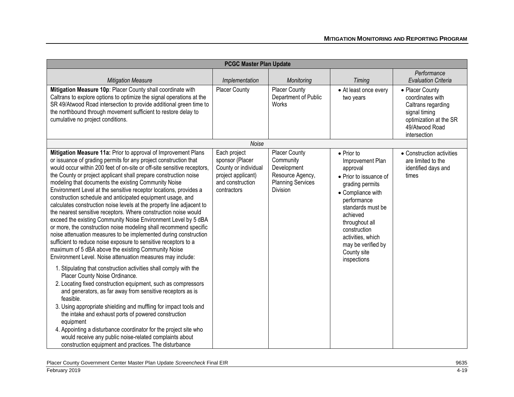|                                                                                                                                                                                                                                                                                                                                                                                                                                                                                                                                                                                                                                                                                                                                                                                                                                                                                                                                                                                                                                                                                                                                                                                                                                                                                                                                                                                                                                                                                                                                                                                                                 | <b>PCGC Master Plan Update</b>                                                                                   |                                                                                                                     |                                                                                                                                                                                                                                                                                 |                                                                                                                                        |  |
|-----------------------------------------------------------------------------------------------------------------------------------------------------------------------------------------------------------------------------------------------------------------------------------------------------------------------------------------------------------------------------------------------------------------------------------------------------------------------------------------------------------------------------------------------------------------------------------------------------------------------------------------------------------------------------------------------------------------------------------------------------------------------------------------------------------------------------------------------------------------------------------------------------------------------------------------------------------------------------------------------------------------------------------------------------------------------------------------------------------------------------------------------------------------------------------------------------------------------------------------------------------------------------------------------------------------------------------------------------------------------------------------------------------------------------------------------------------------------------------------------------------------------------------------------------------------------------------------------------------------|------------------------------------------------------------------------------------------------------------------|---------------------------------------------------------------------------------------------------------------------|---------------------------------------------------------------------------------------------------------------------------------------------------------------------------------------------------------------------------------------------------------------------------------|----------------------------------------------------------------------------------------------------------------------------------------|--|
| <b>Mitigation Measure</b>                                                                                                                                                                                                                                                                                                                                                                                                                                                                                                                                                                                                                                                                                                                                                                                                                                                                                                                                                                                                                                                                                                                                                                                                                                                                                                                                                                                                                                                                                                                                                                                       | Implementation                                                                                                   | Monitoring                                                                                                          | <b>Timing</b>                                                                                                                                                                                                                                                                   | Performance<br><b>Evaluation Criteria</b>                                                                                              |  |
| Mitigation Measure 10p: Placer County shall coordinate with<br>Caltrans to explore options to optimize the signal operations at the<br>SR 49/Atwood Road intersection to provide additional green time to<br>the northbound through movement sufficient to restore delay to<br>cumulative no project conditions.                                                                                                                                                                                                                                                                                                                                                                                                                                                                                                                                                                                                                                                                                                                                                                                                                                                                                                                                                                                                                                                                                                                                                                                                                                                                                                | <b>Placer County</b>                                                                                             | Placer County<br>Department of Public<br>Works                                                                      | • At least once every<br>two years                                                                                                                                                                                                                                              | • Placer County<br>coordinates with<br>Caltrans regarding<br>signal timing<br>optimization at the SR<br>49/Atwood Road<br>intersection |  |
|                                                                                                                                                                                                                                                                                                                                                                                                                                                                                                                                                                                                                                                                                                                                                                                                                                                                                                                                                                                                                                                                                                                                                                                                                                                                                                                                                                                                                                                                                                                                                                                                                 | Noise                                                                                                            |                                                                                                                     |                                                                                                                                                                                                                                                                                 |                                                                                                                                        |  |
| Mitigation Measure 11a: Prior to approval of Improvement Plans<br>or issuance of grading permits for any project construction that<br>would occur within 200 feet of on-site or off-site sensitive receptors,<br>the County or project applicant shall prepare construction noise<br>modeling that documents the existing Community Noise<br>Environment Level at the sensitive receptor locations, provides a<br>construction schedule and anticipated equipment usage, and<br>calculates construction noise levels at the property line adjacent to<br>the nearest sensitive receptors. Where construction noise would<br>exceed the existing Community Noise Environment Level by 5 dBA<br>or more, the construction noise modeling shall recommend specific<br>noise attenuation measures to be implemented during construction<br>sufficient to reduce noise exposure to sensitive receptors to a<br>maximum of 5 dBA above the existing Community Noise<br>Environment Level. Noise attenuation measures may include:<br>1. Stipulating that construction activities shall comply with the<br>Placer County Noise Ordinance.<br>2. Locating fixed construction equipment, such as compressors<br>and generators, as far away from sensitive receptors as is<br>feasible.<br>3. Using appropriate shielding and muffling for impact tools and<br>the intake and exhaust ports of powered construction<br>equipment<br>4. Appointing a disturbance coordinator for the project site who<br>would receive any public noise-related complaints about<br>construction equipment and practices. The disturbance | Each project<br>sponsor (Placer<br>County or individual<br>project applicant)<br>and construction<br>contractors | <b>Placer County</b><br>Community<br>Development<br>Resource Agency,<br><b>Planning Services</b><br><b>Division</b> | $\bullet$ Prior to<br>Improvement Plan<br>approval<br>• Prior to issuance of<br>grading permits<br>• Compliance with<br>performance<br>standards must be<br>achieved<br>throughout all<br>construction<br>activities, which<br>may be verified by<br>County site<br>inspections | • Construction activities<br>are limited to the<br>identified days and<br>times                                                        |  |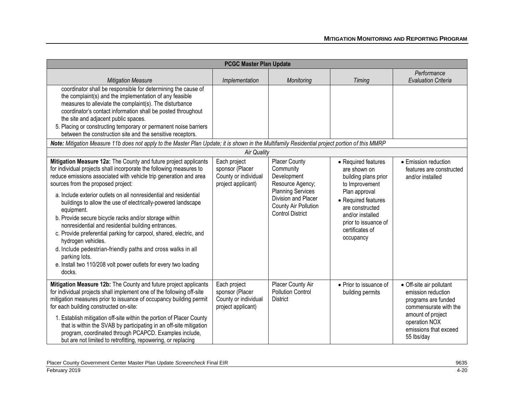| <b>PCGC Master Plan Update</b>                                                                                                                                                                                                                                                                                                                                                                                                                                                                                                                                                                                                                                                                                                                                                |                                                                               |                                                                                                                                                                            |                                                                                                                                                                                                                      |                                                                                                                                                                             |
|-------------------------------------------------------------------------------------------------------------------------------------------------------------------------------------------------------------------------------------------------------------------------------------------------------------------------------------------------------------------------------------------------------------------------------------------------------------------------------------------------------------------------------------------------------------------------------------------------------------------------------------------------------------------------------------------------------------------------------------------------------------------------------|-------------------------------------------------------------------------------|----------------------------------------------------------------------------------------------------------------------------------------------------------------------------|----------------------------------------------------------------------------------------------------------------------------------------------------------------------------------------------------------------------|-----------------------------------------------------------------------------------------------------------------------------------------------------------------------------|
| <b>Mitigation Measure</b>                                                                                                                                                                                                                                                                                                                                                                                                                                                                                                                                                                                                                                                                                                                                                     | Implementation                                                                | Monitoring                                                                                                                                                                 | Timing                                                                                                                                                                                                               | Performance<br><b>Evaluation Criteria</b>                                                                                                                                   |
| coordinator shall be responsible for determining the cause of<br>the complaint(s) and the implementation of any feasible<br>measures to alleviate the complaint(s). The disturbance<br>coordinator's contact information shall be posted throughout<br>the site and adjacent public spaces.<br>5. Placing or constructing temporary or permanent noise barriers<br>between the construction site and the sensitive receptors.                                                                                                                                                                                                                                                                                                                                                 |                                                                               |                                                                                                                                                                            |                                                                                                                                                                                                                      |                                                                                                                                                                             |
| Note: Mitigation Measure 11b does not apply to the Master Plan Update; it is shown in the Multifamily Residential project portion of this MMRP                                                                                                                                                                                                                                                                                                                                                                                                                                                                                                                                                                                                                                |                                                                               |                                                                                                                                                                            |                                                                                                                                                                                                                      |                                                                                                                                                                             |
|                                                                                                                                                                                                                                                                                                                                                                                                                                                                                                                                                                                                                                                                                                                                                                               | <b>Air Quality</b>                                                            |                                                                                                                                                                            |                                                                                                                                                                                                                      |                                                                                                                                                                             |
| Mitigation Measure 12a: The County and future project applicants<br>for individual projects shall incorporate the following measures to<br>reduce emissions associated with vehicle trip generation and area<br>sources from the proposed project:<br>a. Include exterior outlets on all nonresidential and residential<br>buildings to allow the use of electrically-powered landscape<br>equipment.<br>b. Provide secure bicycle racks and/or storage within<br>nonresidential and residential building entrances.<br>c. Provide preferential parking for carpool, shared, electric, and<br>hydrogen vehicles.<br>d. Include pedestrian-friendly paths and cross walks in all<br>parking lots.<br>e. Install two 110/208 volt power outlets for every two loading<br>docks. | Each project<br>sponsor (Placer<br>County or individual<br>project applicant) | <b>Placer County</b><br>Community<br>Development<br>Resource Agency;<br><b>Planning Services</b><br>Division and Placer<br>County Air Pollution<br><b>Control District</b> | • Required features<br>are shown on<br>building plans prior<br>to Improvement<br>Plan approval<br>• Required features<br>are constructed<br>and/or installed<br>prior to issuance of<br>certificates of<br>occupancy | • Emission reduction<br>features are constructed<br>and/or installed                                                                                                        |
| Mitigation Measure 12b: The County and future project applicants<br>for individual projects shall implement one of the following off-site<br>mitigation measures prior to issuance of occupancy building permit<br>for each building constructed on-site:<br>1. Establish mitigation off-site within the portion of Placer County<br>that is within the SVAB by participating in an off-site mitigation<br>program, coordinated through PCAPCD. Examples include,<br>but are not limited to retrofitting, repowering, or replacing                                                                                                                                                                                                                                            | Each project<br>sponsor (Placer<br>County or individual<br>project applicant) | Placer County Air<br><b>Pollution Control</b><br><b>District</b>                                                                                                           | • Prior to issuance of<br>building permits                                                                                                                                                                           | • Off-site air pollutant<br>emission reduction<br>programs are funded<br>commensurate with the<br>amount of project<br>operation NOX<br>emissions that exceed<br>55 lbs/day |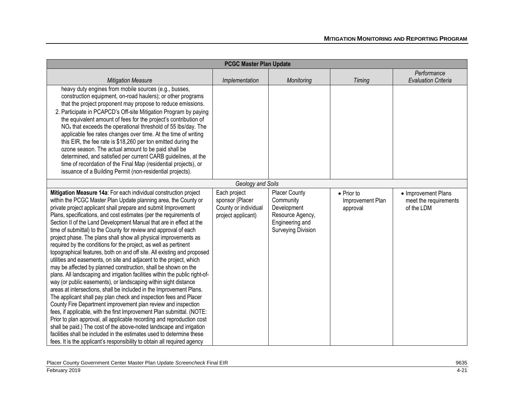| <b>PCGC Master Plan Update</b>                                                                                                                                                                                                                                                                                                                                                                                                                                                                                                                                                                                                                                                                                                                                                                                                                                                                                                                                                                                                                                                                                                                                                                                                                                                                                                                                                                                                                                                                                                      |                                                                               |                                                                                                                      |                                                    |                                                            |
|-------------------------------------------------------------------------------------------------------------------------------------------------------------------------------------------------------------------------------------------------------------------------------------------------------------------------------------------------------------------------------------------------------------------------------------------------------------------------------------------------------------------------------------------------------------------------------------------------------------------------------------------------------------------------------------------------------------------------------------------------------------------------------------------------------------------------------------------------------------------------------------------------------------------------------------------------------------------------------------------------------------------------------------------------------------------------------------------------------------------------------------------------------------------------------------------------------------------------------------------------------------------------------------------------------------------------------------------------------------------------------------------------------------------------------------------------------------------------------------------------------------------------------------|-------------------------------------------------------------------------------|----------------------------------------------------------------------------------------------------------------------|----------------------------------------------------|------------------------------------------------------------|
| <b>Mitigation Measure</b>                                                                                                                                                                                                                                                                                                                                                                                                                                                                                                                                                                                                                                                                                                                                                                                                                                                                                                                                                                                                                                                                                                                                                                                                                                                                                                                                                                                                                                                                                                           | Implementation                                                                | Monitoring                                                                                                           | <b>Timing</b>                                      | Performance<br><b>Evaluation Criteria</b>                  |
| heavy duty engines from mobile sources (e.g., busses,<br>construction equipment, on-road haulers); or other programs<br>that the project proponent may propose to reduce emissions.<br>2. Participate in PCAPCD's Off-site Mitigation Program by paying<br>the equivalent amount of fees for the project's contribution of<br>NO <sub>x</sub> that exceeds the operational threshold of 55 lbs/day. The<br>applicable fee rates changes over time. At the time of writing<br>this EIR, the fee rate is \$18,260 per ton emitted during the<br>ozone season. The actual amount to be paid shall be<br>determined, and satisfied per current CARB guidelines, at the<br>time of recordation of the Final Map (residential projects), or<br>issuance of a Building Permit (non-residential projects).                                                                                                                                                                                                                                                                                                                                                                                                                                                                                                                                                                                                                                                                                                                                  |                                                                               |                                                                                                                      |                                                    |                                                            |
|                                                                                                                                                                                                                                                                                                                                                                                                                                                                                                                                                                                                                                                                                                                                                                                                                                                                                                                                                                                                                                                                                                                                                                                                                                                                                                                                                                                                                                                                                                                                     | Geology and Soils                                                             |                                                                                                                      |                                                    |                                                            |
| Mitigation Measure 14a: For each individual construction project<br>within the PCGC Master Plan Update planning area, the County or<br>private project applicant shall prepare and submit Improvement<br>Plans, specifications, and cost estimates (per the requirements of<br>Section II of the Land Development Manual that are in effect at the<br>time of submittal) to the County for review and approval of each<br>project phase. The plans shall show all physical improvements as<br>required by the conditions for the project, as well as pertinent<br>topographical features, both on and off site. All existing and proposed<br>utilities and easements, on site and adjacent to the project, which<br>may be affected by planned construction, shall be shown on the<br>plans. All landscaping and irrigation facilities within the public right-of-<br>way (or public easements), or landscaping within sight distance<br>areas at intersections, shall be included in the Improvement Plans.<br>The applicant shall pay plan check and inspection fees and Placer<br>County Fire Department improvement plan review and inspection<br>fees, if applicable, with the first Improvement Plan submittal. (NOTE:<br>Prior to plan approval, all applicable recording and reproduction cost<br>shall be paid.) The cost of the above-noted landscape and irrigation<br>facilities shall be included in the estimates used to determine these<br>fees. It is the applicant's responsibility to obtain all required agency | Each project<br>sponsor (Placer<br>County or individual<br>project applicant) | <b>Placer County</b><br>Community<br>Development<br>Resource Agency,<br>Engineering and<br><b>Surveying Division</b> | $\bullet$ Prior to<br>Improvement Plan<br>approval | • Improvement Plans<br>meet the requirements<br>of the LDM |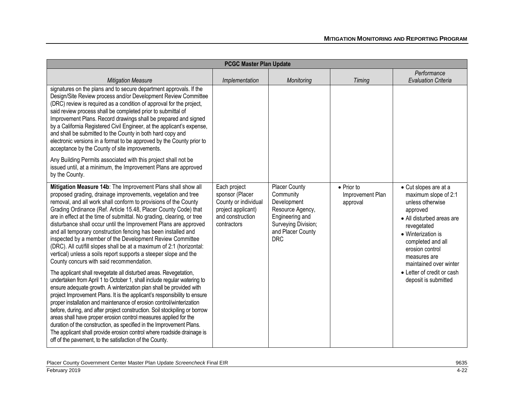| <b>PCGC Master Plan Update</b>                                                                                                                                                                                                                                                                                                                                                                                                                                                                                                                                                                                                                                                                                                                                                                                                                                                                                                                                                                                                                                                                                                                                                                                                                                                                                                                                                                                                                                                   |                                                                                                                  |                                                                                                                                                   |                                                    |                                                                                                                                                                                                                                                                                         |
|----------------------------------------------------------------------------------------------------------------------------------------------------------------------------------------------------------------------------------------------------------------------------------------------------------------------------------------------------------------------------------------------------------------------------------------------------------------------------------------------------------------------------------------------------------------------------------------------------------------------------------------------------------------------------------------------------------------------------------------------------------------------------------------------------------------------------------------------------------------------------------------------------------------------------------------------------------------------------------------------------------------------------------------------------------------------------------------------------------------------------------------------------------------------------------------------------------------------------------------------------------------------------------------------------------------------------------------------------------------------------------------------------------------------------------------------------------------------------------|------------------------------------------------------------------------------------------------------------------|---------------------------------------------------------------------------------------------------------------------------------------------------|----------------------------------------------------|-----------------------------------------------------------------------------------------------------------------------------------------------------------------------------------------------------------------------------------------------------------------------------------------|
| <b>Mitigation Measure</b>                                                                                                                                                                                                                                                                                                                                                                                                                                                                                                                                                                                                                                                                                                                                                                                                                                                                                                                                                                                                                                                                                                                                                                                                                                                                                                                                                                                                                                                        | Implementation                                                                                                   | Monitoring                                                                                                                                        | <b>Timing</b>                                      | Performance<br><b>Evaluation Criteria</b>                                                                                                                                                                                                                                               |
| signatures on the plans and to secure department approvals. If the<br>Design/Site Review process and/or Development Review Committee<br>(DRC) review is required as a condition of approval for the project,<br>said review process shall be completed prior to submittal of<br>Improvement Plans. Record drawings shall be prepared and signed<br>by a California Registered Civil Engineer, at the applicant's expense,<br>and shall be submitted to the County in both hard copy and<br>electronic versions in a format to be approved by the County prior to<br>acceptance by the County of site improvements.<br>Any Building Permits associated with this project shall not be                                                                                                                                                                                                                                                                                                                                                                                                                                                                                                                                                                                                                                                                                                                                                                                             |                                                                                                                  |                                                                                                                                                   |                                                    |                                                                                                                                                                                                                                                                                         |
| issued until, at a minimum, the Improvement Plans are approved<br>by the County.                                                                                                                                                                                                                                                                                                                                                                                                                                                                                                                                                                                                                                                                                                                                                                                                                                                                                                                                                                                                                                                                                                                                                                                                                                                                                                                                                                                                 |                                                                                                                  |                                                                                                                                                   |                                                    |                                                                                                                                                                                                                                                                                         |
| Mitigation Measure 14b: The Improvement Plans shall show all<br>proposed grading, drainage improvements, vegetation and tree<br>removal, and all work shall conform to provisions of the County<br>Grading Ordinance (Ref. Article 15.48, Placer County Code) that<br>are in effect at the time of submittal. No grading, clearing, or tree<br>disturbance shall occur until the Improvement Plans are approved<br>and all temporary construction fencing has been installed and<br>inspected by a member of the Development Review Committee<br>(DRC). All cut/fill slopes shall be at a maximum of 2:1 (horizontal:<br>vertical) unless a soils report supports a steeper slope and the<br>County concurs with said recommendation.<br>The applicant shall revegetate all disturbed areas. Revegetation,<br>undertaken from April 1 to October 1, shall include regular watering to<br>ensure adequate growth. A winterization plan shall be provided with<br>project Improvement Plans. It is the applicant's responsibility to ensure<br>proper installation and maintenance of erosion control/winterization<br>before, during, and after project construction. Soil stockpiling or borrow<br>areas shall have proper erosion control measures applied for the<br>duration of the construction, as specified in the Improvement Plans.<br>The applicant shall provide erosion control where roadside drainage is<br>off of the pavement, to the satisfaction of the County. | Each project<br>sponsor (Placer<br>County or individual<br>project applicant)<br>and construction<br>contractors | <b>Placer County</b><br>Community<br>Development<br>Resource Agency,<br>Engineering and<br>Surveying Division;<br>and Placer County<br><b>DRC</b> | $\bullet$ Prior to<br>Improvement Plan<br>approval | • Cut slopes are at a<br>maximum slope of 2:1<br>unless otherwise<br>approved<br>• All disturbed areas are<br>revegetated<br>• Winterization is<br>completed and all<br>erosion control<br>measures are<br>maintained over winter<br>• Letter of credit or cash<br>deposit is submitted |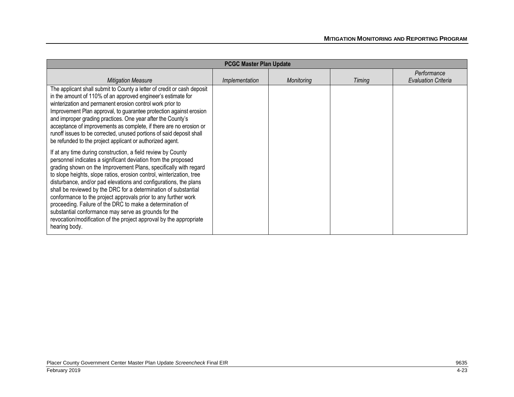| <b>PCGC Master Plan Update</b>                                                                                                                                                                                                                                                                                                                                                                                                                                                                                                                                                                                                                                                                 |                |            |        |                                           |
|------------------------------------------------------------------------------------------------------------------------------------------------------------------------------------------------------------------------------------------------------------------------------------------------------------------------------------------------------------------------------------------------------------------------------------------------------------------------------------------------------------------------------------------------------------------------------------------------------------------------------------------------------------------------------------------------|----------------|------------|--------|-------------------------------------------|
| <b>Mitigation Measure</b>                                                                                                                                                                                                                                                                                                                                                                                                                                                                                                                                                                                                                                                                      | Implementation | Monitoring | Timing | Performance<br><b>Evaluation Criteria</b> |
| The applicant shall submit to County a letter of credit or cash deposit<br>in the amount of 110% of an approved engineer's estimate for<br>winterization and permanent erosion control work prior to<br>Improvement Plan approval, to guarantee protection against erosion<br>and improper grading practices. One year after the County's<br>acceptance of improvements as complete, if there are no erosion or<br>runoff issues to be corrected, unused portions of said deposit shall<br>be refunded to the project applicant or authorized agent.                                                                                                                                           |                |            |        |                                           |
| If at any time during construction, a field review by County<br>personnel indicates a significant deviation from the proposed<br>grading shown on the Improvement Plans, specifically with regard<br>to slope heights, slope ratios, erosion control, winterization, tree<br>disturbance, and/or pad elevations and configurations, the plans<br>shall be reviewed by the DRC for a determination of substantial<br>conformance to the project approvals prior to any further work<br>proceeding. Failure of the DRC to make a determination of<br>substantial conformance may serve as grounds for the<br>revocation/modification of the project approval by the appropriate<br>hearing body. |                |            |        |                                           |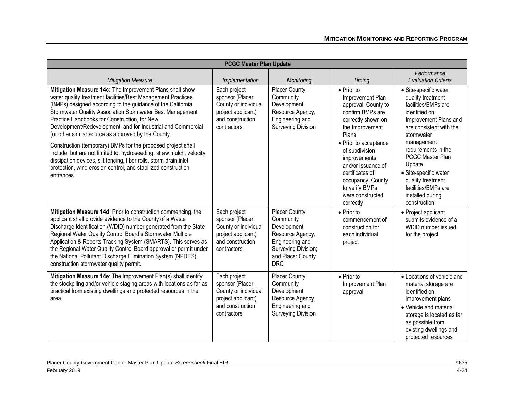| <b>PCGC Master Plan Update</b>                                                                                                                                                                                                                                                                                                                                                                                                                                                                               |                                                                                                                  |                                                                                                                                                   |                                                                                                                                                                          |                                                                                                                                                                                                                      |
|--------------------------------------------------------------------------------------------------------------------------------------------------------------------------------------------------------------------------------------------------------------------------------------------------------------------------------------------------------------------------------------------------------------------------------------------------------------------------------------------------------------|------------------------------------------------------------------------------------------------------------------|---------------------------------------------------------------------------------------------------------------------------------------------------|--------------------------------------------------------------------------------------------------------------------------------------------------------------------------|----------------------------------------------------------------------------------------------------------------------------------------------------------------------------------------------------------------------|
| <b>Mitigation Measure</b>                                                                                                                                                                                                                                                                                                                                                                                                                                                                                    | Implementation                                                                                                   | Monitoring                                                                                                                                        | Timing                                                                                                                                                                   | Performance<br><b>Evaluation Criteria</b>                                                                                                                                                                            |
| Mitigation Measure 14c: The Improvement Plans shall show<br>water quality treatment facilities/Best Management Practices<br>(BMPs) designed according to the guidance of the California<br>Stormwater Quality Association Stormwater Best Management<br>Practice Handbooks for Construction, for New<br>Development/Redevelopment, and for Industrial and Commercial<br>(or other similar source as approved by the County.                                                                                  | Each project<br>sponsor (Placer<br>County or individual<br>project applicant)<br>and construction<br>contractors | <b>Placer County</b><br>Community<br>Development<br>Resource Agency,<br>Engineering and<br><b>Surveying Division</b>                              | • Prior to<br>Improvement Plan<br>approval, County to<br>confirm BMPs are<br>correctly shown on<br>the Improvement<br>Plans                                              | · Site-specific water<br>quality treatment<br>facilities/BMPs are<br>identified on<br>Improvement Plans and<br>are consistent with the<br>stormwater                                                                 |
| Construction (temporary) BMPs for the proposed project shall<br>include, but are not limited to: hydroseeding, straw mulch, velocity<br>dissipation devices, silt fencing, fiber rolls, storm drain inlet<br>protection, wind erosion control, and stabilized construction<br>entrances.                                                                                                                                                                                                                     |                                                                                                                  |                                                                                                                                                   | • Prior to acceptance<br>of subdivision<br>improvements<br>and/or issuance of<br>certificates of<br>occupancy, County<br>to verify BMPs<br>were constructed<br>correctly | management<br>requirements in the<br>PCGC Master Plan<br>Update<br>· Site-specific water<br>quality treatment<br>facilities/BMPs are<br>installed during<br>construction                                             |
| Mitigation Measure 14d: Prior to construction commencing, the<br>applicant shall provide evidence to the County of a Waste<br>Discharge Identification (WDID) number generated from the State<br>Regional Water Quality Control Board's Stormwater Multiple<br>Application & Reports Tracking System (SMARTS). This serves as<br>the Regional Water Quality Control Board approval or permit under<br>the National Pollutant Discharge Elimination System (NPDES)<br>construction stormwater quality permit. | Each project<br>sponsor (Placer<br>County or individual<br>project applicant)<br>and construction<br>contractors | <b>Placer County</b><br>Community<br>Development<br>Resource Agency,<br>Engineering and<br>Surveying Division;<br>and Placer County<br><b>DRC</b> | $\bullet$ Prior to<br>commencement of<br>construction for<br>each individual<br>project                                                                                  | • Project applicant<br>submits evidence of a<br>WDID number issued<br>for the project                                                                                                                                |
| Mitigation Measure 14e: The Improvement Plan(s) shall identify<br>the stockpiling and/or vehicle staging areas with locations as far as<br>practical from existing dwellings and protected resources in the<br>area.                                                                                                                                                                                                                                                                                         | Each project<br>sponsor (Placer<br>County or individual<br>project applicant)<br>and construction<br>contractors | <b>Placer County</b><br>Community<br>Development<br>Resource Agency,<br>Engineering and<br><b>Surveying Division</b>                              | • Prior to<br>Improvement Plan<br>approval                                                                                                                               | • Locations of vehicle and<br>material storage are<br>identified on<br>improvement plans<br>• Vehicle and material<br>storage is located as far<br>as possible from<br>existing dwellings and<br>protected resources |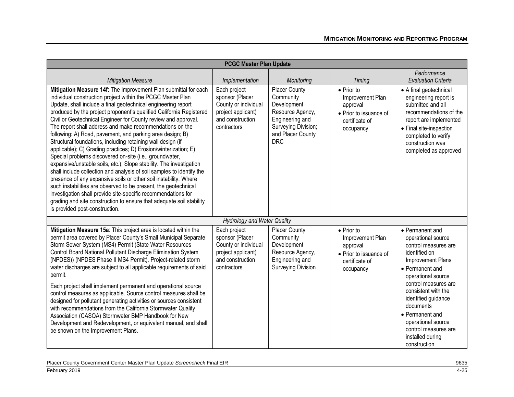|                                                                                                                                                                                                                                                                                                                                                                                                                                                                                                                                                                                                                                                                                                                                                                                                                                                                                                                                                                                                                                                                                                                                  | <b>PCGC Master Plan Update</b>                                                                                   |                                                                                                                                            |                                                                                                             |                                                                                                                                                                                                                                                                                                                                      |
|----------------------------------------------------------------------------------------------------------------------------------------------------------------------------------------------------------------------------------------------------------------------------------------------------------------------------------------------------------------------------------------------------------------------------------------------------------------------------------------------------------------------------------------------------------------------------------------------------------------------------------------------------------------------------------------------------------------------------------------------------------------------------------------------------------------------------------------------------------------------------------------------------------------------------------------------------------------------------------------------------------------------------------------------------------------------------------------------------------------------------------|------------------------------------------------------------------------------------------------------------------|--------------------------------------------------------------------------------------------------------------------------------------------|-------------------------------------------------------------------------------------------------------------|--------------------------------------------------------------------------------------------------------------------------------------------------------------------------------------------------------------------------------------------------------------------------------------------------------------------------------------|
| <b>Mitigation Measure</b>                                                                                                                                                                                                                                                                                                                                                                                                                                                                                                                                                                                                                                                                                                                                                                                                                                                                                                                                                                                                                                                                                                        | Implementation                                                                                                   | Monitoring                                                                                                                                 | <b>Timing</b>                                                                                               | Performance<br><b>Evaluation Criteria</b>                                                                                                                                                                                                                                                                                            |
| Mitigation Measure 14f: The Improvement Plan submittal for each<br>individual construction project within the PCGC Master Plan<br>Update, shall include a final geotechnical engineering report<br>produced by the project proponent's qualified California Registered<br>Civil or Geotechnical Engineer for County review and approval.<br>The report shall address and make recommendations on the<br>following: A) Road, pavement, and parking area design; B)<br>Structural foundations, including retaining wall design (if<br>applicable); C) Grading practices; D) Erosion/winterization; E)<br>Special problems discovered on-site (i.e., groundwater,<br>expansive/unstable soils, etc.); Slope stability. The investigation<br>shall include collection and analysis of soil samples to identify the<br>presence of any expansive soils or other soil instability. Where<br>such instabilities are observed to be present, the geotechnical<br>investigation shall provide site-specific recommendations for<br>grading and site construction to ensure that adequate soil stability<br>is provided post-construction. | Each project<br>sponsor (Placer<br>County or individual<br>project applicant)<br>and construction<br>contractors | Placer County<br>Community<br>Development<br>Resource Agency,<br>Engineering and<br>Surveying Division;<br>and Placer County<br><b>DRC</b> | • Prior to<br>Improvement Plan<br>approval<br>• Prior to issuance of<br>certificate of<br>occupancy         | • A final geotechnical<br>engineering report is<br>submitted and all<br>recommendations of the<br>report are implemented<br>• Final site-inspection<br>completed to verify<br>construction was<br>completed as approved                                                                                                              |
|                                                                                                                                                                                                                                                                                                                                                                                                                                                                                                                                                                                                                                                                                                                                                                                                                                                                                                                                                                                                                                                                                                                                  | <b>Hydrology and Water Quality</b>                                                                               |                                                                                                                                            |                                                                                                             |                                                                                                                                                                                                                                                                                                                                      |
| Mitigation Measure 15a: This project area is located within the<br>permit area covered by Placer County's Small Municipal Separate<br>Storm Sewer System (MS4) Permit (State Water Resources<br>Control Board National Pollutant Discharge Elimination System<br>(NPDES)) (NPDES Phase II MS4 Permit). Project-related storm<br>water discharges are subject to all applicable requirements of said<br>permit.<br>Each project shall implement permanent and operational source<br>control measures as applicable. Source control measures shall be<br>designed for pollutant generating activities or sources consistent<br>with recommendations from the California Stormwater Quality<br>Association (CASQA) Stormwater BMP Handbook for New<br>Development and Redevelopment, or equivalent manual, and shall<br>be shown on the Improvement Plans.                                                                                                                                                                                                                                                                          | Each project<br>sponsor (Placer<br>County or individual<br>project applicant)<br>and construction<br>contractors | <b>Placer County</b><br>Community<br>Development<br>Resource Agency,<br>Engineering and<br><b>Surveying Division</b>                       | $\bullet$ Prior to<br>Improvement Plan<br>approval<br>• Prior to issuance of<br>certificate of<br>occupancy | • Permanent and<br>operational source<br>control measures are<br>identified on<br>Improvement Plans<br>• Permanent and<br>operational source<br>control measures are<br>consistent with the<br>identified guidance<br>documents<br>• Permanent and<br>operational source<br>control measures are<br>installed during<br>construction |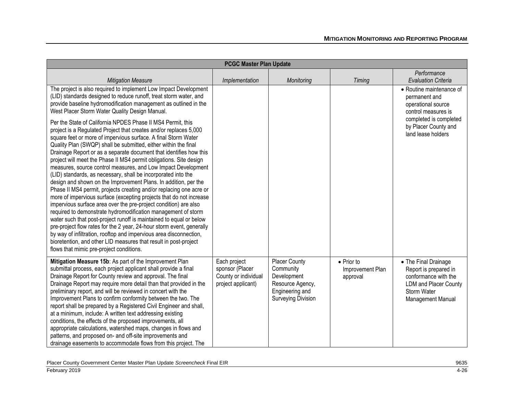| <b>PCGC Master Plan Update</b>                                                                                                                                                                                                                                                                                                                                                                                                                                                                                                                                                                                                                                                                                                                                                                                                                                                                                                                                                                                                                                                                                                                                                                                                                  |                                                                               |                                                                                                                      |                                                    |                                                                                                                                           |
|-------------------------------------------------------------------------------------------------------------------------------------------------------------------------------------------------------------------------------------------------------------------------------------------------------------------------------------------------------------------------------------------------------------------------------------------------------------------------------------------------------------------------------------------------------------------------------------------------------------------------------------------------------------------------------------------------------------------------------------------------------------------------------------------------------------------------------------------------------------------------------------------------------------------------------------------------------------------------------------------------------------------------------------------------------------------------------------------------------------------------------------------------------------------------------------------------------------------------------------------------|-------------------------------------------------------------------------------|----------------------------------------------------------------------------------------------------------------------|----------------------------------------------------|-------------------------------------------------------------------------------------------------------------------------------------------|
| <b>Mitigation Measure</b>                                                                                                                                                                                                                                                                                                                                                                                                                                                                                                                                                                                                                                                                                                                                                                                                                                                                                                                                                                                                                                                                                                                                                                                                                       | Implementation                                                                | Monitoring                                                                                                           | <b>Timing</b>                                      | Performance<br><b>Evaluation Criteria</b>                                                                                                 |
| The project is also required to implement Low Impact Development<br>(LID) standards designed to reduce runoff, treat storm water, and<br>provide baseline hydromodification management as outlined in the<br>West Placer Storm Water Quality Design Manual.                                                                                                                                                                                                                                                                                                                                                                                                                                                                                                                                                                                                                                                                                                                                                                                                                                                                                                                                                                                     |                                                                               |                                                                                                                      |                                                    | • Routine maintenance of<br>permanent and<br>operational source<br>control measures is                                                    |
| Per the State of California NPDES Phase II MS4 Permit, this<br>project is a Regulated Project that creates and/or replaces 5,000<br>square feet or more of impervious surface. A final Storm Water<br>Quality Plan (SWQP) shall be submitted, either within the final<br>Drainage Report or as a separate document that identifies how this<br>project will meet the Phase II MS4 permit obligations. Site design<br>measures, source control measures, and Low Impact Development<br>(LID) standards, as necessary, shall be incorporated into the<br>design and shown on the Improvement Plans. In addition, per the<br>Phase II MS4 permit, projects creating and/or replacing one acre or<br>more of impervious surface (excepting projects that do not increase<br>impervious surface area over the pre-project condition) are also<br>required to demonstrate hydromodification management of storm<br>water such that post-project runoff is maintained to equal or below<br>pre-project flow rates for the 2 year, 24-hour storm event, generally<br>by way of infiltration, rooftop and impervious area disconnection,<br>bioretention, and other LID measures that result in post-project<br>flows that mimic pre-project conditions. |                                                                               |                                                                                                                      |                                                    | completed is completed<br>by Placer County and<br>land lease holders                                                                      |
| Mitigation Measure 15b: As part of the Improvement Plan<br>submittal process, each project applicant shall provide a final<br>Drainage Report for County review and approval. The final<br>Drainage Report may require more detail than that provided in the<br>preliminary report, and will be reviewed in concert with the<br>Improvement Plans to confirm conformity between the two. The<br>report shall be prepared by a Registered Civil Engineer and shall,<br>at a minimum, include: A written text addressing existing<br>conditions, the effects of the proposed improvements, all<br>appropriate calculations, watershed maps, changes in flows and<br>patterns, and proposed on- and off-site improvements and<br>drainage easements to accommodate flows from this project. The                                                                                                                                                                                                                                                                                                                                                                                                                                                    | Each project<br>sponsor (Placer<br>County or individual<br>project applicant) | <b>Placer County</b><br>Community<br>Development<br>Resource Agency,<br>Engineering and<br><b>Surveying Division</b> | $\bullet$ Prior to<br>Improvement Plan<br>approval | • The Final Drainage<br>Report is prepared in<br>conformance with the<br><b>LDM</b> and Placer County<br>Storm Water<br>Management Manual |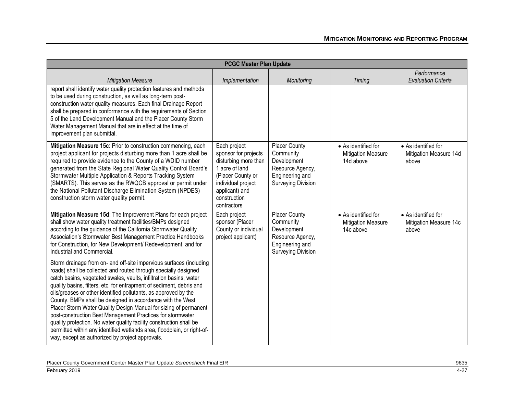| <b>PCGC Master Plan Update</b>                                                                                                                                                                                                                                                                                                                                                                                                                                                                                                                                                                                                                                                                                                                               |                                                                                                                                                                            |                                                                                                                      |                                                               |                                                        |
|--------------------------------------------------------------------------------------------------------------------------------------------------------------------------------------------------------------------------------------------------------------------------------------------------------------------------------------------------------------------------------------------------------------------------------------------------------------------------------------------------------------------------------------------------------------------------------------------------------------------------------------------------------------------------------------------------------------------------------------------------------------|----------------------------------------------------------------------------------------------------------------------------------------------------------------------------|----------------------------------------------------------------------------------------------------------------------|---------------------------------------------------------------|--------------------------------------------------------|
| <b>Mitigation Measure</b>                                                                                                                                                                                                                                                                                                                                                                                                                                                                                                                                                                                                                                                                                                                                    | Implementation                                                                                                                                                             | Monitoring                                                                                                           | <b>Timing</b>                                                 | Performance<br><b>Evaluation Criteria</b>              |
| report shall identify water quality protection features and methods<br>to be used during construction, as well as long-term post-<br>construction water quality measures. Each final Drainage Report<br>shall be prepared in conformance with the requirements of Section<br>5 of the Land Development Manual and the Placer County Storm<br>Water Management Manual that are in effect at the time of<br>improvement plan submittal.                                                                                                                                                                                                                                                                                                                        |                                                                                                                                                                            |                                                                                                                      |                                                               |                                                        |
| Mitigation Measure 15c: Prior to construction commencing, each<br>project applicant for projects disturbing more than 1 acre shall be<br>required to provide evidence to the County of a WDID number<br>generated from the State Regional Water Quality Control Board's<br>Stormwater Multiple Application & Reports Tracking System<br>(SMARTS). This serves as the RWQCB approval or permit under<br>the National Pollutant Discharge Elimination System (NPDES)<br>construction storm water quality permit.                                                                                                                                                                                                                                               | Each project<br>sponsor for projects<br>disturbing more than<br>1 acre of land<br>(Placer County or<br>individual project<br>applicant) and<br>construction<br>contractors | Placer County<br>Community<br>Development<br>Resource Agency,<br>Engineering and<br><b>Surveying Division</b>        | • As identified for<br><b>Mitigation Measure</b><br>14d above | • As identified for<br>Mitigation Measure 14d<br>above |
| Mitigation Measure 15d: The Improvement Plans for each project<br>shall show water quality treatment facilities/BMPs designed<br>according to the guidance of the California Stormwater Quality<br>Association's Stormwater Best Management Practice Handbooks<br>for Construction, for New Development/ Redevelopment, and for<br>Industrial and Commercial.                                                                                                                                                                                                                                                                                                                                                                                                | Each project<br>sponsor (Placer<br>County or individual<br>project applicant)                                                                                              | <b>Placer County</b><br>Community<br>Development<br>Resource Agency,<br>Engineering and<br><b>Surveying Division</b> | • As identified for<br><b>Mitigation Measure</b><br>14c above | • As identified for<br>Mitigation Measure 14c<br>above |
| Storm drainage from on- and off-site impervious surfaces (including<br>roads) shall be collected and routed through specially designed<br>catch basins, vegetated swales, vaults, infiltration basins, water<br>quality basins, filters, etc. for entrapment of sediment, debris and<br>oils/greases or other identified pollutants, as approved by the<br>County. BMPs shall be designed in accordance with the West<br>Placer Storm Water Quality Design Manual for sizing of permanent<br>post-construction Best Management Practices for stormwater<br>quality protection. No water quality facility construction shall be<br>permitted within any identified wetlands area, floodplain, or right-of-<br>way, except as authorized by project approvals. |                                                                                                                                                                            |                                                                                                                      |                                                               |                                                        |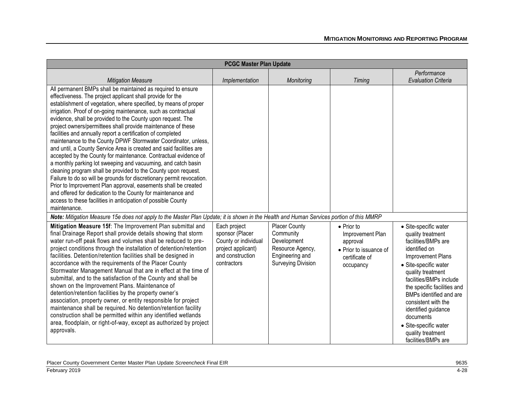|                                                                                                                                                                                                                                                                                                                                                                                                                                                                                                                                                                                                                                                                                                                                                                                                                                                                                                                                                                                                                                                                                                           | <b>PCGC Master Plan Update</b>                                                                                   |                                                                                                                      |                                                                                                             |                                                                                                                                                                                                                                                                                                                                                                            |
|-----------------------------------------------------------------------------------------------------------------------------------------------------------------------------------------------------------------------------------------------------------------------------------------------------------------------------------------------------------------------------------------------------------------------------------------------------------------------------------------------------------------------------------------------------------------------------------------------------------------------------------------------------------------------------------------------------------------------------------------------------------------------------------------------------------------------------------------------------------------------------------------------------------------------------------------------------------------------------------------------------------------------------------------------------------------------------------------------------------|------------------------------------------------------------------------------------------------------------------|----------------------------------------------------------------------------------------------------------------------|-------------------------------------------------------------------------------------------------------------|----------------------------------------------------------------------------------------------------------------------------------------------------------------------------------------------------------------------------------------------------------------------------------------------------------------------------------------------------------------------------|
| <b>Mitigation Measure</b>                                                                                                                                                                                                                                                                                                                                                                                                                                                                                                                                                                                                                                                                                                                                                                                                                                                                                                                                                                                                                                                                                 | Implementation                                                                                                   | Monitoring                                                                                                           | Timing                                                                                                      | Performance<br><b>Evaluation Criteria</b>                                                                                                                                                                                                                                                                                                                                  |
| All permanent BMPs shall be maintained as required to ensure<br>effectiveness. The project applicant shall provide for the<br>establishment of vegetation, where specified, by means of proper<br>irrigation. Proof of on-going maintenance, such as contractual<br>evidence, shall be provided to the County upon request. The<br>project owners/permittees shall provide maintenance of these<br>facilities and annually report a certification of completed<br>maintenance to the County DPWF Stormwater Coordinator, unless,<br>and until, a County Service Area is created and said facilities are<br>accepted by the County for maintenance. Contractual evidence of<br>a monthly parking lot sweeping and vacuuming, and catch basin<br>cleaning program shall be provided to the County upon request.<br>Failure to do so will be grounds for discretionary permit revocation.<br>Prior to Improvement Plan approval, easements shall be created<br>and offered for dedication to the County for maintenance and<br>access to these facilities in anticipation of possible County<br>maintenance. |                                                                                                                  |                                                                                                                      |                                                                                                             |                                                                                                                                                                                                                                                                                                                                                                            |
| Note: Mitigation Measure 15e does not apply to the Master Plan Update; it is shown in the Health and Human Services portion of this MMRP                                                                                                                                                                                                                                                                                                                                                                                                                                                                                                                                                                                                                                                                                                                                                                                                                                                                                                                                                                  |                                                                                                                  |                                                                                                                      |                                                                                                             |                                                                                                                                                                                                                                                                                                                                                                            |
| Mitigation Measure 15f: The Improvement Plan submittal and<br>final Drainage Report shall provide details showing that storm<br>water run-off peak flows and volumes shall be reduced to pre-<br>project conditions through the installation of detention/retention<br>facilities. Detention/retention facilities shall be designed in<br>accordance with the requirements of the Placer County<br>Stormwater Management Manual that are in effect at the time of<br>submittal, and to the satisfaction of the County and shall be<br>shown on the Improvement Plans. Maintenance of<br>detention/retention facilities by the property owner's<br>association, property owner, or entity responsible for project<br>maintenance shall be required. No detention/retention facility<br>construction shall be permitted within any identified wetlands<br>area, floodplain, or right-of-way, except as authorized by project<br>approvals.                                                                                                                                                                  | Each project<br>sponsor (Placer<br>County or individual<br>project applicant)<br>and construction<br>contractors | <b>Placer County</b><br>Community<br>Development<br>Resource Agency,<br>Engineering and<br><b>Surveying Division</b> | $\bullet$ Prior to<br>Improvement Plan<br>approval<br>• Prior to issuance of<br>certificate of<br>occupancy | · Site-specific water<br>quality treatment<br>facilities/BMPs are<br>identified on<br>Improvement Plans<br>• Site-specific water<br>quality treatment<br>facilities/BMPs include<br>the specific facilities and<br>BMPs identified and are<br>consistent with the<br>identified guidance<br>documents<br>· Site-specific water<br>quality treatment<br>facilities/BMPs are |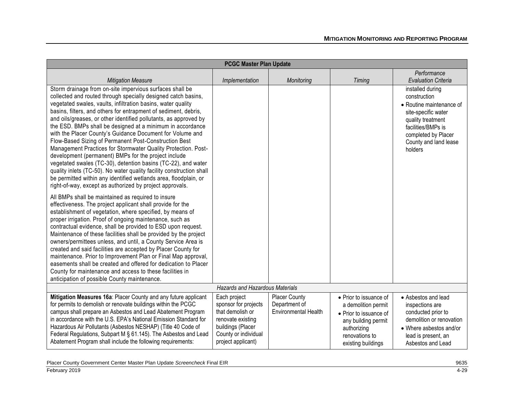|                                                                                                                                                                                                                                                                                                                                                                                                                                                                                                                                                                                                                                                                                                                                                                                                                                                                                                                        | <b>PCGC Master Plan Update</b>                                                                                                                   |                                                               |                                                                                                                                                       |                                                                                                                                                                                           |
|------------------------------------------------------------------------------------------------------------------------------------------------------------------------------------------------------------------------------------------------------------------------------------------------------------------------------------------------------------------------------------------------------------------------------------------------------------------------------------------------------------------------------------------------------------------------------------------------------------------------------------------------------------------------------------------------------------------------------------------------------------------------------------------------------------------------------------------------------------------------------------------------------------------------|--------------------------------------------------------------------------------------------------------------------------------------------------|---------------------------------------------------------------|-------------------------------------------------------------------------------------------------------------------------------------------------------|-------------------------------------------------------------------------------------------------------------------------------------------------------------------------------------------|
| <b>Mitigation Measure</b>                                                                                                                                                                                                                                                                                                                                                                                                                                                                                                                                                                                                                                                                                                                                                                                                                                                                                              | Implementation                                                                                                                                   | Monitoring                                                    | Timing                                                                                                                                                | Performance<br><b>Evaluation Criteria</b>                                                                                                                                                 |
| Storm drainage from on-site impervious surfaces shall be<br>collected and routed through specially designed catch basins,<br>vegetated swales, vaults, infiltration basins, water quality<br>basins, filters, and others for entrapment of sediment, debris,<br>and oils/greases, or other identified pollutants, as approved by<br>the ESD. BMPs shall be designed at a minimum in accordance<br>with the Placer County's Guidance Document for Volume and<br>Flow-Based Sizing of Permanent Post-Construction Best<br>Management Practices for Stormwater Quality Protection. Post-<br>development (permanent) BMPs for the project include<br>vegetated swales (TC-30), detention basins (TC-22), and water<br>quality inlets (TC-50). No water quality facility construction shall<br>be permitted within any identified wetlands area, floodplain, or<br>right-of-way, except as authorized by project approvals. |                                                                                                                                                  |                                                               |                                                                                                                                                       | installed during<br>construction<br>• Routine maintenance of<br>site-specific water<br>quality treatment<br>facilities/BMPs is<br>completed by Placer<br>County and land lease<br>holders |
| All BMPs shall be maintained as required to insure<br>effectiveness. The project applicant shall provide for the<br>establishment of vegetation, where specified, by means of<br>proper irrigation. Proof of ongoing maintenance, such as<br>contractual evidence, shall be provided to ESD upon request.<br>Maintenance of these facilities shall be provided by the project<br>owners/permittees unless, and until, a County Service Area is<br>created and said facilities are accepted by Placer County for<br>maintenance. Prior to Improvement Plan or Final Map approval,<br>easements shall be created and offered for dedication to Placer<br>County for maintenance and access to these facilities in<br>anticipation of possible County maintenance.                                                                                                                                                        |                                                                                                                                                  |                                                               |                                                                                                                                                       |                                                                                                                                                                                           |
|                                                                                                                                                                                                                                                                                                                                                                                                                                                                                                                                                                                                                                                                                                                                                                                                                                                                                                                        | <b>Hazards and Hazardous Materials</b>                                                                                                           |                                                               |                                                                                                                                                       |                                                                                                                                                                                           |
| Mitigation Measures 16a: Placer County and any future applicant<br>for permits to demolish or renovate buildings within the PCGC<br>campus shall prepare an Asbestos and Lead Abatement Program<br>in accordance with the U.S. EPA's National Emission Standard for<br>Hazardous Air Pollutants (Asbestos NESHAP) (Title 40 Code of<br>Federal Regulations, Subpart M § 61.145). The Asbestos and Lead<br>Abatement Program shall include the following requirements:                                                                                                                                                                                                                                                                                                                                                                                                                                                  | Each project<br>sponsor for projects<br>that demolish or<br>renovate existing<br>buildings (Placer<br>County or individual<br>project applicant) | Placer County<br>Department of<br><b>Environmental Health</b> | • Prior to issuance of<br>a demolition permit<br>• Prior to issuance of<br>any building permit<br>authorizing<br>renovations to<br>existing buildings | • Asbestos and lead<br>inspections are<br>conducted prior to<br>demolition or renovation<br>• Where asbestos and/or<br>lead is present, an<br>Asbestos and Lead                           |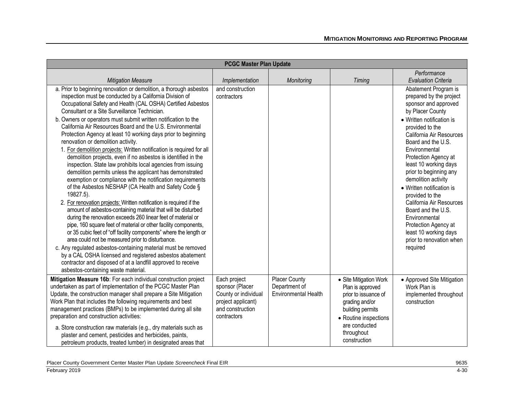| <b>PCGC Master Plan Update</b>                                                                                                                                                                                                                                                                                                                                                                                                                                                                                                                                                                                                                                                                                                                                                                                                                                                                                                                                                                                                                                                                                                                                                                                                                                                                                                                                                                                                                                                                                                       |                                                                                                                  |                                                               |                                                                                                                                                                                  |                                                                                                                                                                                                                                                                                                                                                                                                                                                                                                                              |  |
|--------------------------------------------------------------------------------------------------------------------------------------------------------------------------------------------------------------------------------------------------------------------------------------------------------------------------------------------------------------------------------------------------------------------------------------------------------------------------------------------------------------------------------------------------------------------------------------------------------------------------------------------------------------------------------------------------------------------------------------------------------------------------------------------------------------------------------------------------------------------------------------------------------------------------------------------------------------------------------------------------------------------------------------------------------------------------------------------------------------------------------------------------------------------------------------------------------------------------------------------------------------------------------------------------------------------------------------------------------------------------------------------------------------------------------------------------------------------------------------------------------------------------------------|------------------------------------------------------------------------------------------------------------------|---------------------------------------------------------------|----------------------------------------------------------------------------------------------------------------------------------------------------------------------------------|------------------------------------------------------------------------------------------------------------------------------------------------------------------------------------------------------------------------------------------------------------------------------------------------------------------------------------------------------------------------------------------------------------------------------------------------------------------------------------------------------------------------------|--|
| <b>Mitigation Measure</b>                                                                                                                                                                                                                                                                                                                                                                                                                                                                                                                                                                                                                                                                                                                                                                                                                                                                                                                                                                                                                                                                                                                                                                                                                                                                                                                                                                                                                                                                                                            | Implementation                                                                                                   | Monitoring                                                    | Timing                                                                                                                                                                           | Performance<br><b>Evaluation Criteria</b>                                                                                                                                                                                                                                                                                                                                                                                                                                                                                    |  |
| a. Prior to beginning renovation or demolition, a thorough asbestos<br>inspection must be conducted by a California Division of<br>Occupational Safety and Health (CAL OSHA) Certified Asbestos<br>Consultant or a Site Surveillance Technician.<br>b. Owners or operators must submit written notification to the<br>California Air Resources Board and the U.S. Environmental<br>Protection Agency at least 10 working days prior to beginning<br>renovation or demolition activity.<br>1. For demolition projects: Written notification is required for all<br>demolition projects, even if no asbestos is identified in the<br>inspection. State law prohibits local agencies from issuing<br>demolition permits unless the applicant has demonstrated<br>exemption or compliance with the notification requirements<br>of the Asbestos NESHAP (CA Health and Safety Code §<br>19827.5).<br>2. For renovation projects: Written notification is required if the<br>amount of asbestos-containing material that will be disturbed<br>during the renovation exceeds 260 linear feet of material or<br>pipe, 160 square feet of material or other facility components,<br>or 35 cubic feet of "off facility components" where the length or<br>area could not be measured prior to disturbance.<br>c. Any regulated asbestos-containing material must be removed<br>by a CAL OSHA licensed and registered asbestos abatement<br>contractor and disposed of at a landfill approved to receive<br>asbestos-containing waste material. | and construction<br>contractors                                                                                  |                                                               |                                                                                                                                                                                  | Abatement Program is<br>prepared by the project<br>sponsor and approved<br>by Placer County<br>• Written notification is<br>provided to the<br>California Air Resources<br>Board and the U.S.<br>Environmental<br>Protection Agency at<br>least 10 working days<br>prior to beginning any<br>demolition activity<br>• Written notification is<br>provided to the<br>California Air Resources<br>Board and the U.S.<br>Environmental<br>Protection Agency at<br>least 10 working days<br>prior to renovation when<br>required |  |
| Mitigation Measure 16b: For each individual construction project<br>undertaken as part of implementation of the PCGC Master Plan<br>Update, the construction manager shall prepare a Site Mitigation<br>Work Plan that includes the following requirements and best<br>management practices (BMPs) to be implemented during all site<br>preparation and construction activities:<br>a. Store construction raw materials (e.g., dry materials such as<br>plaster and cement, pesticides and herbicides, paints,<br>petroleum products, treated lumber) in designated areas that                                                                                                                                                                                                                                                                                                                                                                                                                                                                                                                                                                                                                                                                                                                                                                                                                                                                                                                                                       | Each project<br>sponsor (Placer<br>County or individual<br>project applicant)<br>and construction<br>contractors | Placer County<br>Department of<br><b>Environmental Health</b> | • Site Mitigation Work<br>Plan is approved<br>prior to issuance of<br>grading and/or<br>building permits<br>• Routine inspections<br>are conducted<br>throughout<br>construction | • Approved Site Mitigation<br>Work Plan is<br>implemented throughout<br>construction                                                                                                                                                                                                                                                                                                                                                                                                                                         |  |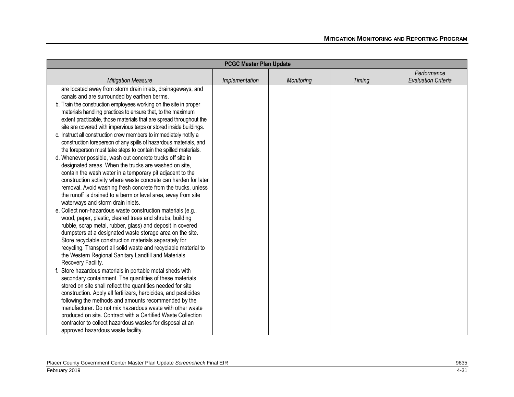| <b>PCGC Master Plan Update</b>                                                                                           |                |            |               |                            |
|--------------------------------------------------------------------------------------------------------------------------|----------------|------------|---------------|----------------------------|
|                                                                                                                          |                |            |               | Performance                |
| <b>Mitigation Measure</b>                                                                                                | Implementation | Monitoring | <b>Timing</b> | <b>Evaluation Criteria</b> |
| are located away from storm drain inlets, drainageways, and                                                              |                |            |               |                            |
| canals and are surrounded by earthen berms.                                                                              |                |            |               |                            |
| b. Train the construction employees working on the site in proper                                                        |                |            |               |                            |
| materials handling practices to ensure that, to the maximum                                                              |                |            |               |                            |
| extent practicable, those materials that are spread throughout the                                                       |                |            |               |                            |
| site are covered with impervious tarps or stored inside buildings.                                                       |                |            |               |                            |
| c. Instruct all construction crew members to immediately notify a                                                        |                |            |               |                            |
| construction foreperson of any spills of hazardous materials, and                                                        |                |            |               |                            |
| the foreperson must take steps to contain the spilled materials.                                                         |                |            |               |                            |
| d. Whenever possible, wash out concrete trucks off site in                                                               |                |            |               |                            |
| designated areas. When the trucks are washed on site,                                                                    |                |            |               |                            |
| contain the wash water in a temporary pit adjacent to the                                                                |                |            |               |                            |
| construction activity where waste concrete can harden for later                                                          |                |            |               |                            |
| removal. Avoid washing fresh concrete from the trucks, unless                                                            |                |            |               |                            |
| the runoff is drained to a berm or level area, away from site                                                            |                |            |               |                            |
| waterways and storm drain inlets.                                                                                        |                |            |               |                            |
| e. Collect non-hazardous waste construction materials (e.g.,<br>wood, paper, plastic, cleared trees and shrubs, building |                |            |               |                            |
| rubble, scrap metal, rubber, glass) and deposit in covered                                                               |                |            |               |                            |
| dumpsters at a designated waste storage area on the site.                                                                |                |            |               |                            |
| Store recyclable construction materials separately for                                                                   |                |            |               |                            |
| recycling. Transport all solid waste and recyclable material to                                                          |                |            |               |                            |
| the Western Regional Sanitary Landfill and Materials                                                                     |                |            |               |                            |
| Recovery Facility.                                                                                                       |                |            |               |                            |
| Store hazardous materials in portable metal sheds with                                                                   |                |            |               |                            |
| secondary containment. The quantities of these materials                                                                 |                |            |               |                            |
| stored on site shall reflect the quantities needed for site                                                              |                |            |               |                            |
| construction. Apply all fertilizers, herbicides, and pesticides                                                          |                |            |               |                            |
| following the methods and amounts recommended by the                                                                     |                |            |               |                            |
| manufacturer. Do not mix hazardous waste with other waste                                                                |                |            |               |                            |
| produced on site. Contract with a Certified Waste Collection                                                             |                |            |               |                            |
| contractor to collect hazardous wastes for disposal at an                                                                |                |            |               |                            |
| approved hazardous waste facility.                                                                                       |                |            |               |                            |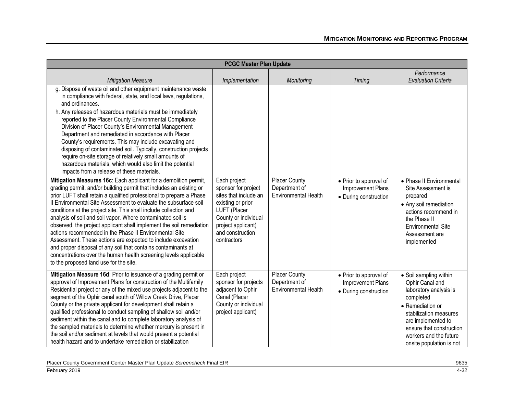| <b>PCGC Master Plan Update</b>                                                                                                                                                                                                                                                                                                                                                                                                                                                                                                                                                                                                                                                                                                                                                                          |                                                                                                                                                                                    |                                                                      |                                                                             |                                                                                                                                                                                                                                        |
|---------------------------------------------------------------------------------------------------------------------------------------------------------------------------------------------------------------------------------------------------------------------------------------------------------------------------------------------------------------------------------------------------------------------------------------------------------------------------------------------------------------------------------------------------------------------------------------------------------------------------------------------------------------------------------------------------------------------------------------------------------------------------------------------------------|------------------------------------------------------------------------------------------------------------------------------------------------------------------------------------|----------------------------------------------------------------------|-----------------------------------------------------------------------------|----------------------------------------------------------------------------------------------------------------------------------------------------------------------------------------------------------------------------------------|
| <b>Mitigation Measure</b>                                                                                                                                                                                                                                                                                                                                                                                                                                                                                                                                                                                                                                                                                                                                                                               | Implementation                                                                                                                                                                     | Monitoring                                                           | <b>Timing</b>                                                               | Performance<br><b>Evaluation Criteria</b>                                                                                                                                                                                              |
| g. Dispose of waste oil and other equipment maintenance waste<br>in compliance with federal, state, and local laws, regulations,<br>and ordinances.<br>h. Any releases of hazardous materials must be immediately<br>reported to the Placer County Environmental Compliance<br>Division of Placer County's Environmental Management<br>Department and remediated in accordance with Placer<br>County's requirements. This may include excavating and<br>disposing of contaminated soil. Typically, construction projects<br>require on-site storage of relatively small amounts of<br>hazardous materials, which would also limit the potential<br>impacts from a release of these materials.                                                                                                           |                                                                                                                                                                                    |                                                                      |                                                                             |                                                                                                                                                                                                                                        |
| Mitigation Measures 16c: Each applicant for a demolition permit,<br>grading permit, and/or building permit that includes an existing or<br>prior LUFT shall retain a qualified professional to prepare a Phase<br>Il Environmental Site Assessment to evaluate the subsurface soil<br>conditions at the project site. This shall include collection and<br>analysis of soil and soil vapor. Where contaminated soil is<br>observed, the project applicant shall implement the soil remediation<br>actions recommended in the Phase II Environmental Site<br>Assessment. These actions are expected to include excavation<br>and proper disposal of any soil that contains contaminants at<br>concentrations over the human health screening levels applicable<br>to the proposed land use for the site. | Each project<br>sponsor for project<br>sites that include an<br>existing or prior<br>LUFT (Placer<br>County or individual<br>project applicant)<br>and construction<br>contractors | <b>Placer County</b><br>Department of<br><b>Environmental Health</b> | • Prior to approval of<br>Improvement Plans<br>• During construction        | • Phase II Environmental<br>Site Assessment is<br>prepared<br>• Any soil remediation<br>actions recommend in<br>the Phase II<br><b>Environmental Site</b><br>Assessment are<br>implemented                                             |
| Mitigation Measure 16d: Prior to issuance of a grading permit or<br>approval of Improvement Plans for construction of the Multifamily<br>Residential project or any of the mixed use projects adjacent to the<br>segment of the Ophir canal south of Willow Creek Drive, Placer<br>County or the private applicant for development shall retain a<br>qualified professional to conduct sampling of shallow soil and/or<br>sediment within the canal and to complete laboratory analysis of<br>the sampled materials to determine whether mercury is present in<br>the soil and/or sediment at levels that would present a potential<br>health hazard and to undertake remediation or stabilization                                                                                                      | Each project<br>sponsor for projects<br>adjacent to Ophir<br>Canal (Placer<br>County or individual<br>project applicant)                                                           | <b>Placer County</b><br>Department of<br>Environmental Health        | • Prior to approval of<br><b>Improvement Plans</b><br>• During construction | • Soil sampling within<br>Ophir Canal and<br>laboratory analysis is<br>completed<br>• Remediation or<br>stabilization measures<br>are implemented to<br>ensure that construction<br>workers and the future<br>onsite population is not |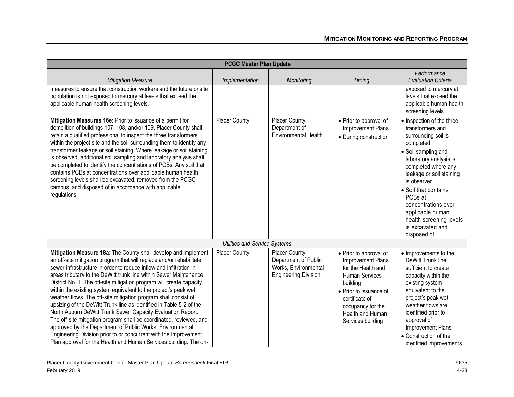| <b>PCGC Master Plan Update</b>                                                                                                                                                                                                                                                                                                                                                                                                                                                                                                                                                                                                                                                                                                                                                                                                                                                                                     |                                      |                                                                                                     |                                                                                                                                                                                                           |                                                                                                                                                                                                                                                                                                                                                  |  |
|--------------------------------------------------------------------------------------------------------------------------------------------------------------------------------------------------------------------------------------------------------------------------------------------------------------------------------------------------------------------------------------------------------------------------------------------------------------------------------------------------------------------------------------------------------------------------------------------------------------------------------------------------------------------------------------------------------------------------------------------------------------------------------------------------------------------------------------------------------------------------------------------------------------------|--------------------------------------|-----------------------------------------------------------------------------------------------------|-----------------------------------------------------------------------------------------------------------------------------------------------------------------------------------------------------------|--------------------------------------------------------------------------------------------------------------------------------------------------------------------------------------------------------------------------------------------------------------------------------------------------------------------------------------------------|--|
| <b>Mitigation Measure</b>                                                                                                                                                                                                                                                                                                                                                                                                                                                                                                                                                                                                                                                                                                                                                                                                                                                                                          | Implementation                       | Monitoring                                                                                          | Timing                                                                                                                                                                                                    | Performance<br><b>Evaluation Criteria</b>                                                                                                                                                                                                                                                                                                        |  |
| measures to ensure that construction workers and the future onsite<br>population is not exposed to mercury at levels that exceed the<br>applicable human health screening levels.                                                                                                                                                                                                                                                                                                                                                                                                                                                                                                                                                                                                                                                                                                                                  |                                      |                                                                                                     |                                                                                                                                                                                                           | exposed to mercury at<br>levels that exceed the<br>applicable human health<br>screening levels                                                                                                                                                                                                                                                   |  |
| Mitigation Measures 16e: Prior to issuance of a permit for<br>demolition of buildings 107, 108, and/or 109, Placer County shall<br>retain a qualified professional to inspect the three transformers<br>within the project site and the soil surrounding them to identify any<br>transformer leakage or soil staining. Where leakage or soil staining<br>is observed, additional soil sampling and laboratory analysis shall<br>be completed to identify the concentrations of PCBs. Any soil that<br>contains PCBs at concentrations over applicable human health<br>screening levels shall be excavated, removed from the PCGC<br>campus, and disposed of in accordance with applicable<br>regulations.                                                                                                                                                                                                          | Placer County                        | <b>Placer County</b><br>Department of<br><b>Environmental Health</b>                                | • Prior to approval of<br>Improvement Plans<br>• During construction                                                                                                                                      | • Inspection of the three<br>transformers and<br>surrounding soil is<br>completed<br>• Soil sampling and<br>laboratory analysis is<br>completed where any<br>leakage or soil staining<br>is observed<br>• Soil that contains<br>PCBs at<br>concentrations over<br>applicable human<br>health screening levels<br>is excavated and<br>disposed of |  |
|                                                                                                                                                                                                                                                                                                                                                                                                                                                                                                                                                                                                                                                                                                                                                                                                                                                                                                                    | <b>Utilities and Service Systems</b> |                                                                                                     |                                                                                                                                                                                                           |                                                                                                                                                                                                                                                                                                                                                  |  |
| Mitigation Measure 18a: The County shall develop and implement<br>an off-site mitigation program that will replace and/or rehabilitate<br>sewer infrastructure in order to reduce inflow and infiltration in<br>areas tributary to the DeWitt trunk line within Sewer Maintenance<br>District No. 1. The off-site mitigation program will create capacity<br>within the existing system equivalent to the project's peak wet<br>weather flows. The off-site mitigation program shall consist of<br>upsizing of the DeWitt Trunk line as identified in Table 5-2 of the<br>North Auburn DeWitt Trunk Sewer Capacity Evaluation Report.<br>The off-site mitigation program shall be coordinated, reviewed, and<br>approved by the Department of Public Works, Environmental<br>Engineering Division prior to or concurrent with the Improvement<br>Plan approval for the Health and Human Services building. The on- | <b>Placer County</b>                 | <b>Placer County</b><br>Department of Public<br>Works, Environmental<br><b>Engineering Division</b> | • Prior to approval of<br>Improvement Plans<br>for the Health and<br>Human Services<br>building<br>• Prior to issuance of<br>certificate of<br>occupancy for the<br>Health and Human<br>Services building | • Improvements to the<br>DeWitt Trunk line<br>sufficient to create<br>capacity within the<br>existing system<br>equivalent to the<br>project's peak wet<br>weather flows are<br>identified prior to<br>approval of<br>Improvement Plans<br>• Construction of the<br>identified improvements                                                      |  |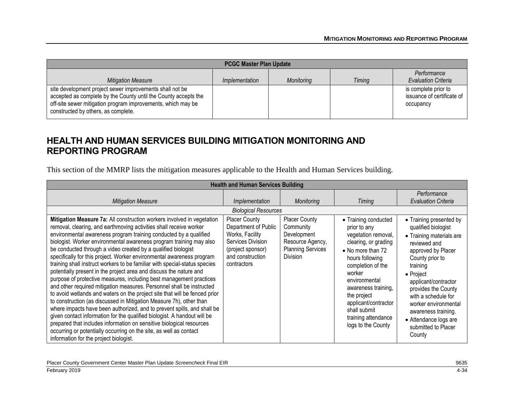| <b>PCGC Master Plan Update</b>                                                                                                                                                                                                     |                |            |               |                                                                 |  |
|------------------------------------------------------------------------------------------------------------------------------------------------------------------------------------------------------------------------------------|----------------|------------|---------------|-----------------------------------------------------------------|--|
| <b>Mitigation Measure</b>                                                                                                                                                                                                          | Implementation | Monitoring | <b>Timing</b> | Performance<br><b>Evaluation Criteria</b>                       |  |
| site development project sewer improvements shall not be<br>accepted as complete by the County until the County accepts the<br>off-site sewer mitigation program improvements, which may be<br>constructed by others, as complete. |                |            |               | is complete prior to<br>issuance of certificate of<br>occupancy |  |

### **HEALTH AND HUMAN SERVICES BUILDING MITIGATION MONITORING AND REPORTING PROGRAM**

This section of the MMRP lists the mitigation measures applicable to the Health and Human Services building.

| <b>Health and Human Services Building</b>                                                                                                                                                                                                                                                                                                                                                                                                                                                                                                                                                                                                                                                                                                                                                                                                                                                                                                                                                                                                                                                                                                                                                                                                  |                                                                                                                                              |                                                                                                              |                                                                                                                                                                                                                                                                                                        |                                                                                                                                                                                                                                                                                                                                             |  |
|--------------------------------------------------------------------------------------------------------------------------------------------------------------------------------------------------------------------------------------------------------------------------------------------------------------------------------------------------------------------------------------------------------------------------------------------------------------------------------------------------------------------------------------------------------------------------------------------------------------------------------------------------------------------------------------------------------------------------------------------------------------------------------------------------------------------------------------------------------------------------------------------------------------------------------------------------------------------------------------------------------------------------------------------------------------------------------------------------------------------------------------------------------------------------------------------------------------------------------------------|----------------------------------------------------------------------------------------------------------------------------------------------|--------------------------------------------------------------------------------------------------------------|--------------------------------------------------------------------------------------------------------------------------------------------------------------------------------------------------------------------------------------------------------------------------------------------------------|---------------------------------------------------------------------------------------------------------------------------------------------------------------------------------------------------------------------------------------------------------------------------------------------------------------------------------------------|--|
| <b>Mitigation Measure</b>                                                                                                                                                                                                                                                                                                                                                                                                                                                                                                                                                                                                                                                                                                                                                                                                                                                                                                                                                                                                                                                                                                                                                                                                                  | Implementation                                                                                                                               | <b>Monitoring</b>                                                                                            | Timing                                                                                                                                                                                                                                                                                                 | Performance<br><b>Evaluation Criteria</b>                                                                                                                                                                                                                                                                                                   |  |
|                                                                                                                                                                                                                                                                                                                                                                                                                                                                                                                                                                                                                                                                                                                                                                                                                                                                                                                                                                                                                                                                                                                                                                                                                                            | <b>Biological Resources</b>                                                                                                                  |                                                                                                              |                                                                                                                                                                                                                                                                                                        |                                                                                                                                                                                                                                                                                                                                             |  |
| Mitigation Measure 7a: All construction workers involved in vegetation<br>removal, clearing, and earthmoving activities shall receive worker<br>environmental awareness program training conducted by a qualified<br>biologist. Worker environmental awareness program training may also<br>be conducted through a video created by a qualified biologist<br>specifically for this project. Worker environmental awareness program<br>training shall instruct workers to be familiar with special-status species<br>potentially present in the project area and discuss the nature and<br>purpose of protective measures, including best management practices<br>and other required mitigation measures. Personnel shall be instructed<br>to avoid wetlands and waters on the project site that will be fenced prior<br>to construction (as discussed in Mitigation Measure 7h), other than<br>where impacts have been authorized, and to prevent spills, and shall be<br>given contact information for the qualified biologist. A handout will be<br>prepared that includes information on sensitive biological resources<br>occurring or potentially occurring on the site, as well as contact<br>information for the project biologist. | <b>Placer County</b><br>Department of Public<br>Works, Facility<br>Services Division<br>(project sponsor)<br>and construction<br>contractors | <b>Placer County</b><br>Community<br>Development<br>Resource Agency,<br><b>Planning Services</b><br>Division | • Training conducted<br>prior to any<br>vegetation removal,<br>clearing, or grading<br>• No more than 72<br>hours following<br>completion of the<br>worker<br>environmental<br>awareness training,<br>the project<br>applicant/contractor<br>shall submit<br>training attendance<br>logs to the County | • Training presented by<br>qualified biologist<br>• Training materials are<br>reviewed and<br>approved by Placer<br>County prior to<br>training<br>• Project<br>applicant/contractor<br>provides the County<br>with a schedule for<br>worker environmental<br>awareness training.<br>• Attendance logs are<br>submitted to Placer<br>County |  |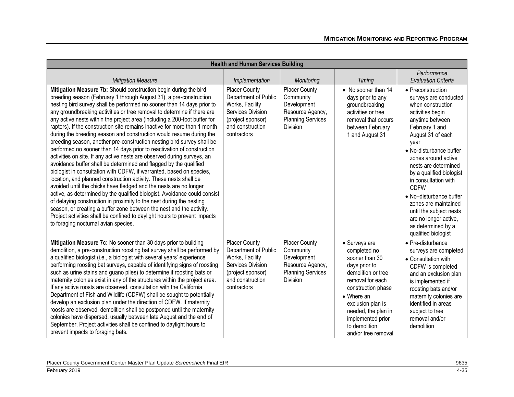| <b>Health and Human Services Building</b>                                                                                                                                                                                                                                                                                                                                                                                                                                                                                                                                                                                                                                                                                                                                                                                                                                                                                                                                                                                                                                                                                                                                                                                                                                                                                                                                                            |                                                                                                                                              |                                                                                                                     |                                                                                                                                                                                                                                                                 |                                                                                                                                                                                                                                                                                                                                                                                                                                                        |
|------------------------------------------------------------------------------------------------------------------------------------------------------------------------------------------------------------------------------------------------------------------------------------------------------------------------------------------------------------------------------------------------------------------------------------------------------------------------------------------------------------------------------------------------------------------------------------------------------------------------------------------------------------------------------------------------------------------------------------------------------------------------------------------------------------------------------------------------------------------------------------------------------------------------------------------------------------------------------------------------------------------------------------------------------------------------------------------------------------------------------------------------------------------------------------------------------------------------------------------------------------------------------------------------------------------------------------------------------------------------------------------------------|----------------------------------------------------------------------------------------------------------------------------------------------|---------------------------------------------------------------------------------------------------------------------|-----------------------------------------------------------------------------------------------------------------------------------------------------------------------------------------------------------------------------------------------------------------|--------------------------------------------------------------------------------------------------------------------------------------------------------------------------------------------------------------------------------------------------------------------------------------------------------------------------------------------------------------------------------------------------------------------------------------------------------|
| <b>Mitigation Measure</b>                                                                                                                                                                                                                                                                                                                                                                                                                                                                                                                                                                                                                                                                                                                                                                                                                                                                                                                                                                                                                                                                                                                                                                                                                                                                                                                                                                            | Implementation                                                                                                                               | Monitoring                                                                                                          | Timing                                                                                                                                                                                                                                                          | Performance<br><b>Evaluation Criteria</b>                                                                                                                                                                                                                                                                                                                                                                                                              |
| Mitigation Measure 7b: Should construction begin during the bird<br>breeding season (February 1 through August 31), a pre-construction<br>nesting bird survey shall be performed no sooner than 14 days prior to<br>any groundbreaking activities or tree removal to determine if there are<br>any active nests within the project area (including a 200-foot buffer for<br>raptors). If the construction site remains inactive for more than 1 month<br>during the breeding season and construction would resume during the<br>breeding season, another pre-construction nesting bird survey shall be<br>performed no sooner than 14 days prior to reactivation of construction<br>activities on site. If any active nests are observed during surveys, an<br>avoidance buffer shall be determined and flagged by the qualified<br>biologist in consultation with CDFW, if warranted, based on species,<br>location, and planned construction activity. These nests shall be<br>avoided until the chicks have fledged and the nests are no longer<br>active, as determined by the qualified biologist. Avoidance could consist<br>of delaying construction in proximity to the nest during the nesting<br>season, or creating a buffer zone between the nest and the activity.<br>Project activities shall be confined to daylight hours to prevent impacts<br>to foraging nocturnal avian species. | <b>Placer County</b><br>Department of Public<br>Works, Facility<br>Services Division<br>(project sponsor)<br>and construction<br>contractors | <b>Placer County</b><br>Community<br>Development<br>Resource Agency,<br><b>Planning Services</b><br><b>Division</b> | • No sooner than 14<br>days prior to any<br>groundbreaking<br>activities or tree<br>removal that occurs<br>between February<br>1 and August 31                                                                                                                  | • Preconstruction<br>surveys are conducted<br>when construction<br>activities begin<br>anytime between<br>February 1 and<br>August 31 of each<br>vear<br>• No-disturbance buffer<br>zones around active<br>nests are determined<br>by a qualified biologist<br>in consultation with<br><b>CDFW</b><br>• No-disturbance buffer<br>zones are maintained<br>until the subject nests<br>are no longer active,<br>as determined by a<br>qualified biologist |
| Mitigation Measure 7c: No sooner than 30 days prior to building<br>demolition, a pre-construction roosting bat survey shall be performed by<br>a qualified biologist (i.e., a biologist with several years' experience<br>performing roosting bat surveys, capable of identifying signs of roosting<br>such as urine stains and guano piles) to determine if roosting bats or<br>maternity colonies exist in any of the structures within the project area.<br>If any active roosts are observed, consultation with the California<br>Department of Fish and Wildlife (CDFW) shall be sought to potentially<br>develop an exclusion plan under the direction of CDFW. If maternity<br>roosts are observed, demolition shall be postponed until the maternity<br>colonies have dispersed, usually between late August and the end of<br>September. Project activities shall be confined to daylight hours to<br>prevent impacts to foraging bats.                                                                                                                                                                                                                                                                                                                                                                                                                                                     | <b>Placer County</b><br>Department of Public<br>Works, Facility<br>Services Division<br>(project sponsor)<br>and construction<br>contractors | <b>Placer County</b><br>Community<br>Development<br>Resource Agency,<br><b>Planning Services</b><br><b>Division</b> | • Surveys are<br>completed no<br>sooner than 30<br>days prior to<br>demolition or tree<br>removal for each<br>construction phase<br>$\bullet$ Where an<br>exclusion plan is<br>needed, the plan in<br>implemented prior<br>to demolition<br>and/or tree removal | • Pre-disturbance<br>surveys are completed<br>• Consultation with<br>CDFW is completed<br>and an exclusion plan<br>is implemented if<br>roosting bats and/or<br>maternity colonies are<br>identified in areas<br>subject to tree<br>removal and/or<br>demolition                                                                                                                                                                                       |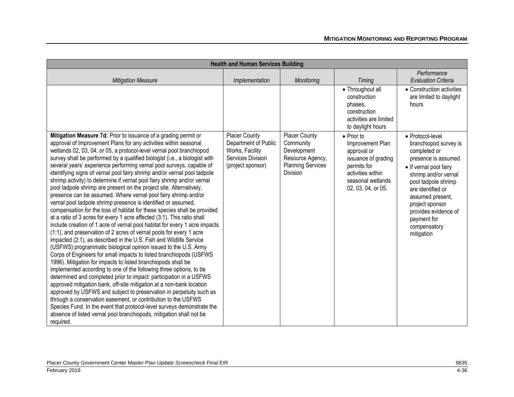| <b>Health and Human Services Building</b>                                                                                                                                                                                                                                                                                                                                                                                                                                                                                                                                                                                                                                                                                                                                                                                                                                                                                                                                                                                                                                                                                                                                                                                                                                                                                                                                                                                                                                                                                                                                                                                                                                                                                                                                                                                                                |                                                                                                           |                                                                                                                     |                                                                                                                                                             |                                                                                                                                                                                                                                                                                            |
|----------------------------------------------------------------------------------------------------------------------------------------------------------------------------------------------------------------------------------------------------------------------------------------------------------------------------------------------------------------------------------------------------------------------------------------------------------------------------------------------------------------------------------------------------------------------------------------------------------------------------------------------------------------------------------------------------------------------------------------------------------------------------------------------------------------------------------------------------------------------------------------------------------------------------------------------------------------------------------------------------------------------------------------------------------------------------------------------------------------------------------------------------------------------------------------------------------------------------------------------------------------------------------------------------------------------------------------------------------------------------------------------------------------------------------------------------------------------------------------------------------------------------------------------------------------------------------------------------------------------------------------------------------------------------------------------------------------------------------------------------------------------------------------------------------------------------------------------------------|-----------------------------------------------------------------------------------------------------------|---------------------------------------------------------------------------------------------------------------------|-------------------------------------------------------------------------------------------------------------------------------------------------------------|--------------------------------------------------------------------------------------------------------------------------------------------------------------------------------------------------------------------------------------------------------------------------------------------|
|                                                                                                                                                                                                                                                                                                                                                                                                                                                                                                                                                                                                                                                                                                                                                                                                                                                                                                                                                                                                                                                                                                                                                                                                                                                                                                                                                                                                                                                                                                                                                                                                                                                                                                                                                                                                                                                          |                                                                                                           |                                                                                                                     |                                                                                                                                                             | Performance                                                                                                                                                                                                                                                                                |
| <b>Mitigation Measure</b>                                                                                                                                                                                                                                                                                                                                                                                                                                                                                                                                                                                                                                                                                                                                                                                                                                                                                                                                                                                                                                                                                                                                                                                                                                                                                                                                                                                                                                                                                                                                                                                                                                                                                                                                                                                                                                | Implementation                                                                                            | Monitoring                                                                                                          | <b>Timing</b>                                                                                                                                               | <b>Evaluation Criteria</b>                                                                                                                                                                                                                                                                 |
|                                                                                                                                                                                                                                                                                                                                                                                                                                                                                                                                                                                                                                                                                                                                                                                                                                                                                                                                                                                                                                                                                                                                                                                                                                                                                                                                                                                                                                                                                                                                                                                                                                                                                                                                                                                                                                                          |                                                                                                           |                                                                                                                     | • Throughout all<br>construction<br>phases.<br>construction<br>activities are limited<br>to daylight hours                                                  | • Construction activities<br>are limited to daylight<br>hours                                                                                                                                                                                                                              |
| Mitigation Measure 7d: Prior to issuance of a grading permit or<br>approval of Improvement Plans for any activities within seasonal<br>wetlands 02, 03, 04, or 05, a protocol-level vernal pool branchiopod<br>survey shall be performed by a qualified biologist (i.e., a biologist with<br>several years' experience performing vernal pool surveys, capable of<br>identifying signs of vernal pool fairy shrimp and/or vernal pool tadpole<br>shrimp activity) to determine if vernal pool fairy shrimp and/or vernal<br>pool tadpole shrimp are present on the project site. Alternatively,<br>presence can be assumed. Where vernal pool fairy shrimp and/or<br>vernal pool tadpole shrimp presence is identified or assumed,<br>compensation for the loss of habitat for these species shall be provided<br>at a ratio of 3 acres for every 1 acre affected (3:1). This ratio shall<br>include creation of 1 acre of vernal pool habitat for every 1 acre impacts<br>(1:1), and preservation of 2 acres of vernal pools for every 1 acre<br>impacted (2:1), as described in the U.S. Fish and Wildlife Service<br>(USFWS) programmatic biological opinion issued to the U.S. Army<br>Corps of Engineers for small impacts to listed branchiopods (USFWS<br>1996). Mitigation for impacts to listed branchiopods shall be<br>implemented according to one of the following three options, to be<br>determined and completed prior to impact: participation in a USFWS<br>approved mitigation bank, off-site mitigation at a non-bank location<br>approved by USFWS and subject to preservation in perpetuity such as<br>through a conservation easement, or contribution to the USFWS<br>Species Fund. In the event that protocol-level surveys demonstrate the<br>absence of listed vernal pool branchiopods, mitigation shall not be<br>required. | <b>Placer County</b><br>Department of Public<br>Works, Facility<br>Services Division<br>(project sponsor) | <b>Placer County</b><br>Community<br>Development<br>Resource Agency,<br><b>Planning Services</b><br><b>Division</b> | $\bullet$ Prior to<br>Improvement Plan<br>approval or<br>issuance of grading<br>permits for<br>activities within<br>seasonal wetlands<br>02, 03, 04, or 05. | • Protocol-level<br>branchiopod survey is<br>completed or<br>presence is assumed<br>• If vernal pool fairy<br>shrimp and/or vernal<br>pool tadpole shrimp<br>are identified or<br>assumed present,<br>project sponsor<br>provides evidence of<br>payment for<br>compensatory<br>mitigation |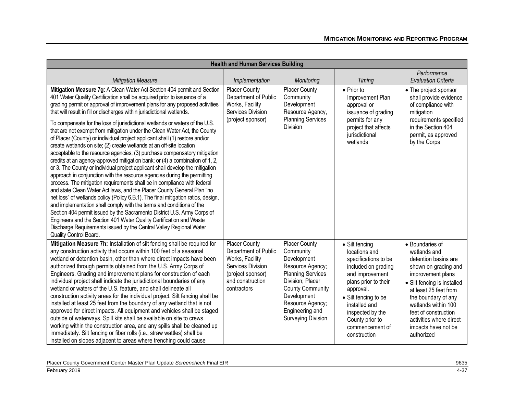| <b>Health and Human Services Building</b>                                                                                                                                                                                                                                                                                                                                                                                                                                                                                                                                                                                                                                                                                                                                                                                                                                                                                                                                                                                                                                                                                                                                                                                                                                                                                                                                                                                                                                                                                      |                                                                                                                                              |                                                                                                                                                                                                                                    |                                                                                                                                                                                                                                                           |                                                                                                                                                                                                                                                                                                    |
|--------------------------------------------------------------------------------------------------------------------------------------------------------------------------------------------------------------------------------------------------------------------------------------------------------------------------------------------------------------------------------------------------------------------------------------------------------------------------------------------------------------------------------------------------------------------------------------------------------------------------------------------------------------------------------------------------------------------------------------------------------------------------------------------------------------------------------------------------------------------------------------------------------------------------------------------------------------------------------------------------------------------------------------------------------------------------------------------------------------------------------------------------------------------------------------------------------------------------------------------------------------------------------------------------------------------------------------------------------------------------------------------------------------------------------------------------------------------------------------------------------------------------------|----------------------------------------------------------------------------------------------------------------------------------------------|------------------------------------------------------------------------------------------------------------------------------------------------------------------------------------------------------------------------------------|-----------------------------------------------------------------------------------------------------------------------------------------------------------------------------------------------------------------------------------------------------------|----------------------------------------------------------------------------------------------------------------------------------------------------------------------------------------------------------------------------------------------------------------------------------------------------|
| <b>Mitigation Measure</b>                                                                                                                                                                                                                                                                                                                                                                                                                                                                                                                                                                                                                                                                                                                                                                                                                                                                                                                                                                                                                                                                                                                                                                                                                                                                                                                                                                                                                                                                                                      | Implementation                                                                                                                               | Monitoring                                                                                                                                                                                                                         | Timing                                                                                                                                                                                                                                                    | Performance<br><b>Evaluation Criteria</b>                                                                                                                                                                                                                                                          |
| Mitigation Measure 7g: A Clean Water Act Section 404 permit and Section<br>401 Water Quality Certification shall be acquired prior to issuance of a<br>grading permit or approval of improvement plans for any proposed activities<br>that will result in fill or discharges within jurisdictional wetlands.<br>To compensate for the loss of jurisdictional wetlands or waters of the U.S.<br>that are not exempt from mitigation under the Clean Water Act, the County<br>of Placer (County) or individual project applicant shall (1) restore and/or<br>create wetlands on site; (2) create wetlands at an off-site location<br>acceptable to the resource agencies; (3) purchase compensatory mitigation<br>credits at an agency-approved mitigation bank; or (4) a combination of 1, 2,<br>or 3. The County or individual project applicant shall develop the mitigation<br>approach in conjunction with the resource agencies during the permitting<br>process. The mitigation requirements shall be in compliance with federal<br>and state Clean Water Act laws, and the Placer County General Plan "no<br>net loss" of wetlands policy (Policy 6.B.1). The final mitigation ratios, design,<br>and implementation shall comply with the terms and conditions of the<br>Section 404 permit issued by the Sacramento District U.S. Army Corps of<br>Engineers and the Section 401 Water Quality Certification and Waste<br>Discharge Requirements issued by the Central Valley Regional Water<br>Quality Control Board. | <b>Placer County</b><br>Department of Public<br>Works, Facility<br>Services Division<br>(project sponsor)                                    | <b>Placer County</b><br>Community<br>Development<br>Resource Agency,<br><b>Planning Services</b><br>Division                                                                                                                       | • Prior to<br>Improvement Plan<br>approval or<br>issuance of grading<br>permits for any<br>project that affects<br>jurisdictional<br>wetlands                                                                                                             | • The project sponsor<br>shall provide evidence<br>of compliance with<br>mitigation<br>requirements specified<br>in the Section 404<br>permit, as approved<br>by the Corps                                                                                                                         |
| Mitigation Measure 7h: Installation of silt fencing shall be required for<br>any construction activity that occurs within 100 feet of a seasonal<br>wetland or detention basin, other than where direct impacts have been<br>authorized through permits obtained from the U.S. Army Corps of<br>Engineers. Grading and improvement plans for construction of each<br>individual project shall indicate the jurisdictional boundaries of any<br>wetland or waters of the U.S. feature, and shall delineate all<br>construction activity areas for the individual project. Silt fencing shall be<br>installed at least 25 feet from the boundary of any wetland that is not<br>approved for direct impacts. All equipment and vehicles shall be staged<br>outside of waterways. Spill kits shall be available on site to crews<br>working within the construction area, and any spills shall be cleaned up<br>immediately. Silt fencing or fiber rolls (i.e., straw wattles) shall be<br>installed on slopes adjacent to areas where trenching could cause                                                                                                                                                                                                                                                                                                                                                                                                                                                                       | <b>Placer County</b><br>Department of Public<br>Works, Facility<br>Services Division<br>(project sponsor)<br>and construction<br>contractors | <b>Placer County</b><br>Community<br>Development<br>Resource Agency;<br><b>Planning Services</b><br>Division; Placer<br><b>County Community</b><br>Development<br>Resource Agency;<br>Engineering and<br><b>Surveying Division</b> | • Silt fencing<br>locations and<br>specifications to be<br>included on grading<br>and improvement<br>plans prior to their<br>approval.<br>• Silt fencing to be<br>installed and<br>inspected by the<br>County prior to<br>commencement of<br>construction | • Boundaries of<br>wetlands and<br>detention basins are<br>shown on grading and<br>improvement plans<br>• Silt fencing is installed<br>at least 25 feet from<br>the boundary of any<br>wetlands within 100<br>feet of construction<br>activities where direct<br>impacts have not be<br>authorized |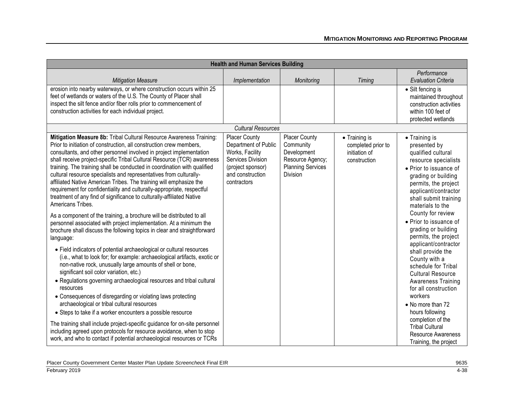|                                                                                                                                                                                                                                                                                                                                                                                                                                                                                                                                                                                                                                                                                              | <b>Health and Human Services Building</b>                                                                                             |                                                                                                              |                                                                      |                                                                                                                                                                                                                           |  |
|----------------------------------------------------------------------------------------------------------------------------------------------------------------------------------------------------------------------------------------------------------------------------------------------------------------------------------------------------------------------------------------------------------------------------------------------------------------------------------------------------------------------------------------------------------------------------------------------------------------------------------------------------------------------------------------------|---------------------------------------------------------------------------------------------------------------------------------------|--------------------------------------------------------------------------------------------------------------|----------------------------------------------------------------------|---------------------------------------------------------------------------------------------------------------------------------------------------------------------------------------------------------------------------|--|
| <b>Mitigation Measure</b>                                                                                                                                                                                                                                                                                                                                                                                                                                                                                                                                                                                                                                                                    | Implementation                                                                                                                        | Monitoring                                                                                                   | Timing                                                               | Performance<br><b>Evaluation Criteria</b>                                                                                                                                                                                 |  |
| erosion into nearby waterways, or where construction occurs within 25<br>feet of wetlands or waters of the U.S. The County of Placer shall<br>inspect the silt fence and/or fiber rolls prior to commencement of<br>construction activities for each individual project.                                                                                                                                                                                                                                                                                                                                                                                                                     |                                                                                                                                       |                                                                                                              |                                                                      | • Silt fencing is<br>maintained throughout<br>construction activities<br>within 100 feet of<br>protected wetlands                                                                                                         |  |
|                                                                                                                                                                                                                                                                                                                                                                                                                                                                                                                                                                                                                                                                                              | <b>Cultural Resources</b>                                                                                                             |                                                                                                              |                                                                      |                                                                                                                                                                                                                           |  |
| Mitigation Measure 8b: Tribal Cultural Resource Awareness Training:<br>Prior to initiation of construction, all construction crew members,<br>consultants, and other personnel involved in project implementation<br>shall receive project-specific Tribal Cultural Resource (TCR) awareness<br>training. The training shall be conducted in coordination with qualified<br>cultural resource specialists and representatives from culturally-<br>affiliated Native American Tribes. The training will emphasize the<br>requirement for confidentiality and culturally-appropriate, respectful<br>treatment of any find of significance to culturally-affiliated Native<br>Americans Tribes. | Placer County<br>Department of Public<br>Works, Facility<br>Services Division<br>(project sponsor)<br>and construction<br>contractors | <b>Placer County</b><br>Community<br>Development<br>Resource Agency;<br><b>Planning Services</b><br>Division | • Training is<br>completed prior to<br>initiation of<br>construction | • Training is<br>presented by<br>qualified cultural<br>resource specialists<br>• Prior to issuance of<br>grading or building<br>permits, the project<br>applicant/contractor<br>shall submit training<br>materials to the |  |
| As a component of the training, a brochure will be distributed to all<br>personnel associated with project implementation. At a minimum the<br>brochure shall discuss the following topics in clear and straightforward<br>language:                                                                                                                                                                                                                                                                                                                                                                                                                                                         |                                                                                                                                       |                                                                                                              |                                                                      | County for review<br>• Prior to issuance of<br>grading or building<br>permits, the project                                                                                                                                |  |
| • Field indicators of potential archaeological or cultural resources<br>(i.e., what to look for; for example: archaeological artifacts, exotic or<br>non-native rock, unusually large amounts of shell or bone,<br>significant soil color variation, etc.)<br>• Regulations governing archaeological resources and tribal cultural<br>resources<br>• Consequences of disregarding or violating laws protecting<br>archaeological or tribal cultural resources                                                                                                                                                                                                                                |                                                                                                                                       |                                                                                                              |                                                                      | applicant/contractor<br>shall provide the<br>County with a<br>schedule for Tribal<br><b>Cultural Resource</b><br><b>Awareness Training</b><br>for all construction<br>workers<br>• No more than 72                        |  |
| • Steps to take if a worker encounters a possible resource<br>The training shall include project-specific guidance for on-site personnel<br>including agreed upon protocols for resource avoidance, when to stop<br>work, and who to contact if potential archaeological resources or TCRs                                                                                                                                                                                                                                                                                                                                                                                                   |                                                                                                                                       |                                                                                                              |                                                                      | hours following<br>completion of the<br><b>Tribal Cultural</b><br>Resource Awareness<br>Training, the project                                                                                                             |  |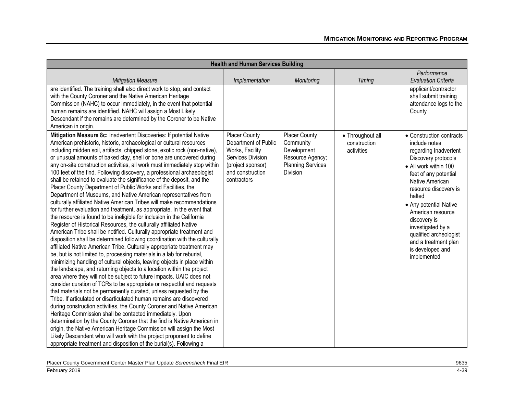| <b>Health and Human Services Building</b>                                                                                                                                                                                                                                                                                                                                                                                                                                                                                                                                                                                                                                                                                                                                                                                                                                                                                                                                                                                                                                                                                                                                                                                                                                                                                                                                                                                                                                                                                                                                                                                                                                                                                                                                                                                                                                                                                                                                                                                                                                                                                                                                             |                                                                                                                                              |                                                                                                              |                                                |                                                                                                                                                                                                                                                                                                                                                                            |
|---------------------------------------------------------------------------------------------------------------------------------------------------------------------------------------------------------------------------------------------------------------------------------------------------------------------------------------------------------------------------------------------------------------------------------------------------------------------------------------------------------------------------------------------------------------------------------------------------------------------------------------------------------------------------------------------------------------------------------------------------------------------------------------------------------------------------------------------------------------------------------------------------------------------------------------------------------------------------------------------------------------------------------------------------------------------------------------------------------------------------------------------------------------------------------------------------------------------------------------------------------------------------------------------------------------------------------------------------------------------------------------------------------------------------------------------------------------------------------------------------------------------------------------------------------------------------------------------------------------------------------------------------------------------------------------------------------------------------------------------------------------------------------------------------------------------------------------------------------------------------------------------------------------------------------------------------------------------------------------------------------------------------------------------------------------------------------------------------------------------------------------------------------------------------------------|----------------------------------------------------------------------------------------------------------------------------------------------|--------------------------------------------------------------------------------------------------------------|------------------------------------------------|----------------------------------------------------------------------------------------------------------------------------------------------------------------------------------------------------------------------------------------------------------------------------------------------------------------------------------------------------------------------------|
| <b>Mitigation Measure</b>                                                                                                                                                                                                                                                                                                                                                                                                                                                                                                                                                                                                                                                                                                                                                                                                                                                                                                                                                                                                                                                                                                                                                                                                                                                                                                                                                                                                                                                                                                                                                                                                                                                                                                                                                                                                                                                                                                                                                                                                                                                                                                                                                             | Implementation                                                                                                                               | Monitoring                                                                                                   | Timing                                         | Performance<br><b>Evaluation Criteria</b>                                                                                                                                                                                                                                                                                                                                  |
| are identified. The training shall also direct work to stop, and contact<br>with the County Coroner and the Native American Heritage<br>Commission (NAHC) to occur immediately, in the event that potential<br>human remains are identified. NAHC will assign a Most Likely<br>Descendant if the remains are determined by the Coroner to be Native<br>American in origin.                                                                                                                                                                                                                                                                                                                                                                                                                                                                                                                                                                                                                                                                                                                                                                                                                                                                                                                                                                                                                                                                                                                                                                                                                                                                                                                                                                                                                                                                                                                                                                                                                                                                                                                                                                                                            |                                                                                                                                              |                                                                                                              |                                                | applicant/contractor<br>shall submit training<br>attendance logs to the<br>County                                                                                                                                                                                                                                                                                          |
| Mitigation Measure 8c: Inadvertent Discoveries: If potential Native<br>American prehistoric, historic, archaeological or cultural resources<br>including midden soil, artifacts, chipped stone, exotic rock (non-native),<br>or unusual amounts of baked clay, shell or bone are uncovered during<br>any on-site construction activities, all work must immediately stop within<br>100 feet of the find. Following discovery, a professional archaeologist<br>shall be retained to evaluate the significance of the deposit, and the<br>Placer County Department of Public Works and Facilities, the<br>Department of Museums, and Native American representatives from<br>culturally affiliated Native American Tribes will make recommendations<br>for further evaluation and treatment, as appropriate. In the event that<br>the resource is found to be ineligible for inclusion in the California<br>Register of Historical Resources, the culturally affiliated Native<br>American Tribe shall be notified. Culturally appropriate treatment and<br>disposition shall be determined following coordination with the culturally<br>affiliated Native American Tribe. Culturally appropriate treatment may<br>be, but is not limited to, processing materials in a lab for reburial,<br>minimizing handling of cultural objects, leaving objects in place within<br>the landscape, and returning objects to a location within the project<br>area where they will not be subject to future impacts. UAIC does not<br>consider curation of TCRs to be appropriate or respectful and requests<br>that materials not be permanently curated, unless requested by the<br>Tribe. If articulated or disarticulated human remains are discovered<br>during construction activities, the County Coroner and Native American<br>Heritage Commission shall be contacted immediately. Upon<br>determination by the County Coroner that the find is Native American in<br>origin, the Native American Heritage Commission will assign the Most<br>Likely Descendent who will work with the project proponent to define<br>appropriate treatment and disposition of the burial(s). Following a | <b>Placer County</b><br>Department of Public<br>Works, Facility<br>Services Division<br>(project sponsor)<br>and construction<br>contractors | Placer County<br>Community<br>Development<br>Resource Agency;<br><b>Planning Services</b><br><b>Division</b> | • Throughout all<br>construction<br>activities | • Construction contracts<br>include notes<br>regarding Inadvertent<br>Discovery protocols<br>• All work within 100<br>feet of any potential<br>Native American<br>resource discovery is<br>halted<br>• Any potential Native<br>American resource<br>discovery is<br>investigated by a<br>qualified archeologist<br>and a treatment plan<br>is developed and<br>implemented |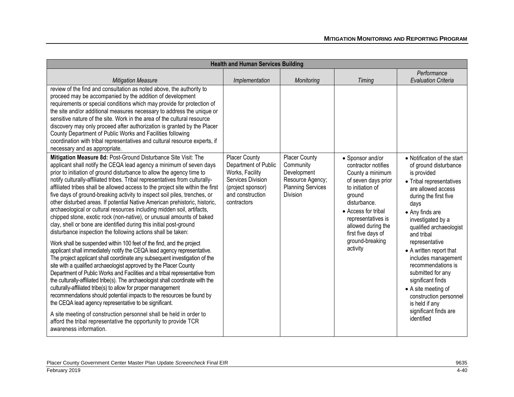| <b>Health and Human Services Building</b>                                                                                                                                                                                                                                                                                                                                                                                                                                                                                                                                                                                                                                                                                                                                                                                           |                                                                                                                                              |                                                                                                                     |                                                                                                                                                                                                                           |                                                                                                                                                                                                                                         |
|-------------------------------------------------------------------------------------------------------------------------------------------------------------------------------------------------------------------------------------------------------------------------------------------------------------------------------------------------------------------------------------------------------------------------------------------------------------------------------------------------------------------------------------------------------------------------------------------------------------------------------------------------------------------------------------------------------------------------------------------------------------------------------------------------------------------------------------|----------------------------------------------------------------------------------------------------------------------------------------------|---------------------------------------------------------------------------------------------------------------------|---------------------------------------------------------------------------------------------------------------------------------------------------------------------------------------------------------------------------|-----------------------------------------------------------------------------------------------------------------------------------------------------------------------------------------------------------------------------------------|
|                                                                                                                                                                                                                                                                                                                                                                                                                                                                                                                                                                                                                                                                                                                                                                                                                                     |                                                                                                                                              |                                                                                                                     |                                                                                                                                                                                                                           | Performance                                                                                                                                                                                                                             |
| <b>Mitigation Measure</b>                                                                                                                                                                                                                                                                                                                                                                                                                                                                                                                                                                                                                                                                                                                                                                                                           | Implementation                                                                                                                               | Monitoring                                                                                                          | Timing                                                                                                                                                                                                                    | <b>Evaluation Criteria</b>                                                                                                                                                                                                              |
| review of the find and consultation as noted above, the authority to<br>proceed may be accompanied by the addition of development<br>requirements or special conditions which may provide for protection of<br>the site and/or additional measures necessary to address the unique or<br>sensitive nature of the site. Work in the area of the cultural resource<br>discovery may only proceed after authorization is granted by the Placer<br>County Department of Public Works and Facilities following<br>coordination with tribal representatives and cultural resource experts, if<br>necessary and as appropriate.                                                                                                                                                                                                            |                                                                                                                                              |                                                                                                                     |                                                                                                                                                                                                                           |                                                                                                                                                                                                                                         |
| Mitigation Measure 8d: Post-Ground Disturbance Site Visit: The<br>applicant shall notify the CEQA lead agency a minimum of seven days<br>prior to initiation of ground disturbance to allow the agency time to<br>notify culturally-affiliated tribes. Tribal representatives from culturally-<br>affiliated tribes shall be allowed access to the project site within the first<br>five days of ground-breaking activity to inspect soil piles, trenches, or<br>other disturbed areas. If potential Native American prehistoric, historic,<br>archaeological or cultural resources including midden soil, artifacts,<br>chipped stone, exotic rock (non-native), or unusual amounts of baked<br>clay, shell or bone are identified during this initial post-ground<br>disturbance inspection the following actions shall be taken: | <b>Placer County</b><br>Department of Public<br>Works, Facility<br>Services Division<br>(project sponsor)<br>and construction<br>contractors | <b>Placer County</b><br>Community<br>Development<br>Resource Agency;<br><b>Planning Services</b><br><b>Division</b> | • Sponsor and/or<br>contractor notifies<br>County a minimum<br>of seven days prior<br>to initiation of<br>ground<br>disturbance.<br>• Access for tribal<br>representatives is<br>allowed during the<br>first five days of | • Notification of the start<br>of ground disturbance<br>is provided<br>• Tribal representatives<br>are allowed access<br>during the first five<br>days<br>• Any finds are<br>investigated by a<br>qualified archaeologist<br>and tribal |
| Work shall be suspended within 100 feet of the find, and the project<br>applicant shall immediately notify the CEQA lead agency representative.<br>The project applicant shall coordinate any subsequent investigation of the<br>site with a qualified archaeologist approved by the Placer County<br>Department of Public Works and Facilities and a tribal representative from<br>the culturally-affiliated tribe(s). The archaeologist shall coordinate with the<br>culturally-affiliated tribe(s) to allow for proper management<br>recommendations should potential impacts to the resources be found by<br>the CEQA lead agency representative to be significant.                                                                                                                                                             |                                                                                                                                              |                                                                                                                     | ground-breaking<br>activity                                                                                                                                                                                               | representative<br>• A written report that<br>includes management<br>recommendations is<br>submitted for any<br>significant finds<br>• A site meeting of<br>construction personnel<br>is held if any                                     |
| A site meeting of construction personnel shall be held in order to<br>afford the tribal representative the opportunity to provide TCR<br>awareness information.                                                                                                                                                                                                                                                                                                                                                                                                                                                                                                                                                                                                                                                                     |                                                                                                                                              |                                                                                                                     |                                                                                                                                                                                                                           | significant finds are<br>identified                                                                                                                                                                                                     |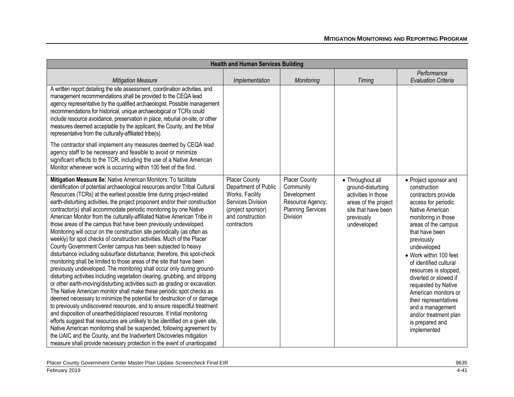| <b>Health and Human Services Building</b>                                                                                                                                                                                                                                                                                                                                                                                                                                                                                                                                                                                                                                                                                                                                                                                                                                                                                                                                                                                                                                                                                                                                                                                                                                                                                                                                                                                                                                                                                                                                                                                                                                                                                                                            |                                                                                                                                              |                                                                                                              |                                                                                                                                          |                                                                                                                                                                                                                                                                                                                                                                                                                                                                  |
|----------------------------------------------------------------------------------------------------------------------------------------------------------------------------------------------------------------------------------------------------------------------------------------------------------------------------------------------------------------------------------------------------------------------------------------------------------------------------------------------------------------------------------------------------------------------------------------------------------------------------------------------------------------------------------------------------------------------------------------------------------------------------------------------------------------------------------------------------------------------------------------------------------------------------------------------------------------------------------------------------------------------------------------------------------------------------------------------------------------------------------------------------------------------------------------------------------------------------------------------------------------------------------------------------------------------------------------------------------------------------------------------------------------------------------------------------------------------------------------------------------------------------------------------------------------------------------------------------------------------------------------------------------------------------------------------------------------------------------------------------------------------|----------------------------------------------------------------------------------------------------------------------------------------------|--------------------------------------------------------------------------------------------------------------|------------------------------------------------------------------------------------------------------------------------------------------|------------------------------------------------------------------------------------------------------------------------------------------------------------------------------------------------------------------------------------------------------------------------------------------------------------------------------------------------------------------------------------------------------------------------------------------------------------------|
| <b>Mitigation Measure</b>                                                                                                                                                                                                                                                                                                                                                                                                                                                                                                                                                                                                                                                                                                                                                                                                                                                                                                                                                                                                                                                                                                                                                                                                                                                                                                                                                                                                                                                                                                                                                                                                                                                                                                                                            | Implementation                                                                                                                               | Monitoring                                                                                                   | Timing                                                                                                                                   | Performance<br><b>Evaluation Criteria</b>                                                                                                                                                                                                                                                                                                                                                                                                                        |
| A written report detailing the site assessment, coordination activities, and<br>management recommendations shall be provided to the CEQA lead<br>agency representative by the qualified archaeologist. Possible management<br>recommendations for historical, unique archaeological or TCRs could<br>include resource avoidance, preservation in place, reburial on-site, or other<br>measures deemed acceptable by the applicant, the County, and the tribal<br>representative from the culturally-affiliated tribe(s).                                                                                                                                                                                                                                                                                                                                                                                                                                                                                                                                                                                                                                                                                                                                                                                                                                                                                                                                                                                                                                                                                                                                                                                                                                             |                                                                                                                                              |                                                                                                              |                                                                                                                                          |                                                                                                                                                                                                                                                                                                                                                                                                                                                                  |
| The contractor shall implement any measures deemed by CEQA lead<br>agency staff to be necessary and feasible to avoid or minimize<br>significant effects to the TCR, including the use of a Native American<br>Monitor whenever work is occurring within 100 feet of the find.                                                                                                                                                                                                                                                                                                                                                                                                                                                                                                                                                                                                                                                                                                                                                                                                                                                                                                                                                                                                                                                                                                                                                                                                                                                                                                                                                                                                                                                                                       |                                                                                                                                              |                                                                                                              |                                                                                                                                          |                                                                                                                                                                                                                                                                                                                                                                                                                                                                  |
| Mitigation Measure 8e: Native American Monitors: To facilitate<br>identification of potential archaeological resources and/or Tribal Cultural<br>Resources (TCRs) at the earliest possible time during project-related<br>earth-disturbing activities, the project proponent and/or their construction<br>contractor(s) shall accommodate periodic monitoring by one Native<br>American Monitor from the culturally-affiliated Native American Tribe in<br>those areas of the campus that have been previously undeveloped.<br>Monitoring will occur on the construction site periodically (as often as<br>weekly) for spot checks of construction activities. Much of the Placer<br>County Government Center campus has been subjected to heavy<br>disturbance including subsurface disturbance; therefore, this spot-check<br>monitoring shall be limited to those areas of the site that have been<br>previously undeveloped. The monitoring shall occur only during ground-<br>disturbing activities including vegetation clearing, grubbing, and stripping<br>or other earth-moving/disturbing activities such as grading or excavation.<br>The Native American monitor shall make these periodic spot checks as<br>deemed necessary to minimize the potential for destruction of or damage<br>to previously undiscovered resources, and to ensure respectful treatment<br>and disposition of unearthed/displaced resources. If initial monitoring<br>efforts suggest that resources are unlikely to be identified on a given site,<br>Native American monitoring shall be suspended, following agreement by<br>the UAIC and the County, and the Inadvertent Discoveries mitigation<br>measure shall provide necessary protection in the event of unanticipated | <b>Placer County</b><br>Department of Public<br>Works, Facility<br>Services Division<br>(project sponsor)<br>and construction<br>contractors | <b>Placer County</b><br>Community<br>Development<br>Resource Agency;<br><b>Planning Services</b><br>Division | • Throughout all<br>ground-disturbing<br>activities in those<br>areas of the project<br>site that have been<br>previously<br>undeveloped | • Project sponsor and<br>construction<br>contractors provide<br>access for periodic<br>Native American<br>monitoring in those<br>areas of the campus<br>that have been<br>previously<br>undeveloped<br>• Work within 100 feet<br>of identified cultural<br>resources is stopped,<br>diverted or slowed if<br>requested by Native<br>American monitors or<br>their representatives<br>and a management<br>and/or treatment plan<br>is prepared and<br>implemented |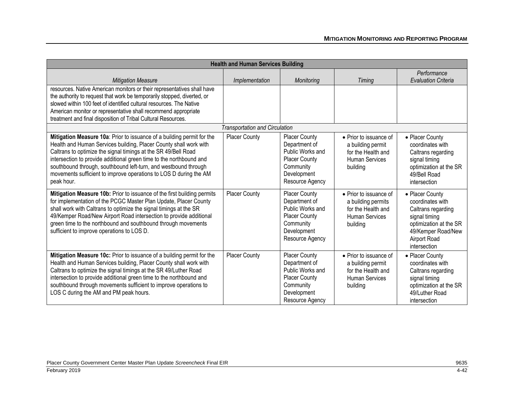| <b>Health and Human Services Building</b>                                                                                                                                                                                                                                                                                                                                                                                                  |                                       |                                                                                                                                  |                                                                                                         |                                                                                                                                                            |
|--------------------------------------------------------------------------------------------------------------------------------------------------------------------------------------------------------------------------------------------------------------------------------------------------------------------------------------------------------------------------------------------------------------------------------------------|---------------------------------------|----------------------------------------------------------------------------------------------------------------------------------|---------------------------------------------------------------------------------------------------------|------------------------------------------------------------------------------------------------------------------------------------------------------------|
| <b>Mitigation Measure</b>                                                                                                                                                                                                                                                                                                                                                                                                                  | Implementation                        | Monitoring                                                                                                                       | Timing                                                                                                  | Performance<br><b>Evaluation Criteria</b>                                                                                                                  |
| resources. Native American monitors or their representatives shall have<br>the authority to request that work be temporarily stopped, diverted, or<br>slowed within 100 feet of identified cultural resources. The Native<br>American monitor or representative shall recommend appropriate<br>treatment and final disposition of Tribal Cultural Resources.                                                                               |                                       |                                                                                                                                  |                                                                                                         |                                                                                                                                                            |
|                                                                                                                                                                                                                                                                                                                                                                                                                                            | <b>Transportation and Circulation</b> |                                                                                                                                  |                                                                                                         |                                                                                                                                                            |
| Mitigation Measure 10a: Prior to issuance of a building permit for the<br>Health and Human Services building, Placer County shall work with<br>Caltrans to optimize the signal timings at the SR 49/Bell Road<br>intersection to provide additional green time to the northbound and<br>southbound through, southbound left-turn, and westbound through<br>movements sufficient to improve operations to LOS D during the AM<br>peak hour. | <b>Placer County</b>                  | <b>Placer County</b><br>Department of<br>Public Works and<br><b>Placer County</b><br>Community<br>Development<br>Resource Agency | • Prior to issuance of<br>a building permit<br>for the Health and<br>Human Services<br>building         | • Placer County<br>coordinates with<br>Caltrans regarding<br>signal timing<br>optimization at the SR<br>49/Bell Road<br>intersection                       |
| Mitigation Measure 10b: Prior to issuance of the first building permits<br>for implementation of the PCGC Master Plan Update, Placer County<br>shall work with Caltrans to optimize the signal timings at the SR<br>49/Kemper Road/New Airport Road intersection to provide additional<br>green time to the northbound and southbound through movements<br>sufficient to improve operations to LOS D.                                      | Placer County                         | <b>Placer County</b><br>Department of<br>Public Works and<br><b>Placer County</b><br>Community<br>Development<br>Resource Agency | • Prior to issuance of<br>a building permits<br>for the Health and<br><b>Human Services</b><br>building | • Placer County<br>coordinates with<br>Caltrans regarding<br>signal timing<br>optimization at the SR<br>49/Kemper Road/New<br>Airport Road<br>intersection |
| Mitigation Measure 10c: Prior to issuance of a building permit for the<br>Health and Human Services building, Placer County shall work with<br>Caltrans to optimize the signal timings at the SR 49/Luther Road<br>intersection to provide additional green time to the northbound and<br>southbound through movements sufficient to improve operations to<br>LOS C during the AM and PM peak hours.                                       | <b>Placer County</b>                  | <b>Placer County</b><br>Department of<br>Public Works and<br><b>Placer County</b><br>Community<br>Development<br>Resource Agency | • Prior to issuance of<br>a building permit<br>for the Health and<br><b>Human Services</b><br>building  | • Placer County<br>coordinates with<br>Caltrans regarding<br>signal timing<br>optimization at the SR<br>49/Luther Road<br>intersection                     |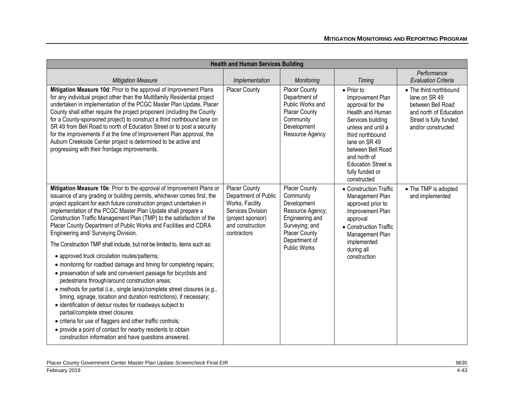| <b>Health and Human Services Building</b>                                                                                                                                                                                                                                                                                                                                                                                                                                                                                                                                                                                                                                                                                                                                                                                                                                                                                                                                                                                                                                                                                                                                                                                                           |                                                                                                                                              |                                                                                                                                                                    |                                                                                                                                                                                                                                                                     |                                                                                                                                        |
|-----------------------------------------------------------------------------------------------------------------------------------------------------------------------------------------------------------------------------------------------------------------------------------------------------------------------------------------------------------------------------------------------------------------------------------------------------------------------------------------------------------------------------------------------------------------------------------------------------------------------------------------------------------------------------------------------------------------------------------------------------------------------------------------------------------------------------------------------------------------------------------------------------------------------------------------------------------------------------------------------------------------------------------------------------------------------------------------------------------------------------------------------------------------------------------------------------------------------------------------------------|----------------------------------------------------------------------------------------------------------------------------------------------|--------------------------------------------------------------------------------------------------------------------------------------------------------------------|---------------------------------------------------------------------------------------------------------------------------------------------------------------------------------------------------------------------------------------------------------------------|----------------------------------------------------------------------------------------------------------------------------------------|
| <b>Mitigation Measure</b>                                                                                                                                                                                                                                                                                                                                                                                                                                                                                                                                                                                                                                                                                                                                                                                                                                                                                                                                                                                                                                                                                                                                                                                                                           | Implementation                                                                                                                               | Monitoring                                                                                                                                                         | Timing                                                                                                                                                                                                                                                              | Performance<br><b>Evaluation Criteria</b>                                                                                              |
| Mitigation Measure 10d: Prior to the approval of Improvement Plans<br>for any individual project other than the Multifamily Residential project<br>undertaken in implementation of the PCGC Master Plan Update, Placer<br>County shall either require the project proponent (including the County<br>for a County-sponsored project) to construct a third northbound lane on<br>SR 49 from Bell Road to north of Education Street or to post a security<br>for the improvements if at the time of Improvement Plan approval, the<br>Auburn Creekside Center project is determined to be active and<br>progressing with their frontage improvements.                                                                                                                                                                                                                                                                                                                                                                                                                                                                                                                                                                                                 | Placer County                                                                                                                                | Placer County<br>Department of<br>Public Works and<br><b>Placer County</b><br>Community<br>Development<br>Resource Agency                                          | $\bullet$ Prior to<br>Improvement Plan<br>approval for the<br>Health and Human<br>Services building<br>unless and until a<br>third northbound<br>lane on SR 49<br>between Bell Road<br>and north of<br><b>Education Street is</b><br>fully funded or<br>constructed | • The third northbound<br>lane on SR 49<br>between Bell Road<br>and north of Education<br>Street is fully funded<br>and/or constructed |
| Mitigation Measure 10e: Prior to the approval of Improvement Plans or<br>issuance of any grading or building permits, whichever comes first, the<br>project applicant for each future construction project undertaken in<br>implementation of the PCGC Master Plan Update shall prepare a<br>Construction Traffic Management Plan (TMP) to the satisfaction of the<br>Placer County Department of Public Works and Facilities and CDRA<br>Engineering and/ Surveying Division.<br>The Construction TMP shall include, but not be limited to, items such as:<br>• approved truck circulation routes/patterns;<br>• monitoring for roadbed damage and timing for completing repairs;<br>• preservation of safe and convenient passage for bicyclists and<br>pedestrians through/around construction areas;<br>• methods for partial (i.e., single lane)/complete street closures (e.g.,<br>timing, signage, location and duration restrictions), if necessary;<br>• identification of detour routes for roadways subject to<br>partial/complete street closures<br>• criteria for use of flaggers and other traffic controls;<br>• provide a point of contact for nearby residents to obtain<br>construction information and have questions answered. | <b>Placer County</b><br>Department of Public<br>Works, Facility<br>Services Division<br>(project sponsor)<br>and construction<br>contractors | Placer County<br>Community<br>Development<br>Resource Agency;<br>Engineering and<br>Surveying; and<br><b>Placer County</b><br>Department of<br><b>Public Works</b> | • Construction Traffic<br>Management Plan<br>approved prior to<br>Improvement Plan<br>approval<br>• Construction Traffic<br>Management Plan<br>implemented<br>during all<br>construction                                                                            | • The TMP is adopted<br>and implemented                                                                                                |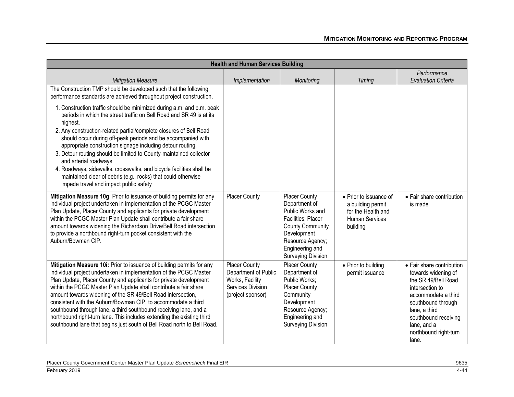| <b>Health and Human Services Building</b>                                                                                                                                                                                                                                                                                                                                                                                                                                                                                                                                                                                                       |                                                                                                           |                                                                                                                                                                                        |                                                                                                 |                                                                                                                                                                                                                                   |
|-------------------------------------------------------------------------------------------------------------------------------------------------------------------------------------------------------------------------------------------------------------------------------------------------------------------------------------------------------------------------------------------------------------------------------------------------------------------------------------------------------------------------------------------------------------------------------------------------------------------------------------------------|-----------------------------------------------------------------------------------------------------------|----------------------------------------------------------------------------------------------------------------------------------------------------------------------------------------|-------------------------------------------------------------------------------------------------|-----------------------------------------------------------------------------------------------------------------------------------------------------------------------------------------------------------------------------------|
| <b>Mitigation Measure</b>                                                                                                                                                                                                                                                                                                                                                                                                                                                                                                                                                                                                                       | Implementation                                                                                            | Monitoring                                                                                                                                                                             | Timing                                                                                          | Performance<br><b>Evaluation Criteria</b>                                                                                                                                                                                         |
| The Construction TMP should be developed such that the following<br>performance standards are achieved throughout project construction.                                                                                                                                                                                                                                                                                                                                                                                                                                                                                                         |                                                                                                           |                                                                                                                                                                                        |                                                                                                 |                                                                                                                                                                                                                                   |
| 1. Construction traffic should be minimized during a.m. and p.m. peak<br>periods in which the street traffic on Bell Road and SR 49 is at its<br>highest.<br>2. Any construction-related partial/complete closures of Bell Road<br>should occur during off-peak periods and be accompanied with<br>appropriate construction signage including detour routing.<br>3. Detour routing should be limited to County-maintained collector<br>and arterial roadways<br>4. Roadways, sidewalks, crosswalks, and bicycle facilities shall be<br>maintained clear of debris (e.g., rocks) that could otherwise<br>impede travel and impact public safety  |                                                                                                           |                                                                                                                                                                                        |                                                                                                 |                                                                                                                                                                                                                                   |
| Mitigation Measure 10g: Prior to issuance of building permits for any<br>individual project undertaken in implementation of the PCGC Master<br>Plan Update, Placer County and applicants for private development<br>within the PCGC Master Plan Update shall contribute a fair share<br>amount towards widening the Richardson Drive/Bell Road intersection<br>to provide a northbound right-turn pocket consistent with the<br>Auburn/Bowman CIP.                                                                                                                                                                                              | Placer County                                                                                             | Placer County<br>Department of<br>Public Works and<br>Facilities; Placer<br><b>County Community</b><br>Development<br>Resource Agency;<br>Engineering and<br><b>Surveying Division</b> | • Prior to issuance of<br>a building permit<br>for the Health and<br>Human Services<br>building | • Fair share contribution<br>is made                                                                                                                                                                                              |
| Mitigation Measure 10i: Prior to issuance of building permits for any<br>individual project undertaken in implementation of the PCGC Master<br>Plan Update, Placer County and applicants for private development<br>within the PCGC Master Plan Update shall contribute a fair share<br>amount towards widening of the SR 49/Bell Road intersection,<br>consistent with the Auburn/Bowman CIP, to accommodate a third<br>southbound through lane, a third southbound receiving lane, and a<br>northbound right-turn lane. This includes extending the existing third<br>southbound lane that begins just south of Bell Road north to Bell Road. | <b>Placer County</b><br>Department of Public<br>Works, Facility<br>Services Division<br>(project sponsor) | <b>Placer County</b><br>Department of<br>Public Works:<br><b>Placer County</b><br>Community<br>Development<br>Resource Agency;<br>Engineering and<br><b>Surveying Division</b>         | • Prior to building<br>permit issuance                                                          | • Fair share contribution<br>towards widening of<br>the SR 49/Bell Road<br>intersection to<br>accommodate a third<br>southbound through<br>lane, a third<br>southbound receiving<br>lane, and a<br>northbound right-turn<br>lane. |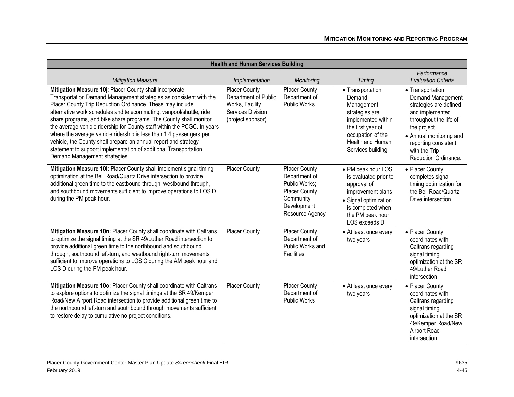| <b>Health and Human Services Building</b>                                                                                                                                                                                                                                                                                                                                                                                                                                                                                                                                                                                                                         |                                                                                                           |                                                                                                                        |                                                                                                                                                                     |                                                                                                                                                                                                                         |
|-------------------------------------------------------------------------------------------------------------------------------------------------------------------------------------------------------------------------------------------------------------------------------------------------------------------------------------------------------------------------------------------------------------------------------------------------------------------------------------------------------------------------------------------------------------------------------------------------------------------------------------------------------------------|-----------------------------------------------------------------------------------------------------------|------------------------------------------------------------------------------------------------------------------------|---------------------------------------------------------------------------------------------------------------------------------------------------------------------|-------------------------------------------------------------------------------------------------------------------------------------------------------------------------------------------------------------------------|
| <b>Mitigation Measure</b>                                                                                                                                                                                                                                                                                                                                                                                                                                                                                                                                                                                                                                         | Implementation                                                                                            | Monitoring                                                                                                             | Timing                                                                                                                                                              | Performance<br><b>Evaluation Criteria</b>                                                                                                                                                                               |
| Mitigation Measure 10j: Placer County shall incorporate<br>Transportation Demand Management strategies as consistent with the<br>Placer County Trip Reduction Ordinance. These may include<br>alternative work schedules and telecommuting, vanpool/shuttle, ride<br>share programs, and bike share programs. The County shall monitor<br>the average vehicle ridership for County staff within the PCGC. In years<br>where the average vehicle ridership is less than 1.4 passengers per<br>vehicle, the County shall prepare an annual report and strategy<br>statement to support implementation of additional Transportation<br>Demand Management strategies. | <b>Placer County</b><br>Department of Public<br>Works, Facility<br>Services Division<br>(project sponsor) | <b>Placer County</b><br>Department of<br><b>Public Works</b>                                                           | • Transportation<br>Demand<br>Management<br>strategies are<br>implemented within<br>the first year of<br>occupation of the<br>Health and Human<br>Services building | • Transportation<br>Demand Management<br>strategies are defined<br>and implemented<br>throughout the life of<br>the project<br>• Annual monitoring and<br>reporting consistent<br>with the Trip<br>Reduction Ordinance. |
| Mitigation Measure 10I: Placer County shall implement signal timing<br>optimization at the Bell Road/Quartz Drive intersection to provide<br>additional green time to the eastbound through, westbound through,<br>and southbound movements sufficient to improve operations to LOS D<br>during the PM peak hour.                                                                                                                                                                                                                                                                                                                                                 | Placer County                                                                                             | Placer County<br>Department of<br>Public Works:<br><b>Placer County</b><br>Community<br>Development<br>Resource Agency | • PM peak hour LOS<br>is evaluated prior to<br>approval of<br>improvement plans<br>• Signal optimization<br>is completed when<br>the PM peak hour<br>LOS exceeds D  | • Placer County<br>completes signal<br>timing optimization for<br>the Bell Road/Quartz<br>Drive intersection                                                                                                            |
| Mitigation Measure 10n: Placer County shall coordinate with Caltrans<br>to optimize the signal timing at the SR 49/Luther Road intersection to<br>provide additional green time to the northbound and southbound<br>through, southbound left-turn, and westbound right-turn movements<br>sufficient to improve operations to LOS C during the AM peak hour and<br>LOS D during the PM peak hour.                                                                                                                                                                                                                                                                  | <b>Placer County</b>                                                                                      | <b>Placer County</b><br>Department of<br>Public Works and<br>Facilities                                                | • At least once every<br>two years                                                                                                                                  | • Placer County<br>coordinates with<br>Caltrans regarding<br>signal timing<br>optimization at the SR<br>49/Luther Road<br>intersection                                                                                  |
| Mitigation Measure 10o: Placer County shall coordinate with Caltrans<br>to explore options to optimize the signal timings at the SR 49/Kemper<br>Road/New Airport Road intersection to provide additional green time to<br>the northbound left-turn and southbound through movements sufficient<br>to restore delay to cumulative no project conditions.                                                                                                                                                                                                                                                                                                          | <b>Placer County</b>                                                                                      | <b>Placer County</b><br>Department of<br>Public Works                                                                  | • At least once every<br>two years                                                                                                                                  | • Placer County<br>coordinates with<br>Caltrans regarding<br>signal timing<br>optimization at the SR<br>49/Kemper Road/New<br>Airport Road<br>intersection                                                              |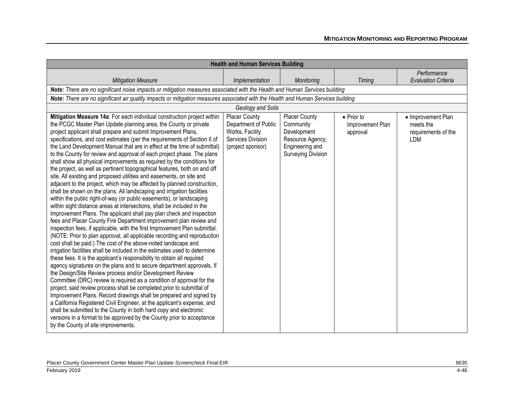| <b>Health and Human Services Building</b>                                                                                                                                                                                                                                                                                                                                                                                                                                                                                                                                                                                                                                                                                                                                                                                                                                                                                                                                                                                                                                                                                                                                                                                                                                                                                                                                                                                                                                                                                                                                                                                                                                                                                                                                                                                                                                                                                                                                                                                                                                                                                                             |                                                                                                           |                                                                                                               |                                            |                                                               |  |
|-------------------------------------------------------------------------------------------------------------------------------------------------------------------------------------------------------------------------------------------------------------------------------------------------------------------------------------------------------------------------------------------------------------------------------------------------------------------------------------------------------------------------------------------------------------------------------------------------------------------------------------------------------------------------------------------------------------------------------------------------------------------------------------------------------------------------------------------------------------------------------------------------------------------------------------------------------------------------------------------------------------------------------------------------------------------------------------------------------------------------------------------------------------------------------------------------------------------------------------------------------------------------------------------------------------------------------------------------------------------------------------------------------------------------------------------------------------------------------------------------------------------------------------------------------------------------------------------------------------------------------------------------------------------------------------------------------------------------------------------------------------------------------------------------------------------------------------------------------------------------------------------------------------------------------------------------------------------------------------------------------------------------------------------------------------------------------------------------------------------------------------------------------|-----------------------------------------------------------------------------------------------------------|---------------------------------------------------------------------------------------------------------------|--------------------------------------------|---------------------------------------------------------------|--|
|                                                                                                                                                                                                                                                                                                                                                                                                                                                                                                                                                                                                                                                                                                                                                                                                                                                                                                                                                                                                                                                                                                                                                                                                                                                                                                                                                                                                                                                                                                                                                                                                                                                                                                                                                                                                                                                                                                                                                                                                                                                                                                                                                       |                                                                                                           |                                                                                                               |                                            | Performance                                                   |  |
| <b>Mitigation Measure</b>                                                                                                                                                                                                                                                                                                                                                                                                                                                                                                                                                                                                                                                                                                                                                                                                                                                                                                                                                                                                                                                                                                                                                                                                                                                                                                                                                                                                                                                                                                                                                                                                                                                                                                                                                                                                                                                                                                                                                                                                                                                                                                                             | Implementation                                                                                            | Monitoring                                                                                                    | <b>Timing</b>                              | <b>Evaluation Criteria</b>                                    |  |
| Note: There are no significant noise impacts or mitigation measures associated with the Health and Human Services building                                                                                                                                                                                                                                                                                                                                                                                                                                                                                                                                                                                                                                                                                                                                                                                                                                                                                                                                                                                                                                                                                                                                                                                                                                                                                                                                                                                                                                                                                                                                                                                                                                                                                                                                                                                                                                                                                                                                                                                                                            |                                                                                                           |                                                                                                               |                                            |                                                               |  |
| Note: There are no significant air quality impacts or mitigation measures associated with the Health and Human Services building                                                                                                                                                                                                                                                                                                                                                                                                                                                                                                                                                                                                                                                                                                                                                                                                                                                                                                                                                                                                                                                                                                                                                                                                                                                                                                                                                                                                                                                                                                                                                                                                                                                                                                                                                                                                                                                                                                                                                                                                                      |                                                                                                           |                                                                                                               |                                            |                                                               |  |
|                                                                                                                                                                                                                                                                                                                                                                                                                                                                                                                                                                                                                                                                                                                                                                                                                                                                                                                                                                                                                                                                                                                                                                                                                                                                                                                                                                                                                                                                                                                                                                                                                                                                                                                                                                                                                                                                                                                                                                                                                                                                                                                                                       | Geology and Soils                                                                                         |                                                                                                               |                                            |                                                               |  |
| Mitigation Measure 14a: For each individual construction project within<br>the PCGC Master Plan Update planning area, the County or private<br>project applicant shall prepare and submit Improvement Plans,<br>specifications, and cost estimates (per the requirements of Section II of<br>the Land Development Manual that are in effect at the time of submittal)<br>to the County for review and approval of each project phase. The plans<br>shall show all physical improvements as required by the conditions for<br>the project, as well as pertinent topographical features, both on and off<br>site. All existing and proposed utilities and easements, on site and<br>adjacent to the project, which may be affected by planned construction,<br>shall be shown on the plans. All landscaping and irrigation facilities<br>within the public right-of-way (or public easements), or landscaping<br>within sight distance areas at intersections, shall be included in the<br>Improvement Plans. The applicant shall pay plan check and inspection<br>fees and Placer County Fire Department improvement plan review and<br>inspection fees, if applicable, with the first Improvement Plan submittal.<br>(NOTE: Prior to plan approval, all applicable recording and reproduction<br>cost shall be paid.) The cost of the above-noted landscape and<br>irrigation facilities shall be included in the estimates used to determine<br>these fees. It is the applicant's responsibility to obtain all required<br>agency signatures on the plans and to secure department approvals. If<br>the Design/Site Review process and/or Development Review<br>Committee (DRC) review is required as a condition of approval for the<br>project, said review process shall be completed prior to submittal of<br>Improvement Plans. Record drawings shall be prepared and signed by<br>a California Registered Civil Engineer, at the applicant's expense, and<br>shall be submitted to the County in both hard copy and electronic<br>versions in a format to be approved by the County prior to acceptance<br>by the County of site improvements. | <b>Placer County</b><br>Department of Public<br>Works, Facility<br>Services Division<br>(project sponsor) | Placer County<br>Community<br>Development<br>Resource Agency,<br>Engineering and<br><b>Surveying Division</b> | • Prior to<br>Improvement Plan<br>approval | • Improvement Plan<br>meets the<br>requirements of the<br>LDM |  |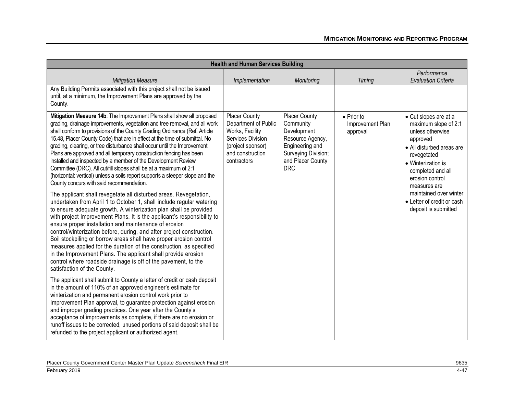| <b>Health and Human Services Building</b>                                                                                                                                                                                                                                                                                                                                                                                                                                                                                                                                                                                                                                                                                                  |                                                                                                                                              |                                                                                                                                                   |                                                    |                                                                                                                                                                                                         |
|--------------------------------------------------------------------------------------------------------------------------------------------------------------------------------------------------------------------------------------------------------------------------------------------------------------------------------------------------------------------------------------------------------------------------------------------------------------------------------------------------------------------------------------------------------------------------------------------------------------------------------------------------------------------------------------------------------------------------------------------|----------------------------------------------------------------------------------------------------------------------------------------------|---------------------------------------------------------------------------------------------------------------------------------------------------|----------------------------------------------------|---------------------------------------------------------------------------------------------------------------------------------------------------------------------------------------------------------|
| <b>Mitigation Measure</b>                                                                                                                                                                                                                                                                                                                                                                                                                                                                                                                                                                                                                                                                                                                  | Implementation                                                                                                                               | Monitoring                                                                                                                                        | <b>Timing</b>                                      | Performance<br><b>Evaluation Criteria</b>                                                                                                                                                               |
| Any Building Permits associated with this project shall not be issued<br>until, at a minimum, the Improvement Plans are approved by the<br>County.                                                                                                                                                                                                                                                                                                                                                                                                                                                                                                                                                                                         |                                                                                                                                              |                                                                                                                                                   |                                                    |                                                                                                                                                                                                         |
| Mitigation Measure 14b: The Improvement Plans shall show all proposed<br>grading, drainage improvements, vegetation and tree removal, and all work<br>shall conform to provisions of the County Grading Ordinance (Ref. Article<br>15.48, Placer County Code) that are in effect at the time of submittal. No<br>grading, clearing, or tree disturbance shall occur until the Improvement<br>Plans are approved and all temporary construction fencing has been<br>installed and inspected by a member of the Development Review<br>Committee (DRC). All cut/fill slopes shall be at a maximum of 2:1<br>(horizontal: vertical) unless a soils report supports a steeper slope and the<br>County concurs with said recommendation.         | <b>Placer County</b><br>Department of Public<br>Works, Facility<br>Services Division<br>(project sponsor)<br>and construction<br>contractors | <b>Placer County</b><br>Community<br>Development<br>Resource Agency,<br>Engineering and<br>Surveying Division;<br>and Placer County<br><b>DRC</b> | $\bullet$ Prior to<br>Improvement Plan<br>approval | • Cut slopes are at a<br>maximum slope of 2:1<br>unless otherwise<br>approved<br>• All disturbed areas are<br>revegetated<br>• Winterization is<br>completed and all<br>erosion control<br>measures are |
| The applicant shall revegetate all disturbed areas. Revegetation,<br>undertaken from April 1 to October 1, shall include regular watering<br>to ensure adequate growth. A winterization plan shall be provided<br>with project Improvement Plans. It is the applicant's responsibility to<br>ensure proper installation and maintenance of erosion<br>control/winterization before, during, and after project construction.<br>Soil stockpiling or borrow areas shall have proper erosion control<br>measures applied for the duration of the construction, as specified<br>in the Improvement Plans. The applicant shall provide erosion<br>control where roadside drainage is off of the pavement, to the<br>satisfaction of the County. |                                                                                                                                              |                                                                                                                                                   |                                                    | maintained over winter<br>• Letter of credit or cash<br>deposit is submitted                                                                                                                            |
| The applicant shall submit to County a letter of credit or cash deposit<br>in the amount of 110% of an approved engineer's estimate for<br>winterization and permanent erosion control work prior to<br>Improvement Plan approval, to guarantee protection against erosion<br>and improper grading practices. One year after the County's<br>acceptance of improvements as complete, if there are no erosion or<br>runoff issues to be corrected, unused portions of said deposit shall be<br>refunded to the project applicant or authorized agent.                                                                                                                                                                                       |                                                                                                                                              |                                                                                                                                                   |                                                    |                                                                                                                                                                                                         |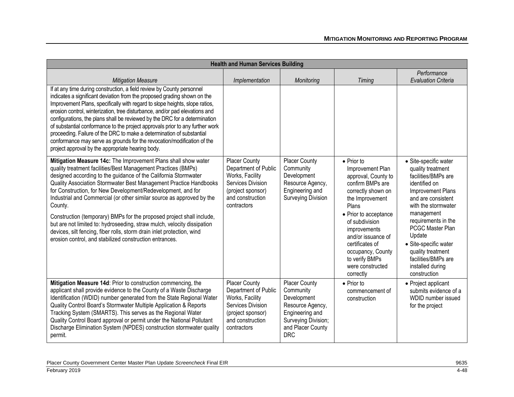| <b>Health and Human Services Building</b>                                                                                                                                                                                                                                                                                                                                                                                                                                                                                                                                                                                                                                                                            |                                                                                                                                              |                                                                                                                                                   |                                                                                                                                                                                                                                                                                                                 |                                                                                                                                                                                                                                                                                                                                  |
|----------------------------------------------------------------------------------------------------------------------------------------------------------------------------------------------------------------------------------------------------------------------------------------------------------------------------------------------------------------------------------------------------------------------------------------------------------------------------------------------------------------------------------------------------------------------------------------------------------------------------------------------------------------------------------------------------------------------|----------------------------------------------------------------------------------------------------------------------------------------------|---------------------------------------------------------------------------------------------------------------------------------------------------|-----------------------------------------------------------------------------------------------------------------------------------------------------------------------------------------------------------------------------------------------------------------------------------------------------------------|----------------------------------------------------------------------------------------------------------------------------------------------------------------------------------------------------------------------------------------------------------------------------------------------------------------------------------|
| <b>Mitigation Measure</b>                                                                                                                                                                                                                                                                                                                                                                                                                                                                                                                                                                                                                                                                                            | Implementation                                                                                                                               | Monitoring                                                                                                                                        | Timing                                                                                                                                                                                                                                                                                                          | Performance<br><b>Evaluation Criteria</b>                                                                                                                                                                                                                                                                                        |
| If at any time during construction, a field review by County personnel<br>indicates a significant deviation from the proposed grading shown on the<br>Improvement Plans, specifically with regard to slope heights, slope ratios,<br>erosion control, winterization, tree disturbance, and/or pad elevations and<br>configurations, the plans shall be reviewed by the DRC for a determination<br>of substantial conformance to the project approvals prior to any further work<br>proceeding. Failure of the DRC to make a determination of substantial<br>conformance may serve as grounds for the revocation/modification of the<br>project approval by the appropriate hearing body.                             |                                                                                                                                              |                                                                                                                                                   |                                                                                                                                                                                                                                                                                                                 |                                                                                                                                                                                                                                                                                                                                  |
| Mitigation Measure 14c: The Improvement Plans shall show water<br>quality treatment facilities/Best Management Practices (BMPs)<br>designed according to the guidance of the California Stormwater<br>Quality Association Stormwater Best Management Practice Handbooks<br>for Construction, for New Development/Redevelopment, and for<br>Industrial and Commercial (or other similar source as approved by the<br>County.<br>Construction (temporary) BMPs for the proposed project shall include,<br>but are not limited to: hydroseeding, straw mulch, velocity dissipation<br>devices, silt fencing, fiber rolls, storm drain inlet protection, wind<br>erosion control, and stabilized construction entrances. | Placer County<br>Department of Public<br>Works, Facility<br>Services Division<br>(project sponsor)<br>and construction<br>contractors        | <b>Placer County</b><br>Community<br>Development<br>Resource Agency,<br>Engineering and<br><b>Surveying Division</b>                              | $\bullet$ Prior to<br>Improvement Plan<br>approval, County to<br>confirm BMPs are<br>correctly shown on<br>the Improvement<br>Plans<br>• Prior to acceptance<br>of subdivision<br>improvements<br>and/or issuance of<br>certificates of<br>occupancy, County<br>to verify BMPs<br>were constructed<br>correctly | · Site-specific water<br>quality treatment<br>facilities/BMPs are<br>identified on<br>Improvement Plans<br>and are consistent<br>with the stormwater<br>management<br>requirements in the<br>PCGC Master Plan<br>Update<br>· Site-specific water<br>quality treatment<br>facilities/BMPs are<br>installed during<br>construction |
| Mitigation Measure 14d: Prior to construction commencing, the<br>applicant shall provide evidence to the County of a Waste Discharge<br>Identification (WDID) number generated from the State Regional Water<br>Quality Control Board's Stormwater Multiple Application & Reports<br>Tracking System (SMARTS). This serves as the Regional Water<br>Quality Control Board approval or permit under the National Pollutant<br>Discharge Elimination System (NPDES) construction stormwater quality<br>permit.                                                                                                                                                                                                         | <b>Placer County</b><br>Department of Public<br>Works, Facility<br>Services Division<br>(project sponsor)<br>and construction<br>contractors | <b>Placer County</b><br>Community<br>Development<br>Resource Agency,<br>Engineering and<br>Surveying Division;<br>and Placer County<br><b>DRC</b> | • Prior to<br>commencement of<br>construction                                                                                                                                                                                                                                                                   | • Project applicant<br>submits evidence of a<br>WDID number issued<br>for the project                                                                                                                                                                                                                                            |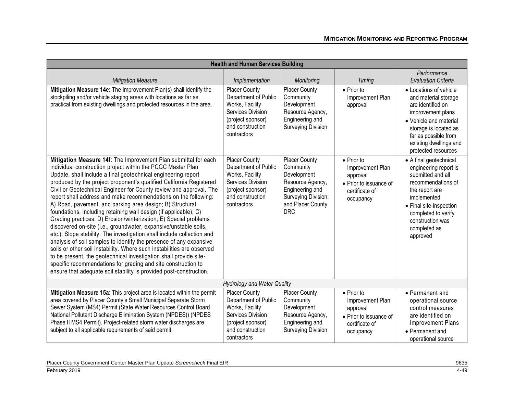| <b>Health and Human Services Building</b>                                                                                                                                                                                                                                                                                                                                                                                                                                                                                                                                                                                                                                                                                                                                                                                                                                                                                                                                                                                                                                                                                      |                                                                                                                                              |                                                                                                                                                   |                                                                                                             |                                                                                                                                                                                                                               |
|--------------------------------------------------------------------------------------------------------------------------------------------------------------------------------------------------------------------------------------------------------------------------------------------------------------------------------------------------------------------------------------------------------------------------------------------------------------------------------------------------------------------------------------------------------------------------------------------------------------------------------------------------------------------------------------------------------------------------------------------------------------------------------------------------------------------------------------------------------------------------------------------------------------------------------------------------------------------------------------------------------------------------------------------------------------------------------------------------------------------------------|----------------------------------------------------------------------------------------------------------------------------------------------|---------------------------------------------------------------------------------------------------------------------------------------------------|-------------------------------------------------------------------------------------------------------------|-------------------------------------------------------------------------------------------------------------------------------------------------------------------------------------------------------------------------------|
| <b>Mitigation Measure</b>                                                                                                                                                                                                                                                                                                                                                                                                                                                                                                                                                                                                                                                                                                                                                                                                                                                                                                                                                                                                                                                                                                      | Implementation                                                                                                                               | Monitoring                                                                                                                                        | <b>Timing</b>                                                                                               | Performance<br><b>Evaluation Criteria</b>                                                                                                                                                                                     |
| Mitigation Measure 14e: The Improvement Plan(s) shall identify the<br>stockpiling and/or vehicle staging areas with locations as far as<br>practical from existing dwellings and protected resources in the area.                                                                                                                                                                                                                                                                                                                                                                                                                                                                                                                                                                                                                                                                                                                                                                                                                                                                                                              | <b>Placer County</b><br>Department of Public<br>Works, Facility<br>Services Division<br>(project sponsor)<br>and construction<br>contractors | <b>Placer County</b><br>Community<br>Development<br>Resource Agency,<br>Engineering and<br><b>Surveying Division</b>                              | $\bullet$ Prior to<br>Improvement Plan<br>approval                                                          | • Locations of vehicle<br>and material storage<br>are identified on<br>improvement plans<br>• Vehicle and material<br>storage is located as<br>far as possible from<br>existing dwellings and<br>protected resources          |
| Mitigation Measure 14f: The Improvement Plan submittal for each<br>individual construction project within the PCGC Master Plan<br>Update, shall include a final geotechnical engineering report<br>produced by the project proponent's qualified California Registered<br>Civil or Geotechnical Engineer for County review and approval. The<br>report shall address and make recommendations on the following:<br>A) Road, pavement, and parking area design; B) Structural<br>foundations, including retaining wall design (if applicable); C)<br>Grading practices; D) Erosion/winterization; E) Special problems<br>discovered on-site (i.e., groundwater, expansive/unstable soils,<br>etc.); Slope stability. The investigation shall include collection and<br>analysis of soil samples to identify the presence of any expansive<br>soils or other soil instability. Where such instabilities are observed<br>to be present, the geotechnical investigation shall provide site-<br>specific recommendations for grading and site construction to<br>ensure that adequate soil stability is provided post-construction. | <b>Placer County</b><br>Department of Public<br>Works, Facility<br>Services Division<br>(project sponsor)<br>and construction<br>contractors | <b>Placer County</b><br>Community<br>Development<br>Resource Agency,<br>Engineering and<br>Surveying Division;<br>and Placer County<br><b>DRC</b> | $\bullet$ Prior to<br>Improvement Plan<br>approval<br>• Prior to issuance of<br>certificate of<br>occupancy | • A final geotechnical<br>engineering report is<br>submitted and all<br>recommendations of<br>the report are<br>implemented<br>• Final site-inspection<br>completed to verify<br>construction was<br>completed as<br>approved |
|                                                                                                                                                                                                                                                                                                                                                                                                                                                                                                                                                                                                                                                                                                                                                                                                                                                                                                                                                                                                                                                                                                                                | <b>Hydrology and Water Quality</b>                                                                                                           |                                                                                                                                                   |                                                                                                             |                                                                                                                                                                                                                               |
| Mitigation Measure 15a: This project area is located within the permit<br>area covered by Placer County's Small Municipal Separate Storm<br>Sewer System (MS4) Permit (State Water Resources Control Board<br>National Pollutant Discharge Elimination System (NPDES)) (NPDES<br>Phase II MS4 Permit). Project-related storm water discharges are<br>subject to all applicable requirements of said permit.                                                                                                                                                                                                                                                                                                                                                                                                                                                                                                                                                                                                                                                                                                                    | <b>Placer County</b><br>Department of Public<br>Works, Facility<br>Services Division<br>(project sponsor)<br>and construction<br>contractors | <b>Placer County</b><br>Community<br>Development<br>Resource Agency,<br>Engineering and<br><b>Surveying Division</b>                              | $\bullet$ Prior to<br>Improvement Plan<br>approval<br>• Prior to issuance of<br>certificate of<br>occupancy | • Permanent and<br>operational source<br>control measures<br>are identified on<br><b>Improvement Plans</b><br>• Permanent and<br>operational source                                                                           |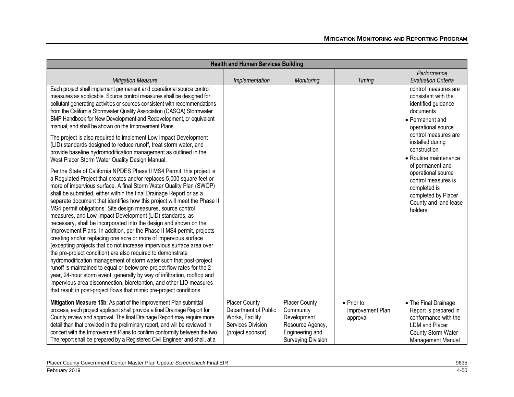| <b>Health and Human Services Building</b>                                                                                                                                                                                                                                                                                                                                                                                                                                                                                                                                                                                                                                                                                                                                                                                                                                                                                                                                                                                                                                                                                                                                                                                                    |                                                                                                    |                                                                                                                      |                                            |                                                                                                                                                  |
|----------------------------------------------------------------------------------------------------------------------------------------------------------------------------------------------------------------------------------------------------------------------------------------------------------------------------------------------------------------------------------------------------------------------------------------------------------------------------------------------------------------------------------------------------------------------------------------------------------------------------------------------------------------------------------------------------------------------------------------------------------------------------------------------------------------------------------------------------------------------------------------------------------------------------------------------------------------------------------------------------------------------------------------------------------------------------------------------------------------------------------------------------------------------------------------------------------------------------------------------|----------------------------------------------------------------------------------------------------|----------------------------------------------------------------------------------------------------------------------|--------------------------------------------|--------------------------------------------------------------------------------------------------------------------------------------------------|
| <b>Mitigation Measure</b>                                                                                                                                                                                                                                                                                                                                                                                                                                                                                                                                                                                                                                                                                                                                                                                                                                                                                                                                                                                                                                                                                                                                                                                                                    | Implementation                                                                                     | Monitoring                                                                                                           | <b>Timing</b>                              | Performance<br><b>Evaluation Criteria</b>                                                                                                        |
| Each project shall implement permanent and operational source control<br>measures as applicable. Source control measures shall be designed for<br>pollutant generating activities or sources consistent with recommendations<br>from the California Stormwater Quality Association (CASQA) Stormwater<br>BMP Handbook for New Development and Redevelopment, or equivalent<br>manual, and shall be shown on the Improvement Plans.                                                                                                                                                                                                                                                                                                                                                                                                                                                                                                                                                                                                                                                                                                                                                                                                           |                                                                                                    |                                                                                                                      |                                            | control measures are<br>consistent with the<br>identified guidance<br>documents<br>• Permanent and<br>operational source<br>control measures are |
| The project is also required to implement Low Impact Development<br>(LID) standards designed to reduce runoff, treat storm water, and<br>provide baseline hydromodification management as outlined in the<br>West Placer Storm Water Quality Design Manual.                                                                                                                                                                                                                                                                                                                                                                                                                                                                                                                                                                                                                                                                                                                                                                                                                                                                                                                                                                                  |                                                                                                    |                                                                                                                      |                                            | installed during<br>construction<br>• Routine maintenance<br>of permanent and                                                                    |
| Per the State of California NPDES Phase II MS4 Permit, this project is<br>a Regulated Project that creates and/or replaces 5,000 square feet or<br>more of impervious surface. A final Storm Water Quality Plan (SWQP)<br>shall be submitted, either within the final Drainage Report or as a<br>separate document that identifies how this project will meet the Phase II<br>MS4 permit obligations. Site design measures, source control<br>measures, and Low Impact Development (LID) standards, as<br>necessary, shall be incorporated into the design and shown on the<br>Improvement Plans. In addition, per the Phase II MS4 permit, projects<br>creating and/or replacing one acre or more of impervious surface<br>(excepting projects that do not increase impervious surface area over<br>the pre-project condition) are also required to demonstrate<br>hydromodification management of storm water such that post-project<br>runoff is maintained to equal or below pre-project flow rates for the 2<br>year, 24-hour storm event, generally by way of infiltration, rooftop and<br>impervious area disconnection, bioretention, and other LID measures<br>that result in post-project flows that mimic pre-project conditions. |                                                                                                    |                                                                                                                      |                                            | operational source<br>control measures is<br>completed is<br>completed by Placer<br>County and land lease<br>holders                             |
| Mitigation Measure 15b: As part of the Improvement Plan submittal<br>process, each project applicant shall provide a final Drainage Report for<br>County review and approval. The final Drainage Report may require more<br>detail than that provided in the preliminary report, and will be reviewed in<br>concert with the Improvement Plans to confirm conformity between the two.<br>The report shall be prepared by a Registered Civil Engineer and shall, at a                                                                                                                                                                                                                                                                                                                                                                                                                                                                                                                                                                                                                                                                                                                                                                         | Placer County<br>Department of Public<br>Works, Facility<br>Services Division<br>(project sponsor) | <b>Placer County</b><br>Community<br>Development<br>Resource Agency,<br>Engineering and<br><b>Surveying Division</b> | • Prior to<br>Improvement Plan<br>approval | • The Final Drainage<br>Report is prepared in<br>conformance with the<br><b>LDM</b> and Placer<br>County Storm Water<br>Management Manual        |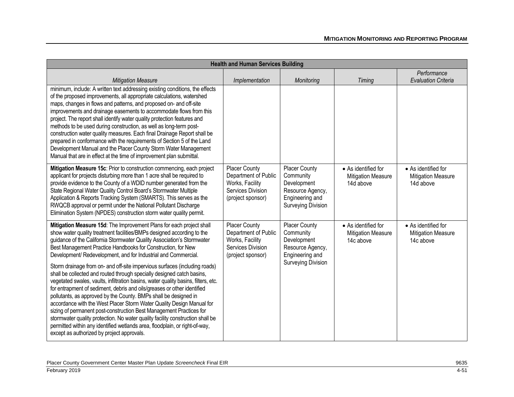| <b>Health and Human Services Building</b>                                                                                                                                                                                                                                                                                                                                                                                                                                                                                                                                                                                                                                                                                                                                                                                                                                                                                                                                                                                                                                                                              |                                                                                                           |                                                                                                                      |                                                               |                                                               |
|------------------------------------------------------------------------------------------------------------------------------------------------------------------------------------------------------------------------------------------------------------------------------------------------------------------------------------------------------------------------------------------------------------------------------------------------------------------------------------------------------------------------------------------------------------------------------------------------------------------------------------------------------------------------------------------------------------------------------------------------------------------------------------------------------------------------------------------------------------------------------------------------------------------------------------------------------------------------------------------------------------------------------------------------------------------------------------------------------------------------|-----------------------------------------------------------------------------------------------------------|----------------------------------------------------------------------------------------------------------------------|---------------------------------------------------------------|---------------------------------------------------------------|
| <b>Mitigation Measure</b>                                                                                                                                                                                                                                                                                                                                                                                                                                                                                                                                                                                                                                                                                                                                                                                                                                                                                                                                                                                                                                                                                              | Implementation                                                                                            | Monitoring                                                                                                           | <b>Timing</b>                                                 | Performance<br><b>Evaluation Criteria</b>                     |
| minimum, include: A written text addressing existing conditions, the effects<br>of the proposed improvements, all appropriate calculations, watershed<br>maps, changes in flows and patterns, and proposed on- and off-site<br>improvements and drainage easements to accommodate flows from this<br>project. The report shall identify water quality protection features and<br>methods to be used during construction, as well as long-term post-<br>construction water quality measures. Each final Drainage Report shall be<br>prepared in conformance with the requirements of Section 5 of the Land<br>Development Manual and the Placer County Storm Water Management<br>Manual that are in effect at the time of improvement plan submittal.                                                                                                                                                                                                                                                                                                                                                                   |                                                                                                           |                                                                                                                      |                                                               |                                                               |
| Mitigation Measure 15c: Prior to construction commencing, each project<br>applicant for projects disturbing more than 1 acre shall be required to<br>provide evidence to the County of a WDID number generated from the<br>State Regional Water Quality Control Board's Stormwater Multiple<br>Application & Reports Tracking System (SMARTS). This serves as the<br>RWQCB approval or permit under the National Pollutant Discharge<br>Elimination System (NPDES) construction storm water quality permit.                                                                                                                                                                                                                                                                                                                                                                                                                                                                                                                                                                                                            | <b>Placer County</b><br>Department of Public<br>Works, Facility<br>Services Division<br>(project sponsor) | <b>Placer County</b><br>Community<br>Development<br>Resource Agency,<br>Engineering and<br><b>Surveying Division</b> | • As identified for<br><b>Mitigation Measure</b><br>14d above | • As identified for<br><b>Mitigation Measure</b><br>14d above |
| Mitigation Measure 15d: The Improvement Plans for each project shall<br>show water quality treatment facilities/BMPs designed according to the<br>guidance of the California Stormwater Quality Association's Stormwater<br>Best Management Practice Handbooks for Construction, for New<br>Development/ Redevelopment, and for Industrial and Commercial.<br>Storm drainage from on- and off-site impervious surfaces (including roads)<br>shall be collected and routed through specially designed catch basins,<br>vegetated swales, vaults, infiltration basins, water quality basins, filters, etc.<br>for entrapment of sediment, debris and oils/greases or other identified<br>pollutants, as approved by the County. BMPs shall be designed in<br>accordance with the West Placer Storm Water Quality Design Manual for<br>sizing of permanent post-construction Best Management Practices for<br>stormwater quality protection. No water quality facility construction shall be<br>permitted within any identified wetlands area, floodplain, or right-of-way,<br>except as authorized by project approvals. | <b>Placer County</b><br>Department of Public<br>Works, Facility<br>Services Division<br>(project sponsor) | <b>Placer County</b><br>Community<br>Development<br>Resource Agency,<br>Engineering and<br><b>Surveying Division</b> | • As identified for<br><b>Mitigation Measure</b><br>14c above | • As identified for<br><b>Mitigation Measure</b><br>14c above |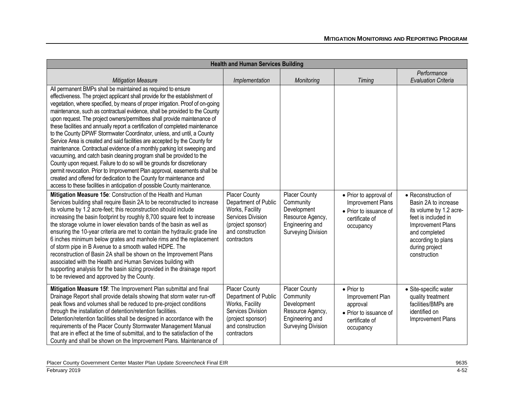| <b>Health and Human Services Building</b>                                                                                                                                                                                                                                                                                                                                                                                                                                                                                                                                                                                                                                                                                                                                                                                                                                                                                                                                                                                                                                                                                                                        |                                                                                                                                              |                                                                                                                      |                                                                                                             |                                                                                                                                                                      |
|------------------------------------------------------------------------------------------------------------------------------------------------------------------------------------------------------------------------------------------------------------------------------------------------------------------------------------------------------------------------------------------------------------------------------------------------------------------------------------------------------------------------------------------------------------------------------------------------------------------------------------------------------------------------------------------------------------------------------------------------------------------------------------------------------------------------------------------------------------------------------------------------------------------------------------------------------------------------------------------------------------------------------------------------------------------------------------------------------------------------------------------------------------------|----------------------------------------------------------------------------------------------------------------------------------------------|----------------------------------------------------------------------------------------------------------------------|-------------------------------------------------------------------------------------------------------------|----------------------------------------------------------------------------------------------------------------------------------------------------------------------|
| <b>Mitigation Measure</b>                                                                                                                                                                                                                                                                                                                                                                                                                                                                                                                                                                                                                                                                                                                                                                                                                                                                                                                                                                                                                                                                                                                                        | Implementation                                                                                                                               | Monitoring                                                                                                           | Timing                                                                                                      | Performance<br><b>Evaluation Criteria</b>                                                                                                                            |
| All permanent BMPs shall be maintained as required to ensure<br>effectiveness. The project applicant shall provide for the establishment of<br>vegetation, where specified, by means of proper irrigation. Proof of on-going<br>maintenance, such as contractual evidence, shall be provided to the County<br>upon request. The project owners/permittees shall provide maintenance of<br>these facilities and annually report a certification of completed maintenance<br>to the County DPWF Stormwater Coordinator, unless, and until, a County<br>Service Area is created and said facilities are accepted by the County for<br>maintenance. Contractual evidence of a monthly parking lot sweeping and<br>vacuuming, and catch basin cleaning program shall be provided to the<br>County upon request. Failure to do so will be grounds for discretionary<br>permit revocation. Prior to Improvement Plan approval, easements shall be<br>created and offered for dedication to the County for maintenance and<br>access to these facilities in anticipation of possible County maintenance.<br>Mitigation Measure 15e: Construction of the Health and Human | Placer County                                                                                                                                | Placer County                                                                                                        | • Prior to approval of                                                                                      | • Reconstruction of                                                                                                                                                  |
| Services building shall require Basin 2A to be reconstructed to increase<br>its volume by 1.2 acre-feet; this reconstruction should include<br>increasing the basin footprint by roughly 8,700 square feet to increase<br>the storage volume in lower elevation bands of the basin as well as<br>ensuring the 10-year criteria are met to contain the hydraulic grade line<br>6 inches minimum below grates and manhole rims and the replacement<br>of storm pipe in B Avenue to a smooth walled HDPE. The<br>reconstruction of Basin 2A shall be shown on the Improvement Plans<br>associated with the Health and Human Services building with<br>supporting analysis for the basin sizing provided in the drainage report<br>to be reviewed and approved by the County.                                                                                                                                                                                                                                                                                                                                                                                        | Department of Public<br>Works, Facility<br>Services Division<br>(project sponsor)<br>and construction<br>contractors                         | Community<br>Development<br>Resource Agency,<br>Engineering and<br><b>Surveying Division</b>                         | Improvement Plans<br>• Prior to issuance of<br>certificate of<br>occupancy                                  | Basin 2A to increase<br>its volume by 1.2 acre-<br>feet is included in<br>Improvement Plans<br>and completed<br>according to plans<br>during project<br>construction |
| Mitigation Measure 15f: The Improvement Plan submittal and final<br>Drainage Report shall provide details showing that storm water run-off<br>peak flows and volumes shall be reduced to pre-project conditions<br>through the installation of detention/retention facilities.<br>Detention/retention facilities shall be designed in accordance with the<br>requirements of the Placer County Stormwater Management Manual<br>that are in effect at the time of submittal, and to the satisfaction of the<br>County and shall be shown on the Improvement Plans. Maintenance of                                                                                                                                                                                                                                                                                                                                                                                                                                                                                                                                                                                 | <b>Placer County</b><br>Department of Public<br>Works, Facility<br>Services Division<br>(project sponsor)<br>and construction<br>contractors | <b>Placer County</b><br>Community<br>Development<br>Resource Agency,<br>Engineering and<br><b>Surveying Division</b> | $\bullet$ Prior to<br>Improvement Plan<br>approval<br>• Prior to issuance of<br>certificate of<br>occupancy | · Site-specific water<br>quality treatment<br>facilities/BMPs are<br>identified on<br>Improvement Plans                                                              |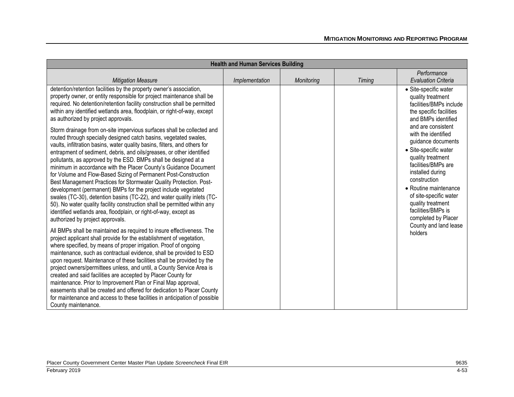| <b>Health and Human Services Building</b>                                                                                                                                                                                                                                                                                                                                                                                                                                                                                                                                                                                                                                                                                                                                                                                                                                                                            |                |            |        |                                                                                                                                                                                                                                                                                               |
|----------------------------------------------------------------------------------------------------------------------------------------------------------------------------------------------------------------------------------------------------------------------------------------------------------------------------------------------------------------------------------------------------------------------------------------------------------------------------------------------------------------------------------------------------------------------------------------------------------------------------------------------------------------------------------------------------------------------------------------------------------------------------------------------------------------------------------------------------------------------------------------------------------------------|----------------|------------|--------|-----------------------------------------------------------------------------------------------------------------------------------------------------------------------------------------------------------------------------------------------------------------------------------------------|
|                                                                                                                                                                                                                                                                                                                                                                                                                                                                                                                                                                                                                                                                                                                                                                                                                                                                                                                      |                |            |        | Performance                                                                                                                                                                                                                                                                                   |
| <b>Mitigation Measure</b>                                                                                                                                                                                                                                                                                                                                                                                                                                                                                                                                                                                                                                                                                                                                                                                                                                                                                            | Implementation | Monitoring | Timing | <b>Evaluation Criteria</b>                                                                                                                                                                                                                                                                    |
| detention/retention facilities by the property owner's association,<br>property owner, or entity responsible for project maintenance shall be<br>required. No detention/retention facility construction shall be permitted<br>within any identified wetlands area, floodplain, or right-of-way, except<br>as authorized by project approvals.                                                                                                                                                                                                                                                                                                                                                                                                                                                                                                                                                                        |                |            |        | • Site-specific water<br>quality treatment<br>facilities/BMPs include<br>the specific facilities<br>and BMPs identified                                                                                                                                                                       |
| Storm drainage from on-site impervious surfaces shall be collected and<br>routed through specially designed catch basins, vegetated swales,<br>vaults, infiltration basins, water quality basins, filters, and others for<br>entrapment of sediment, debris, and oils/greases, or other identified<br>pollutants, as approved by the ESD. BMPs shall be designed at a<br>minimum in accordance with the Placer County's Guidance Document<br>for Volume and Flow-Based Sizing of Permanent Post-Construction<br>Best Management Practices for Stormwater Quality Protection. Post-<br>development (permanent) BMPs for the project include vegetated<br>swales (TC-30), detention basins (TC-22), and water quality inlets (TC-<br>50). No water quality facility construction shall be permitted within any<br>identified wetlands area, floodplain, or right-of-way, except as<br>authorized by project approvals. |                |            |        | and are consistent<br>with the identified<br>guidance documents<br>· Site-specific water<br>quality treatment<br>facilities/BMPs are<br>installed during<br>construction<br>• Routine maintenance<br>of site-specific water<br>quality treatment<br>facilities/BMPs is<br>completed by Placer |
| All BMPs shall be maintained as required to insure effectiveness. The<br>project applicant shall provide for the establishment of vegetation,<br>where specified, by means of proper irrigation. Proof of ongoing<br>maintenance, such as contractual evidence, shall be provided to ESD<br>upon request. Maintenance of these facilities shall be provided by the<br>project owners/permittees unless, and until, a County Service Area is<br>created and said facilities are accepted by Placer County for<br>maintenance. Prior to Improvement Plan or Final Map approval,<br>easements shall be created and offered for dedication to Placer County<br>for maintenance and access to these facilities in anticipation of possible<br>County maintenance.                                                                                                                                                         |                |            |        | County and land lease<br>holders                                                                                                                                                                                                                                                              |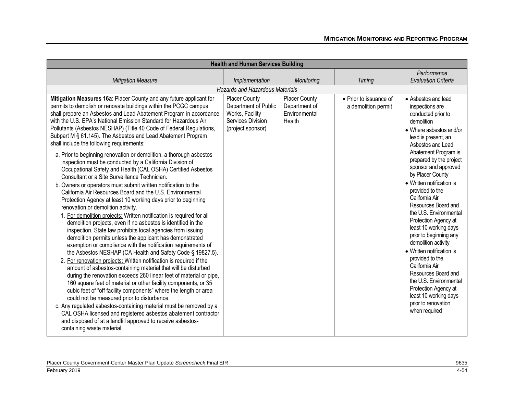| <b>Health and Human Services Building</b>                                                                                                                                                                                                                                                                                                                                                                                                                                                                                                                                                                                                                                                                                                                                                                                                                                                                                                                                                                                                                                                                                                                                                                                                                                                                                                                                                                                                                                                                                          |                                                                                                           |                                                                  |                                               |                                                                                                                                                                                                                                                                                                                                                                                                                                                                                                                              |
|------------------------------------------------------------------------------------------------------------------------------------------------------------------------------------------------------------------------------------------------------------------------------------------------------------------------------------------------------------------------------------------------------------------------------------------------------------------------------------------------------------------------------------------------------------------------------------------------------------------------------------------------------------------------------------------------------------------------------------------------------------------------------------------------------------------------------------------------------------------------------------------------------------------------------------------------------------------------------------------------------------------------------------------------------------------------------------------------------------------------------------------------------------------------------------------------------------------------------------------------------------------------------------------------------------------------------------------------------------------------------------------------------------------------------------------------------------------------------------------------------------------------------------|-----------------------------------------------------------------------------------------------------------|------------------------------------------------------------------|-----------------------------------------------|------------------------------------------------------------------------------------------------------------------------------------------------------------------------------------------------------------------------------------------------------------------------------------------------------------------------------------------------------------------------------------------------------------------------------------------------------------------------------------------------------------------------------|
|                                                                                                                                                                                                                                                                                                                                                                                                                                                                                                                                                                                                                                                                                                                                                                                                                                                                                                                                                                                                                                                                                                                                                                                                                                                                                                                                                                                                                                                                                                                                    |                                                                                                           |                                                                  |                                               | Performance                                                                                                                                                                                                                                                                                                                                                                                                                                                                                                                  |
| <b>Mitigation Measure</b>                                                                                                                                                                                                                                                                                                                                                                                                                                                                                                                                                                                                                                                                                                                                                                                                                                                                                                                                                                                                                                                                                                                                                                                                                                                                                                                                                                                                                                                                                                          | Implementation                                                                                            | Monitoring                                                       | Timing                                        | <b>Evaluation Criteria</b>                                                                                                                                                                                                                                                                                                                                                                                                                                                                                                   |
|                                                                                                                                                                                                                                                                                                                                                                                                                                                                                                                                                                                                                                                                                                                                                                                                                                                                                                                                                                                                                                                                                                                                                                                                                                                                                                                                                                                                                                                                                                                                    | <b>Hazards and Hazardous Materials</b>                                                                    |                                                                  |                                               |                                                                                                                                                                                                                                                                                                                                                                                                                                                                                                                              |
| Mitigation Measures 16a: Placer County and any future applicant for<br>permits to demolish or renovate buildings within the PCGC campus<br>shall prepare an Asbestos and Lead Abatement Program in accordance<br>with the U.S. EPA's National Emission Standard for Hazardous Air<br>Pollutants (Asbestos NESHAP) (Title 40 Code of Federal Regulations,<br>Subpart M § 61.145). The Asbestos and Lead Abatement Program<br>shall include the following requirements:                                                                                                                                                                                                                                                                                                                                                                                                                                                                                                                                                                                                                                                                                                                                                                                                                                                                                                                                                                                                                                                              | <b>Placer County</b><br>Department of Public<br>Works, Facility<br>Services Division<br>(project sponsor) | <b>Placer County</b><br>Department of<br>Environmental<br>Health | • Prior to issuance of<br>a demolition permit | • Asbestos and lead<br>inspections are<br>conducted prior to<br>demolition<br>• Where asbestos and/or<br>lead is present, an<br>Asbestos and Lead                                                                                                                                                                                                                                                                                                                                                                            |
| a. Prior to beginning renovation or demolition, a thorough asbestos<br>inspection must be conducted by a California Division of<br>Occupational Safety and Health (CAL OSHA) Certified Asbestos<br>Consultant or a Site Surveillance Technician.<br>b. Owners or operators must submit written notification to the<br>California Air Resources Board and the U.S. Environmental<br>Protection Agency at least 10 working days prior to beginning<br>renovation or demolition activity.<br>1. For demolition projects: Written notification is required for all<br>demolition projects, even if no asbestos is identified in the<br>inspection. State law prohibits local agencies from issuing<br>demolition permits unless the applicant has demonstrated<br>exemption or compliance with the notification requirements of<br>the Asbestos NESHAP (CA Health and Safety Code § 19827.5).<br>2. For renovation projects: Written notification is required if the<br>amount of asbestos-containing material that will be disturbed<br>during the renovation exceeds 260 linear feet of material or pipe,<br>160 square feet of material or other facility components, or 35<br>cubic feet of "off facility components" where the length or area<br>could not be measured prior to disturbance.<br>c. Any regulated asbestos-containing material must be removed by a<br>CAL OSHA licensed and registered asbestos abatement contractor<br>and disposed of at a landfill approved to receive asbestos-<br>containing waste material. |                                                                                                           |                                                                  |                                               | Abatement Program is<br>prepared by the project<br>sponsor and approved<br>by Placer County<br>• Written notification is<br>provided to the<br>California Air<br>Resources Board and<br>the U.S. Environmental<br>Protection Agency at<br>least 10 working days<br>prior to beginning any<br>demolition activity<br>• Written notification is<br>provided to the<br>California Air<br>Resources Board and<br>the U.S. Environmental<br>Protection Agency at<br>least 10 working days<br>prior to renovation<br>when required |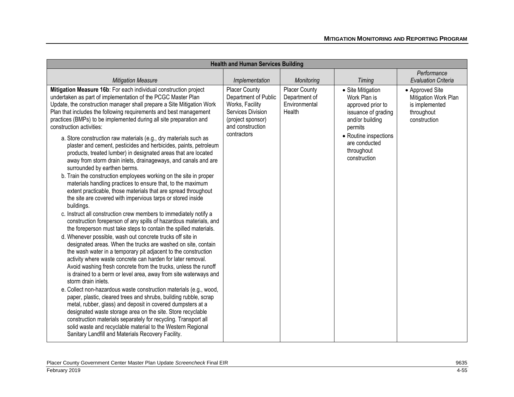| <b>Health and Human Services Building</b>                                                                                                                                                                                                                                                                                                                                                                                                                                                                                                                                                                                                                                                                                                                                                                                                                                                                                                                                                                                                                                                                                                                                                                                                                                                                                                                                                                                                                                                                                                                                                                                                                                                                                                                                                                                                                                                                                                                                                                                                                                                  |                                                                                                                                              |                                                                  |                                                                                                                                                                                     |                                                                                         |
|--------------------------------------------------------------------------------------------------------------------------------------------------------------------------------------------------------------------------------------------------------------------------------------------------------------------------------------------------------------------------------------------------------------------------------------------------------------------------------------------------------------------------------------------------------------------------------------------------------------------------------------------------------------------------------------------------------------------------------------------------------------------------------------------------------------------------------------------------------------------------------------------------------------------------------------------------------------------------------------------------------------------------------------------------------------------------------------------------------------------------------------------------------------------------------------------------------------------------------------------------------------------------------------------------------------------------------------------------------------------------------------------------------------------------------------------------------------------------------------------------------------------------------------------------------------------------------------------------------------------------------------------------------------------------------------------------------------------------------------------------------------------------------------------------------------------------------------------------------------------------------------------------------------------------------------------------------------------------------------------------------------------------------------------------------------------------------------------|----------------------------------------------------------------------------------------------------------------------------------------------|------------------------------------------------------------------|-------------------------------------------------------------------------------------------------------------------------------------------------------------------------------------|-----------------------------------------------------------------------------------------|
| <b>Mitigation Measure</b>                                                                                                                                                                                                                                                                                                                                                                                                                                                                                                                                                                                                                                                                                                                                                                                                                                                                                                                                                                                                                                                                                                                                                                                                                                                                                                                                                                                                                                                                                                                                                                                                                                                                                                                                                                                                                                                                                                                                                                                                                                                                  | Implementation                                                                                                                               | Monitoring                                                       | <b>Timing</b>                                                                                                                                                                       | Performance<br><b>Evaluation Criteria</b>                                               |
| Mitigation Measure 16b: For each individual construction project<br>undertaken as part of implementation of the PCGC Master Plan<br>Update, the construction manager shall prepare a Site Mitigation Work<br>Plan that includes the following requirements and best management<br>practices (BMPs) to be implemented during all site preparation and<br>construction activities:<br>a. Store construction raw materials (e.g., dry materials such as<br>plaster and cement, pesticides and herbicides, paints, petroleum<br>products, treated lumber) in designated areas that are located<br>away from storm drain inlets, drainageways, and canals and are<br>surrounded by earthen berms.<br>b. Train the construction employees working on the site in proper<br>materials handling practices to ensure that, to the maximum<br>extent practicable, those materials that are spread throughout<br>the site are covered with impervious tarps or stored inside<br>buildings.<br>c. Instruct all construction crew members to immediately notify a<br>construction foreperson of any spills of hazardous materials, and<br>the foreperson must take steps to contain the spilled materials.<br>d. Whenever possible, wash out concrete trucks off site in<br>designated areas. When the trucks are washed on site, contain<br>the wash water in a temporary pit adjacent to the construction<br>activity where waste concrete can harden for later removal.<br>Avoid washing fresh concrete from the trucks, unless the runoff<br>is drained to a berm or level area, away from site waterways and<br>storm drain inlets.<br>e. Collect non-hazardous waste construction materials (e.g., wood,<br>paper, plastic, cleared trees and shrubs, building rubble, scrap<br>metal, rubber, glass) and deposit in covered dumpsters at a<br>designated waste storage area on the site. Store recyclable<br>construction materials separately for recycling. Transport all<br>solid waste and recyclable material to the Western Regional<br>Sanitary Landfill and Materials Recovery Facility. | <b>Placer County</b><br>Department of Public<br>Works, Facility<br>Services Division<br>(project sponsor)<br>and construction<br>contractors | <b>Placer County</b><br>Department of<br>Environmental<br>Health | • Site Mitigation<br>Work Plan is<br>approved prior to<br>issuance of grading<br>and/or building<br>permits<br>• Routine inspections<br>are conducted<br>throughout<br>construction | • Approved Site<br>Mitigation Work Plan<br>is implemented<br>throughout<br>construction |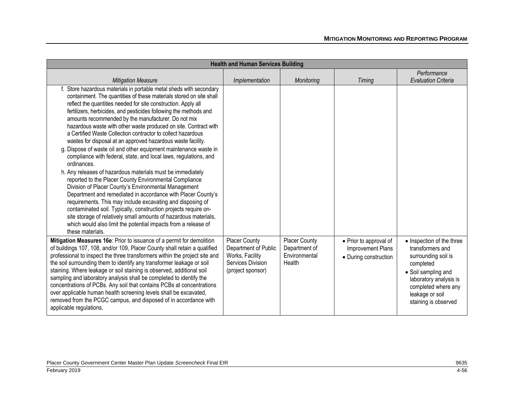| <b>Health and Human Services Building</b>                                                                                                                                                                                                                                                                                                                                                                                                                                                                                                                                                                                                                                                                                                                                                                                                                                                                                                                                                                                                                                                                                                                                                                                                      |                                                                                                           |                                                                  |                                                                      |                                                                                                                                                                                                      |
|------------------------------------------------------------------------------------------------------------------------------------------------------------------------------------------------------------------------------------------------------------------------------------------------------------------------------------------------------------------------------------------------------------------------------------------------------------------------------------------------------------------------------------------------------------------------------------------------------------------------------------------------------------------------------------------------------------------------------------------------------------------------------------------------------------------------------------------------------------------------------------------------------------------------------------------------------------------------------------------------------------------------------------------------------------------------------------------------------------------------------------------------------------------------------------------------------------------------------------------------|-----------------------------------------------------------------------------------------------------------|------------------------------------------------------------------|----------------------------------------------------------------------|------------------------------------------------------------------------------------------------------------------------------------------------------------------------------------------------------|
| <b>Mitigation Measure</b>                                                                                                                                                                                                                                                                                                                                                                                                                                                                                                                                                                                                                                                                                                                                                                                                                                                                                                                                                                                                                                                                                                                                                                                                                      | Implementation                                                                                            | Monitoring                                                       | Timing                                                               | Performance<br><b>Evaluation Criteria</b>                                                                                                                                                            |
| f. Store hazardous materials in portable metal sheds with secondary<br>containment. The quantities of these materials stored on site shall<br>reflect the quantities needed for site construction. Apply all<br>fertilizers, herbicides, and pesticides following the methods and<br>amounts recommended by the manufacturer. Do not mix<br>hazardous waste with other waste produced on site. Contract with<br>a Certified Waste Collection contractor to collect hazardous<br>wastes for disposal at an approved hazardous waste facility.<br>g. Dispose of waste oil and other equipment maintenance waste in<br>compliance with federal, state, and local laws, regulations, and<br>ordinances.<br>h. Any releases of hazardous materials must be immediately<br>reported to the Placer County Environmental Compliance<br>Division of Placer County's Environmental Management<br>Department and remediated in accordance with Placer County's<br>requirements. This may include excavating and disposing of<br>contaminated soil. Typically, construction projects require on-<br>site storage of relatively small amounts of hazardous materials,<br>which would also limit the potential impacts from a release of<br>these materials. |                                                                                                           |                                                                  |                                                                      |                                                                                                                                                                                                      |
| Mitigation Measures 16e: Prior to issuance of a permit for demolition<br>of buildings 107, 108, and/or 109, Placer County shall retain a qualified<br>professional to inspect the three transformers within the project site and<br>the soil surrounding them to identify any transformer leakage or soil<br>staining. Where leakage or soil staining is observed, additional soil<br>sampling and laboratory analysis shall be completed to identify the<br>concentrations of PCBs. Any soil that contains PCBs at concentrations<br>over applicable human health screening levels shall be excavated,<br>removed from the PCGC campus, and disposed of in accordance with<br>applicable regulations.                                                                                                                                                                                                                                                                                                                                                                                                                                                                                                                                         | <b>Placer County</b><br>Department of Public<br>Works, Facility<br>Services Division<br>(project sponsor) | <b>Placer County</b><br>Department of<br>Environmental<br>Health | • Prior to approval of<br>Improvement Plans<br>• During construction | • Inspection of the three<br>transformers and<br>surrounding soil is<br>completed<br>• Soil sampling and<br>laboratory analysis is<br>completed where any<br>leakage or soil<br>staining is observed |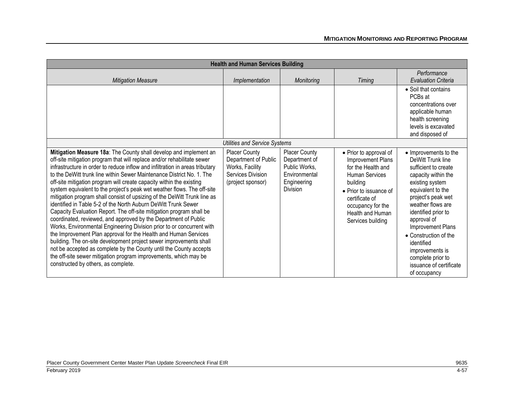|                                                                                                                                                                                                                                                                                                                                                                                                                                                                                                                                                                                                                                                                                                                                                                                                                                                                                                                                                                                                                                                                                                                                                      | <b>Health and Human Services Building</b>                                                                 |                                                                                                    |                                                                                                                                                                                                                  |                                                                                                                                                                                                                                                                                                                                                                   |
|------------------------------------------------------------------------------------------------------------------------------------------------------------------------------------------------------------------------------------------------------------------------------------------------------------------------------------------------------------------------------------------------------------------------------------------------------------------------------------------------------------------------------------------------------------------------------------------------------------------------------------------------------------------------------------------------------------------------------------------------------------------------------------------------------------------------------------------------------------------------------------------------------------------------------------------------------------------------------------------------------------------------------------------------------------------------------------------------------------------------------------------------------|-----------------------------------------------------------------------------------------------------------|----------------------------------------------------------------------------------------------------|------------------------------------------------------------------------------------------------------------------------------------------------------------------------------------------------------------------|-------------------------------------------------------------------------------------------------------------------------------------------------------------------------------------------------------------------------------------------------------------------------------------------------------------------------------------------------------------------|
| <b>Mitigation Measure</b>                                                                                                                                                                                                                                                                                                                                                                                                                                                                                                                                                                                                                                                                                                                                                                                                                                                                                                                                                                                                                                                                                                                            | Implementation                                                                                            | Monitoring                                                                                         | <b>Timing</b>                                                                                                                                                                                                    | Performance<br><b>Evaluation Criteria</b>                                                                                                                                                                                                                                                                                                                         |
|                                                                                                                                                                                                                                                                                                                                                                                                                                                                                                                                                                                                                                                                                                                                                                                                                                                                                                                                                                                                                                                                                                                                                      |                                                                                                           |                                                                                                    |                                                                                                                                                                                                                  | • Soil that contains<br>PCBs at<br>concentrations over<br>applicable human<br>health screening<br>levels is excavated<br>and disposed of                                                                                                                                                                                                                          |
|                                                                                                                                                                                                                                                                                                                                                                                                                                                                                                                                                                                                                                                                                                                                                                                                                                                                                                                                                                                                                                                                                                                                                      | <b>Utilities and Service Systems</b>                                                                      |                                                                                                    |                                                                                                                                                                                                                  |                                                                                                                                                                                                                                                                                                                                                                   |
| Mitigation Measure 18a: The County shall develop and implement an<br>off-site mitigation program that will replace and/or rehabilitate sewer<br>infrastructure in order to reduce inflow and infiltration in areas tributary<br>to the DeWitt trunk line within Sewer Maintenance District No. 1. The<br>off-site mitigation program will create capacity within the existing<br>system equivalent to the project's peak wet weather flows. The off-site<br>mitigation program shall consist of upsizing of the DeWitt Trunk line as<br>identified in Table 5-2 of the North Auburn DeWitt Trunk Sewer<br>Capacity Evaluation Report. The off-site mitigation program shall be<br>coordinated, reviewed, and approved by the Department of Public<br>Works, Environmental Engineering Division prior to or concurrent with<br>the Improvement Plan approval for the Health and Human Services<br>building. The on-site development project sewer improvements shall<br>not be accepted as complete by the County until the County accepts<br>the off-site sewer mitigation program improvements, which may be<br>constructed by others, as complete. | <b>Placer County</b><br>Department of Public<br>Works, Facility<br>Services Division<br>(project sponsor) | <b>Placer County</b><br>Department of<br>Public Works,<br>Environmental<br>Engineering<br>Division | • Prior to approval of<br>Improvement Plans<br>for the Health and<br><b>Human Services</b><br>building<br>• Prior to issuance of<br>certificate of<br>occupancy for the<br>Health and Human<br>Services building | • Improvements to the<br>DeWitt Trunk line<br>sufficient to create<br>capacity within the<br>existing system<br>equivalent to the<br>project's peak wet<br>weather flows are<br>identified prior to<br>approval of<br>Improvement Plans<br>• Construction of the<br>identified<br>improvements is<br>complete prior to<br>issuance of certificate<br>of occupancy |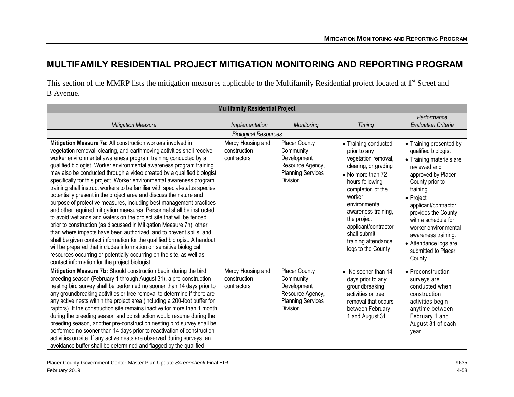## **MULTIFAMILY RESIDENTIAL PROJECT MITIGATION MONITORING AND REPORTING PROGRAM**

This section of the MMRP lists the mitigation measures applicable to the Multifamily Residential project located at 1<sup>st</sup> Street and B Avenue.

|                                                                                                                                                                                                                                                                                                                                                                                                                                                                                                                                                                                                                                                                                                                                                                                                                                                                                                                                                                                                                                                                                                                                                                                                                                            | <b>Multifamily Residential Project</b>           |                                                                                                                     |                                                                                                                                                                                                                                                                                                        |                                                                                                                                                                                                                                                                                                                                             |  |
|--------------------------------------------------------------------------------------------------------------------------------------------------------------------------------------------------------------------------------------------------------------------------------------------------------------------------------------------------------------------------------------------------------------------------------------------------------------------------------------------------------------------------------------------------------------------------------------------------------------------------------------------------------------------------------------------------------------------------------------------------------------------------------------------------------------------------------------------------------------------------------------------------------------------------------------------------------------------------------------------------------------------------------------------------------------------------------------------------------------------------------------------------------------------------------------------------------------------------------------------|--------------------------------------------------|---------------------------------------------------------------------------------------------------------------------|--------------------------------------------------------------------------------------------------------------------------------------------------------------------------------------------------------------------------------------------------------------------------------------------------------|---------------------------------------------------------------------------------------------------------------------------------------------------------------------------------------------------------------------------------------------------------------------------------------------------------------------------------------------|--|
|                                                                                                                                                                                                                                                                                                                                                                                                                                                                                                                                                                                                                                                                                                                                                                                                                                                                                                                                                                                                                                                                                                                                                                                                                                            |                                                  |                                                                                                                     |                                                                                                                                                                                                                                                                                                        | Performance                                                                                                                                                                                                                                                                                                                                 |  |
| <b>Mitigation Measure</b>                                                                                                                                                                                                                                                                                                                                                                                                                                                                                                                                                                                                                                                                                                                                                                                                                                                                                                                                                                                                                                                                                                                                                                                                                  | Implementation                                   | Monitoring                                                                                                          | Timing                                                                                                                                                                                                                                                                                                 | <b>Evaluation Criteria</b>                                                                                                                                                                                                                                                                                                                  |  |
|                                                                                                                                                                                                                                                                                                                                                                                                                                                                                                                                                                                                                                                                                                                                                                                                                                                                                                                                                                                                                                                                                                                                                                                                                                            | <b>Biological Resources</b>                      |                                                                                                                     |                                                                                                                                                                                                                                                                                                        |                                                                                                                                                                                                                                                                                                                                             |  |
| Mitigation Measure 7a: All construction workers involved in<br>vegetation removal, clearing, and earthmoving activities shall receive<br>worker environmental awareness program training conducted by a<br>qualified biologist. Worker environmental awareness program training<br>may also be conducted through a video created by a qualified biologist<br>specifically for this project. Worker environmental awareness program<br>training shall instruct workers to be familiar with special-status species<br>potentially present in the project area and discuss the nature and<br>purpose of protective measures, including best management practices<br>and other required mitigation measures. Personnel shall be instructed<br>to avoid wetlands and waters on the project site that will be fenced<br>prior to construction (as discussed in Mitigation Measure 7h), other<br>than where impacts have been authorized, and to prevent spills, and<br>shall be given contact information for the qualified biologist. A handout<br>will be prepared that includes information on sensitive biological<br>resources occurring or potentially occurring on the site, as well as<br>contact information for the project biologist. | Mercy Housing and<br>construction<br>contractors | <b>Placer County</b><br>Community<br>Development<br>Resource Agency,<br><b>Planning Services</b><br><b>Division</b> | • Training conducted<br>prior to any<br>vegetation removal,<br>clearing, or grading<br>• No more than 72<br>hours following<br>completion of the<br>worker<br>environmental<br>awareness training,<br>the project<br>applicant/contractor<br>shall submit<br>training attendance<br>logs to the County | • Training presented by<br>qualified biologist<br>• Training materials are<br>reviewed and<br>approved by Placer<br>County prior to<br>training<br>• Project<br>applicant/contractor<br>provides the County<br>with a schedule for<br>worker environmental<br>awareness training.<br>• Attendance logs are<br>submitted to Placer<br>County |  |
| Mitigation Measure 7b: Should construction begin during the bird<br>breeding season (February 1 through August 31), a pre-construction<br>nesting bird survey shall be performed no sooner than 14 days prior to<br>any groundbreaking activities or tree removal to determine if there are<br>any active nests within the project area (including a 200-foot buffer for<br>raptors). If the construction site remains inactive for more than 1 month<br>during the breeding season and construction would resume during the<br>breeding season, another pre-construction nesting bird survey shall be<br>performed no sooner than 14 days prior to reactivation of construction<br>activities on site. If any active nests are observed during surveys, an<br>avoidance buffer shall be determined and flagged by the qualified                                                                                                                                                                                                                                                                                                                                                                                                           | Mercy Housing and<br>construction<br>contractors | <b>Placer County</b><br>Community<br>Development<br>Resource Agency,<br><b>Planning Services</b><br>Division        | • No sooner than 14<br>days prior to any<br>groundbreaking<br>activities or tree<br>removal that occurs<br>between February<br>1 and August 31                                                                                                                                                         | • Preconstruction<br>surveys are<br>conducted when<br>construction<br>activities begin<br>anytime between<br>February 1 and<br>August 31 of each<br>year                                                                                                                                                                                    |  |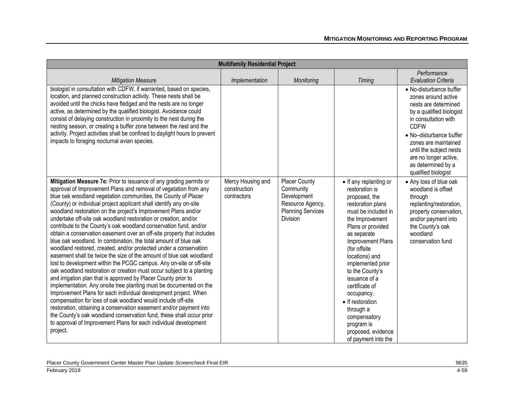| <b>Multifamily Residential Project</b>                                                                                                                                                                                                                                                                                                                                                                                                                                                                                                                                                                                                                                                                                                                                                                                                                                                                                                                                                                                                                                                                                                                                                                                                                                                                                                                                                                                                      |                                                  |                                                                                                                     |                                                                                                                                                                                                                                                                                                                                                                                                                           |                                                                                                                                                                                                                                                                                               |
|---------------------------------------------------------------------------------------------------------------------------------------------------------------------------------------------------------------------------------------------------------------------------------------------------------------------------------------------------------------------------------------------------------------------------------------------------------------------------------------------------------------------------------------------------------------------------------------------------------------------------------------------------------------------------------------------------------------------------------------------------------------------------------------------------------------------------------------------------------------------------------------------------------------------------------------------------------------------------------------------------------------------------------------------------------------------------------------------------------------------------------------------------------------------------------------------------------------------------------------------------------------------------------------------------------------------------------------------------------------------------------------------------------------------------------------------|--------------------------------------------------|---------------------------------------------------------------------------------------------------------------------|---------------------------------------------------------------------------------------------------------------------------------------------------------------------------------------------------------------------------------------------------------------------------------------------------------------------------------------------------------------------------------------------------------------------------|-----------------------------------------------------------------------------------------------------------------------------------------------------------------------------------------------------------------------------------------------------------------------------------------------|
| <b>Mitigation Measure</b>                                                                                                                                                                                                                                                                                                                                                                                                                                                                                                                                                                                                                                                                                                                                                                                                                                                                                                                                                                                                                                                                                                                                                                                                                                                                                                                                                                                                                   | Implementation                                   | Monitoring                                                                                                          | <b>Timing</b>                                                                                                                                                                                                                                                                                                                                                                                                             | Performance<br><b>Evaluation Criteria</b>                                                                                                                                                                                                                                                     |
| biologist in consultation with CDFW, if warranted, based on species,<br>location, and planned construction activity. These nests shall be<br>avoided until the chicks have fledged and the nests are no longer<br>active, as determined by the qualified biologist. Avoidance could<br>consist of delaying construction in proximity to the nest during the<br>nesting season, or creating a buffer zone between the nest and the<br>activity. Project activities shall be confined to daylight hours to prevent<br>impacts to foraging nocturnal avian species.                                                                                                                                                                                                                                                                                                                                                                                                                                                                                                                                                                                                                                                                                                                                                                                                                                                                            |                                                  |                                                                                                                     |                                                                                                                                                                                                                                                                                                                                                                                                                           | • No-disturbance buffer<br>zones around active<br>nests are determined<br>by a qualified biologist<br>in consultation with<br><b>CDFW</b><br>• No-disturbance buffer<br>zones are maintained<br>until the subject nests<br>are no longer active,<br>as determined by a<br>qualified biologist |
| Mitigation Measure 7e: Prior to issuance of any grading permits or<br>approval of Improvement Plans and removal of vegetation from any<br>blue oak woodland vegetation communities, the County of Placer<br>(County) or individual project applicant shall identify any on-site<br>woodland restoration on the project's Improvement Plans and/or<br>undertake off-site oak woodland restoration or creation, and/or<br>contribute to the County's oak woodland conservation fund, and/or<br>obtain a conservation easement over an off-site property that includes<br>blue oak woodland. In combination, the total amount of blue oak<br>woodland restored, created, and/or protected under a conservation<br>easement shall be twice the size of the amount of blue oak woodland<br>lost to development within the PCGC campus. Any on-site or off-site<br>oak woodland restoration or creation must occur subject to a planting<br>and irrigation plan that is approved by Placer County prior to<br>implementation. Any onsite tree planting must be documented on the<br>Improvement Plans for each individual development project. When<br>compensation for loss of oak woodland would include off-site<br>restoration, obtaining a conservation easement and/or payment into<br>the County's oak woodland conservation fund, these shall occur prior<br>to approval of Improvement Plans for each individual development<br>project. | Mercy Housing and<br>construction<br>contractors | <b>Placer County</b><br>Community<br>Development<br>Resource Agency,<br><b>Planning Services</b><br><b>Division</b> | • If any replanting or<br>restoration is<br>proposed, the<br>restoration plans<br>must be included in<br>the Improvement<br>Plans or provided<br>as separate<br>Improvement Plans<br>(for offsite)<br>locations) and<br>implemented prior<br>to the County's<br>issuance of a<br>certificate of<br>occupancy.<br>• If restoration<br>through a<br>compensatory<br>program is<br>proposed, evidence<br>of payment into the | • Any loss of blue oak<br>woodland is offset<br>through<br>replanting/restoration,<br>property conservation,<br>and/or payment into<br>the County's oak<br>woodland<br>conservation fund                                                                                                      |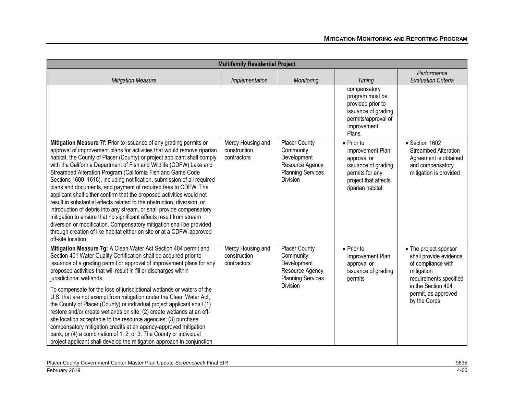|                                                                                                                                                                                                                                                                                                                                                                                                                                                                                                                                                                                                                                                                                                                                                                                                                                                                                                                                                                                         | <b>Multifamily Residential Project</b>           |                                                                                                              |                                                                                                                                             |                                                                                                                                                                            |
|-----------------------------------------------------------------------------------------------------------------------------------------------------------------------------------------------------------------------------------------------------------------------------------------------------------------------------------------------------------------------------------------------------------------------------------------------------------------------------------------------------------------------------------------------------------------------------------------------------------------------------------------------------------------------------------------------------------------------------------------------------------------------------------------------------------------------------------------------------------------------------------------------------------------------------------------------------------------------------------------|--------------------------------------------------|--------------------------------------------------------------------------------------------------------------|---------------------------------------------------------------------------------------------------------------------------------------------|----------------------------------------------------------------------------------------------------------------------------------------------------------------------------|
| <b>Mitigation Measure</b>                                                                                                                                                                                                                                                                                                                                                                                                                                                                                                                                                                                                                                                                                                                                                                                                                                                                                                                                                               | Implementation                                   | Monitoring                                                                                                   | <b>Timing</b>                                                                                                                               | Performance<br><b>Evaluation Criteria</b>                                                                                                                                  |
|                                                                                                                                                                                                                                                                                                                                                                                                                                                                                                                                                                                                                                                                                                                                                                                                                                                                                                                                                                                         |                                                  |                                                                                                              | compensatory<br>program must be<br>provided prior to<br>issuance of grading<br>permits/approval of<br>Improvement<br>Plans.                 |                                                                                                                                                                            |
| Mitigation Measure 7f: Prior to issuance of any grading permits or<br>approval of improvement plans for activities that would remove riparian<br>habitat, the County of Placer (County) or project applicant shall comply<br>with the California Department of Fish and Wildlife (CDFW) Lake and<br>Streambed Alteration Program (California Fish and Game Code<br>Sections 1600-1616), including notification, submission of all required<br>plans and documents, and payment of required fees to CDFW. The<br>applicant shall either confirm that the proposed activities would not<br>result in substantial effects related to the obstruction, diversion, or<br>introduction of debris into any stream, or shall provide compensatory<br>mitigation to ensure that no significant effects result from stream<br>diversion or modification. Compensatory mitigation shall be provided<br>through creation of like habitat either on site or at a CDFW-approved<br>off-site location. | Mercy Housing and<br>construction<br>contractors | <b>Placer County</b><br>Community<br>Development<br>Resource Agency,<br><b>Planning Services</b><br>Division | $\bullet$ Prior to<br>Improvement Plan<br>approval or<br>issuance of grading<br>permits for any<br>project that affects<br>riparian habitat | • Section 1602<br><b>Streambed Alteration</b><br>Agreement is obtained<br>and compensatory<br>mitigation is provided                                                       |
| Mitigation Measure 7g: A Clean Water Act Section 404 permit and<br>Section 401 Water Quality Certification shall be acquired prior to<br>issuance of a grading permit or approval of improvement plans for any<br>proposed activities that will result in fill or discharges within<br>jurisdictional wetlands.<br>To compensate for the loss of jurisdictional wetlands or waters of the<br>U.S. that are not exempt from mitigation under the Clean Water Act,<br>the County of Placer (County) or individual project applicant shall (1)<br>restore and/or create wetlands on site; (2) create wetlands at an off-<br>site location acceptable to the resource agencies; (3) purchase<br>compensatory mitigation credits at an agency-approved mitigation<br>bank; or (4) a combination of 1, 2, or 3. The County or individual<br>project applicant shall develop the mitigation approach in conjunction                                                                            | Mercy Housing and<br>construction<br>contractors | Placer County<br>Community<br>Development<br>Resource Agency,<br><b>Planning Services</b><br>Division        | • Prior to<br>Improvement Plan<br>approval or<br>issuance of grading<br>permits                                                             | • The project sponsor<br>shall provide evidence<br>of compliance with<br>mitigation<br>requirements specified<br>in the Section 404<br>permit, as approved<br>by the Corps |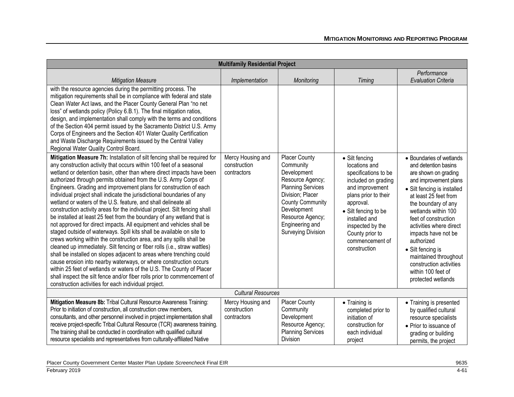|                                                                                                                                                                                                                                                                                                                                                                                                                                                                                                                                                                                                                                                                                                                                                                                                                                                                                                                                                                                                                                                                                                                                                                                                                                                                                                                                      | <b>Multifamily Residential Project</b>           |                                                                                                                                                                                                                                    |                                                                                                                                                                                                                                                           |                                                                                                                                                                                                                                                                                                                                                                                                                      |  |
|--------------------------------------------------------------------------------------------------------------------------------------------------------------------------------------------------------------------------------------------------------------------------------------------------------------------------------------------------------------------------------------------------------------------------------------------------------------------------------------------------------------------------------------------------------------------------------------------------------------------------------------------------------------------------------------------------------------------------------------------------------------------------------------------------------------------------------------------------------------------------------------------------------------------------------------------------------------------------------------------------------------------------------------------------------------------------------------------------------------------------------------------------------------------------------------------------------------------------------------------------------------------------------------------------------------------------------------|--------------------------------------------------|------------------------------------------------------------------------------------------------------------------------------------------------------------------------------------------------------------------------------------|-----------------------------------------------------------------------------------------------------------------------------------------------------------------------------------------------------------------------------------------------------------|----------------------------------------------------------------------------------------------------------------------------------------------------------------------------------------------------------------------------------------------------------------------------------------------------------------------------------------------------------------------------------------------------------------------|--|
| <b>Mitigation Measure</b>                                                                                                                                                                                                                                                                                                                                                                                                                                                                                                                                                                                                                                                                                                                                                                                                                                                                                                                                                                                                                                                                                                                                                                                                                                                                                                            | Implementation                                   | Monitoring                                                                                                                                                                                                                         | Timing                                                                                                                                                                                                                                                    | Performance<br><b>Evaluation Criteria</b>                                                                                                                                                                                                                                                                                                                                                                            |  |
| with the resource agencies during the permitting process. The<br>mitigation requirements shall be in compliance with federal and state<br>Clean Water Act laws, and the Placer County General Plan "no net<br>loss" of wetlands policy (Policy 6.B.1). The final mitigation ratios,<br>design, and implementation shall comply with the terms and conditions<br>of the Section 404 permit issued by the Sacramento District U.S. Army<br>Corps of Engineers and the Section 401 Water Quality Certification<br>and Waste Discharge Requirements issued by the Central Valley<br>Regional Water Quality Control Board.                                                                                                                                                                                                                                                                                                                                                                                                                                                                                                                                                                                                                                                                                                                |                                                  |                                                                                                                                                                                                                                    |                                                                                                                                                                                                                                                           |                                                                                                                                                                                                                                                                                                                                                                                                                      |  |
| Mitigation Measure 7h: Installation of silt fencing shall be required for<br>any construction activity that occurs within 100 feet of a seasonal<br>wetland or detention basin, other than where direct impacts have been<br>authorized through permits obtained from the U.S. Army Corps of<br>Engineers. Grading and improvement plans for construction of each<br>individual project shall indicate the jurisdictional boundaries of any<br>wetland or waters of the U.S. feature, and shall delineate all<br>construction activity areas for the individual project. Silt fencing shall<br>be installed at least 25 feet from the boundary of any wetland that is<br>not approved for direct impacts. All equipment and vehicles shall be<br>staged outside of waterways. Spill kits shall be available on site to<br>crews working within the construction area, and any spills shall be<br>cleaned up immediately. Silt fencing or fiber rolls (i.e., straw wattles)<br>shall be installed on slopes adjacent to areas where trenching could<br>cause erosion into nearby waterways, or where construction occurs<br>within 25 feet of wetlands or waters of the U.S. The County of Placer<br>shall inspect the silt fence and/or fiber rolls prior to commencement of<br>construction activities for each individual project. | Mercy Housing and<br>construction<br>contractors | <b>Placer County</b><br>Community<br>Development<br>Resource Agency;<br><b>Planning Services</b><br>Division; Placer<br><b>County Community</b><br>Development<br>Resource Agency;<br>Engineering and<br><b>Surveying Division</b> | • Silt fencing<br>locations and<br>specifications to be<br>included on grading<br>and improvement<br>plans prior to their<br>approval.<br>• Silt fencing to be<br>installed and<br>inspected by the<br>County prior to<br>commencement of<br>construction | • Boundaries of wetlands<br>and detention basins<br>are shown on grading<br>and improvement plans<br>• Silt fencing is installed<br>at least 25 feet from<br>the boundary of any<br>wetlands within 100<br>feet of construction<br>activities where direct<br>impacts have not be<br>authorized<br>• Silt fencing is<br>maintained throughout<br>construction activities<br>within 100 feet of<br>protected wetlands |  |
| <b>Cultural Resources</b>                                                                                                                                                                                                                                                                                                                                                                                                                                                                                                                                                                                                                                                                                                                                                                                                                                                                                                                                                                                                                                                                                                                                                                                                                                                                                                            |                                                  |                                                                                                                                                                                                                                    |                                                                                                                                                                                                                                                           |                                                                                                                                                                                                                                                                                                                                                                                                                      |  |
| Mitigation Measure 8b: Tribal Cultural Resource Awareness Training:<br>Prior to initiation of construction, all construction crew members,<br>consultants, and other personnel involved in project implementation shall<br>receive project-specific Tribal Cultural Resource (TCR) awareness training.<br>The training shall be conducted in coordination with qualified cultural<br>resource specialists and representatives from culturally-affiliated Native                                                                                                                                                                                                                                                                                                                                                                                                                                                                                                                                                                                                                                                                                                                                                                                                                                                                      | Mercy Housing and<br>construction<br>contractors | <b>Placer County</b><br>Community<br>Development<br>Resource Agency;<br><b>Planning Services</b><br>Division                                                                                                                       | • Training is<br>completed prior to<br>initiation of<br>construction for<br>each individual<br>project                                                                                                                                                    | • Training is presented<br>by qualified cultural<br>resource specialists<br>• Prior to issuance of<br>grading or building<br>permits, the project                                                                                                                                                                                                                                                                    |  |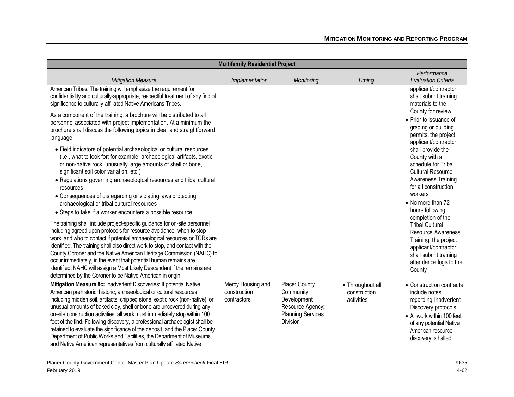| <b>Multifamily Residential Project</b>                                                                                                                                                                                                                                                                                                                                                                                                                                                                                                                                                                                                                                                               |                                                  |                                                                                                                     |                                                |                                                                                                                                                                                                |
|------------------------------------------------------------------------------------------------------------------------------------------------------------------------------------------------------------------------------------------------------------------------------------------------------------------------------------------------------------------------------------------------------------------------------------------------------------------------------------------------------------------------------------------------------------------------------------------------------------------------------------------------------------------------------------------------------|--------------------------------------------------|---------------------------------------------------------------------------------------------------------------------|------------------------------------------------|------------------------------------------------------------------------------------------------------------------------------------------------------------------------------------------------|
| <b>Mitigation Measure</b>                                                                                                                                                                                                                                                                                                                                                                                                                                                                                                                                                                                                                                                                            | Implementation                                   | Monitoring                                                                                                          | <b>Timing</b>                                  | Performance<br><b>Evaluation Criteria</b>                                                                                                                                                      |
| American Tribes. The training will emphasize the requirement for<br>confidentiality and culturally-appropriate, respectful treatment of any find of<br>significance to culturally-affiliated Native Americans Tribes.                                                                                                                                                                                                                                                                                                                                                                                                                                                                                |                                                  |                                                                                                                     |                                                | applicant/contractor<br>shall submit training<br>materials to the                                                                                                                              |
| As a component of the training, a brochure will be distributed to all<br>personnel associated with project implementation. At a minimum the<br>brochure shall discuss the following topics in clear and straightforward<br>language:                                                                                                                                                                                                                                                                                                                                                                                                                                                                 |                                                  |                                                                                                                     |                                                | County for review<br>• Prior to issuance of<br>grading or building<br>permits, the project<br>applicant/contractor                                                                             |
| • Field indicators of potential archaeological or cultural resources<br>(i.e., what to look for; for example: archaeological artifacts, exotic<br>or non-native rock, unusually large amounts of shell or bone,<br>significant soil color variation, etc.)                                                                                                                                                                                                                                                                                                                                                                                                                                           |                                                  |                                                                                                                     |                                                | shall provide the<br>County with a<br>schedule for Tribal<br><b>Cultural Resource</b>                                                                                                          |
| • Regulations governing archaeological resources and tribal cultural<br>resources                                                                                                                                                                                                                                                                                                                                                                                                                                                                                                                                                                                                                    |                                                  |                                                                                                                     |                                                | <b>Awareness Training</b><br>for all construction                                                                                                                                              |
| • Consequences of disregarding or violating laws protecting<br>archaeological or tribal cultural resources<br>• Steps to take if a worker encounters a possible resource                                                                                                                                                                                                                                                                                                                                                                                                                                                                                                                             |                                                  |                                                                                                                     |                                                | workers<br>• No more than 72<br>hours following                                                                                                                                                |
| The training shall include project-specific guidance for on-site personnel<br>including agreed upon protocols for resource avoidance, when to stop<br>work, and who to contact if potential archaeological resources or TCRs are<br>identified. The training shall also direct work to stop, and contact with the<br>County Coroner and the Native American Heritage Commission (NAHC) to<br>occur immediately, in the event that potential human remains are<br>identified. NAHC will assign a Most Likely Descendant if the remains are<br>determined by the Coroner to be Native American in origin.                                                                                              |                                                  |                                                                                                                     |                                                | completion of the<br><b>Tribal Cultural</b><br><b>Resource Awareness</b><br>Training, the project<br>applicant/contractor<br>shall submit training<br>attendance logs to the<br>County         |
| Mitigation Measure 8c: Inadvertent Discoveries: If potential Native<br>American prehistoric, historic, archaeological or cultural resources<br>including midden soil, artifacts, chipped stone, exotic rock (non-native), or<br>unusual amounts of baked clay, shell or bone are uncovered during any<br>on-site construction activities, all work must immediately stop within 100<br>feet of the find. Following discovery, a professional archaeologist shall be<br>retained to evaluate the significance of the deposit, and the Placer County<br>Department of Public Works and Facilities, the Department of Museums,<br>and Native American representatives from culturally affiliated Native | Mercy Housing and<br>construction<br>contractors | <b>Placer County</b><br>Community<br>Development<br>Resource Agency;<br><b>Planning Services</b><br><b>Division</b> | • Throughout all<br>construction<br>activities | • Construction contracts<br>include notes<br>regarding Inadvertent<br>Discovery protocols<br>• All work within 100 feet<br>of any potential Native<br>American resource<br>discovery is halted |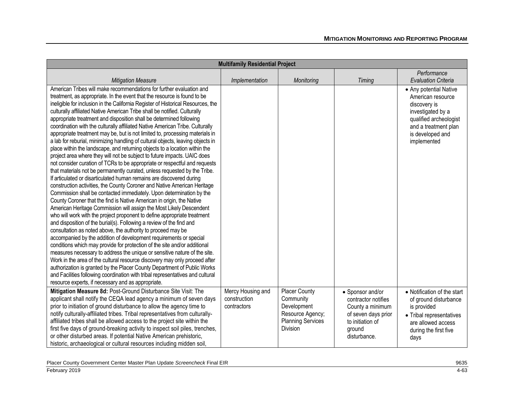| <b>Multifamily Residential Project</b>                                                                                                       |                   |                          |                     |                             |
|----------------------------------------------------------------------------------------------------------------------------------------------|-------------------|--------------------------|---------------------|-----------------------------|
|                                                                                                                                              |                   |                          |                     | Performance                 |
| <b>Mitigation Measure</b>                                                                                                                    | Implementation    | Monitoring               | Timing              | <b>Evaluation Criteria</b>  |
| American Tribes will make recommendations for further evaluation and                                                                         |                   |                          |                     | • Any potential Native      |
| treatment, as appropriate. In the event that the resource is found to be                                                                     |                   |                          |                     | American resource           |
| ineligible for inclusion in the California Register of Historical Resources, the                                                             |                   |                          |                     | discovery is                |
| culturally affiliated Native American Tribe shall be notified. Culturally                                                                    |                   |                          |                     | investigated by a           |
| appropriate treatment and disposition shall be determined following                                                                          |                   |                          |                     | qualified archeologist      |
| coordination with the culturally affiliated Native American Tribe. Culturally                                                                |                   |                          |                     | and a treatment plan        |
| appropriate treatment may be, but is not limited to, processing materials in                                                                 |                   |                          |                     | is developed and            |
| a lab for reburial, minimizing handling of cultural objects, leaving objects in                                                              |                   |                          |                     | implemented                 |
| place within the landscape, and returning objects to a location within the                                                                   |                   |                          |                     |                             |
| project area where they will not be subject to future impacts. UAIC does                                                                     |                   |                          |                     |                             |
| not consider curation of TCRs to be appropriate or respectful and requests                                                                   |                   |                          |                     |                             |
| that materials not be permanently curated, unless requested by the Tribe.                                                                    |                   |                          |                     |                             |
| If articulated or disarticulated human remains are discovered during                                                                         |                   |                          |                     |                             |
| construction activities, the County Coroner and Native American Heritage                                                                     |                   |                          |                     |                             |
| Commission shall be contacted immediately. Upon determination by the                                                                         |                   |                          |                     |                             |
| County Coroner that the find is Native American in origin, the Native<br>American Heritage Commission will assign the Most Likely Descendent |                   |                          |                     |                             |
| who will work with the project proponent to define appropriate treatment                                                                     |                   |                          |                     |                             |
| and disposition of the burial(s). Following a review of the find and                                                                         |                   |                          |                     |                             |
| consultation as noted above, the authority to proceed may be                                                                                 |                   |                          |                     |                             |
| accompanied by the addition of development requirements or special                                                                           |                   |                          |                     |                             |
| conditions which may provide for protection of the site and/or additional                                                                    |                   |                          |                     |                             |
| measures necessary to address the unique or sensitive nature of the site.                                                                    |                   |                          |                     |                             |
| Work in the area of the cultural resource discovery may only proceed after                                                                   |                   |                          |                     |                             |
| authorization is granted by the Placer County Department of Public Works                                                                     |                   |                          |                     |                             |
| and Facilities following coordination with tribal representatives and cultural                                                               |                   |                          |                     |                             |
| resource experts, if necessary and as appropriate.                                                                                           |                   |                          |                     |                             |
| Mitigation Measure 8d: Post-Ground Disturbance Site Visit: The                                                                               | Mercy Housing and | <b>Placer County</b>     | • Sponsor and/or    | • Notification of the start |
| applicant shall notify the CEQA lead agency a minimum of seven days                                                                          | construction      | Community                | contractor notifies | of ground disturbance       |
| prior to initiation of ground disturbance to allow the agency time to                                                                        | contractors       | Development              | County a minimum    | is provided                 |
| notify culturally-affiliated tribes. Tribal representatives from culturally-                                                                 |                   | Resource Agency;         | of seven days prior | • Tribal representatives    |
| affiliated tribes shall be allowed access to the project site within the                                                                     |                   | <b>Planning Services</b> | to initiation of    | are allowed access          |
| first five days of ground-breaking activity to inspect soil piles, trenches,                                                                 |                   | Division                 | ground              | during the first five       |
| or other disturbed areas. If potential Native American prehistoric,                                                                          |                   |                          | disturbance.        | days                        |
| historic, archaeological or cultural resources including midden soil,                                                                        |                   |                          |                     |                             |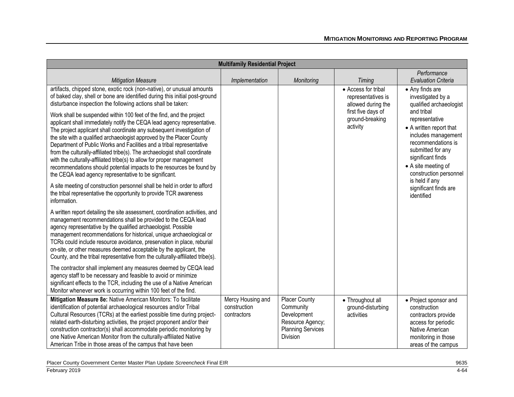| <b>Multifamily Residential Project</b>                                                                                                                                                                                                                                                                                                                                                                                                                                                                                                                                                                                                                                  |                                                  |                                                                                                       |                                                                 |                                                                                                                                                                                                 |
|-------------------------------------------------------------------------------------------------------------------------------------------------------------------------------------------------------------------------------------------------------------------------------------------------------------------------------------------------------------------------------------------------------------------------------------------------------------------------------------------------------------------------------------------------------------------------------------------------------------------------------------------------------------------------|--------------------------------------------------|-------------------------------------------------------------------------------------------------------|-----------------------------------------------------------------|-------------------------------------------------------------------------------------------------------------------------------------------------------------------------------------------------|
| <b>Mitigation Measure</b>                                                                                                                                                                                                                                                                                                                                                                                                                                                                                                                                                                                                                                               | Implementation                                   | Monitoring                                                                                            | Timing                                                          | Performance<br><b>Evaluation Criteria</b>                                                                                                                                                       |
| artifacts, chipped stone, exotic rock (non-native), or unusual amounts<br>of baked clay, shell or bone are identified during this initial post-ground<br>disturbance inspection the following actions shall be taken:                                                                                                                                                                                                                                                                                                                                                                                                                                                   |                                                  |                                                                                                       | • Access for tribal<br>representatives is<br>allowed during the | • Any finds are<br>investigated by a<br>qualified archaeologist                                                                                                                                 |
| Work shall be suspended within 100 feet of the find, and the project<br>applicant shall immediately notify the CEQA lead agency representative.<br>The project applicant shall coordinate any subsequent investigation of<br>the site with a qualified archaeologist approved by the Placer County<br>Department of Public Works and Facilities and a tribal representative<br>from the culturally-affiliated tribe(s). The archaeologist shall coordinate<br>with the culturally-affiliated tribe(s) to allow for proper management<br>recommendations should potential impacts to the resources be found by<br>the CEQA lead agency representative to be significant. |                                                  |                                                                                                       | first five days of<br>ground-breaking<br>activity               | and tribal<br>representative<br>• A written report that<br>includes management<br>recommendations is<br>submitted for any<br>significant finds<br>• A site meeting of<br>construction personnel |
| A site meeting of construction personnel shall be held in order to afford<br>the tribal representative the opportunity to provide TCR awareness<br>information.                                                                                                                                                                                                                                                                                                                                                                                                                                                                                                         |                                                  |                                                                                                       |                                                                 | is held if any<br>significant finds are<br>identified                                                                                                                                           |
| A written report detailing the site assessment, coordination activities, and<br>management recommendations shall be provided to the CEQA lead<br>agency representative by the qualified archaeologist. Possible<br>management recommendations for historical, unique archaeological or<br>TCRs could include resource avoidance, preservation in place, reburial<br>on-site, or other measures deemed acceptable by the applicant, the<br>County, and the tribal representative from the culturally-affiliated tribe(s).                                                                                                                                                |                                                  |                                                                                                       |                                                                 |                                                                                                                                                                                                 |
| The contractor shall implement any measures deemed by CEQA lead<br>agency staff to be necessary and feasible to avoid or minimize<br>significant effects to the TCR, including the use of a Native American<br>Monitor whenever work is occurring within 100 feet of the find.                                                                                                                                                                                                                                                                                                                                                                                          |                                                  |                                                                                                       |                                                                 |                                                                                                                                                                                                 |
| Mitigation Measure 8e: Native American Monitors: To facilitate<br>identification of potential archaeological resources and/or Tribal<br>Cultural Resources (TCRs) at the earliest possible time during project-<br>related earth-disturbing activities, the project proponent and/or their<br>construction contractor(s) shall accommodate periodic monitoring by<br>one Native American Monitor from the culturally-affiliated Native<br>American Tribe in those areas of the campus that have been                                                                                                                                                                    | Mercy Housing and<br>construction<br>contractors | Placer County<br>Community<br>Development<br>Resource Agency;<br><b>Planning Services</b><br>Division | • Throughout all<br>ground-disturbing<br>activities             | • Project sponsor and<br>construction<br>contractors provide<br>access for periodic<br>Native American<br>monitoring in those<br>areas of the campus                                            |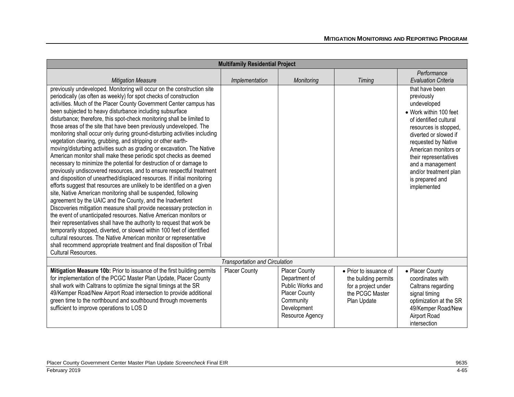| <b>Multifamily Residential Project</b>                                                                                                                                                                                                                                                                                                                                                                                                                                                                                                                                                                                                                                                                                                                                                                                                                                                                                                                                                                                                                                                                                                                                                                                                                                                                                                                                                                                                                                                                                                                                                                                              |                                       |                                                                                                                                  |                                                                                                         |                                                                                                                                                                                                                                                                                                          |
|-------------------------------------------------------------------------------------------------------------------------------------------------------------------------------------------------------------------------------------------------------------------------------------------------------------------------------------------------------------------------------------------------------------------------------------------------------------------------------------------------------------------------------------------------------------------------------------------------------------------------------------------------------------------------------------------------------------------------------------------------------------------------------------------------------------------------------------------------------------------------------------------------------------------------------------------------------------------------------------------------------------------------------------------------------------------------------------------------------------------------------------------------------------------------------------------------------------------------------------------------------------------------------------------------------------------------------------------------------------------------------------------------------------------------------------------------------------------------------------------------------------------------------------------------------------------------------------------------------------------------------------|---------------------------------------|----------------------------------------------------------------------------------------------------------------------------------|---------------------------------------------------------------------------------------------------------|----------------------------------------------------------------------------------------------------------------------------------------------------------------------------------------------------------------------------------------------------------------------------------------------------------|
|                                                                                                                                                                                                                                                                                                                                                                                                                                                                                                                                                                                                                                                                                                                                                                                                                                                                                                                                                                                                                                                                                                                                                                                                                                                                                                                                                                                                                                                                                                                                                                                                                                     |                                       |                                                                                                                                  |                                                                                                         | Performance                                                                                                                                                                                                                                                                                              |
| <b>Mitigation Measure</b>                                                                                                                                                                                                                                                                                                                                                                                                                                                                                                                                                                                                                                                                                                                                                                                                                                                                                                                                                                                                                                                                                                                                                                                                                                                                                                                                                                                                                                                                                                                                                                                                           | Implementation                        | Monitoring                                                                                                                       | <b>Timing</b>                                                                                           | <b>Evaluation Criteria</b>                                                                                                                                                                                                                                                                               |
| previously undeveloped. Monitoring will occur on the construction site<br>periodically (as often as weekly) for spot checks of construction<br>activities. Much of the Placer County Government Center campus has<br>been subjected to heavy disturbance including subsurface<br>disturbance; therefore, this spot-check monitoring shall be limited to<br>those areas of the site that have been previously undeveloped. The<br>monitoring shall occur only during ground-disturbing activities including<br>vegetation clearing, grubbing, and stripping or other earth-<br>moving/disturbing activities such as grading or excavation. The Native<br>American monitor shall make these periodic spot checks as deemed<br>necessary to minimize the potential for destruction of or damage to<br>previously undiscovered resources, and to ensure respectful treatment<br>and disposition of unearthed/displaced resources. If initial monitoring<br>efforts suggest that resources are unlikely to be identified on a given<br>site, Native American monitoring shall be suspended, following<br>agreement by the UAIC and the County, and the Inadvertent<br>Discoveries mitigation measure shall provide necessary protection in<br>the event of unanticipated resources. Native American monitors or<br>their representatives shall have the authority to request that work be<br>temporarily stopped, diverted, or slowed within 100 feet of identified<br>cultural resources. The Native American monitor or representative<br>shall recommend appropriate treatment and final disposition of Tribal<br>Cultural Resources. |                                       |                                                                                                                                  |                                                                                                         | that have been<br>previously<br>undeveloped<br>• Work within 100 feet<br>of identified cultural<br>resources is stopped,<br>diverted or slowed if<br>requested by Native<br>American monitors or<br>their representatives<br>and a management<br>and/or treatment plan<br>is prepared and<br>implemented |
|                                                                                                                                                                                                                                                                                                                                                                                                                                                                                                                                                                                                                                                                                                                                                                                                                                                                                                                                                                                                                                                                                                                                                                                                                                                                                                                                                                                                                                                                                                                                                                                                                                     | <b>Transportation and Circulation</b> |                                                                                                                                  |                                                                                                         |                                                                                                                                                                                                                                                                                                          |
| Mitigation Measure 10b: Prior to issuance of the first building permits<br>for implementation of the PCGC Master Plan Update, Placer County<br>shall work with Caltrans to optimize the signal timings at the SR<br>49/Kemper Road/New Airport Road intersection to provide additional<br>green time to the northbound and southbound through movements<br>sufficient to improve operations to LOS D                                                                                                                                                                                                                                                                                                                                                                                                                                                                                                                                                                                                                                                                                                                                                                                                                                                                                                                                                                                                                                                                                                                                                                                                                                | <b>Placer County</b>                  | <b>Placer County</b><br>Department of<br>Public Works and<br><b>Placer County</b><br>Community<br>Development<br>Resource Agency | • Prior to issuance of<br>the building permits<br>for a project under<br>the PCGC Master<br>Plan Update | • Placer County<br>coordinates with<br>Caltrans regarding<br>signal timing<br>optimization at the SR<br>49/Kemper Road/New<br>Airport Road<br>intersection                                                                                                                                               |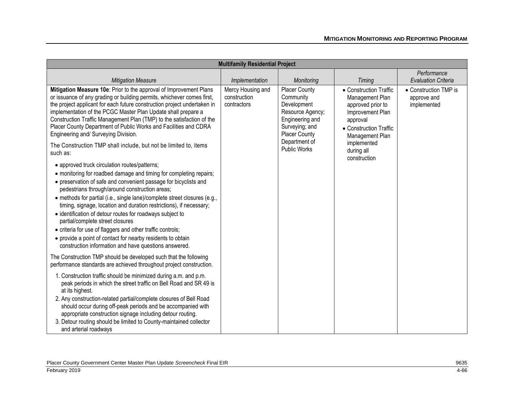| <b>Multifamily Residential Project</b>                                                                                                                                                                                                                                                                                         |                                                     |                                                                                                               |                                                                                                |                                                                    |
|--------------------------------------------------------------------------------------------------------------------------------------------------------------------------------------------------------------------------------------------------------------------------------------------------------------------------------|-----------------------------------------------------|---------------------------------------------------------------------------------------------------------------|------------------------------------------------------------------------------------------------|--------------------------------------------------------------------|
|                                                                                                                                                                                                                                                                                                                                |                                                     |                                                                                                               |                                                                                                | Performance                                                        |
| <b>Mitigation Measure</b><br>Mitigation Measure 10e: Prior to the approval of Improvement Plans<br>or issuance of any grading or building permits, whichever comes first,                                                                                                                                                      | Implementation<br>Mercy Housing and<br>construction | Monitoring<br><b>Placer County</b><br>Community                                                               | <b>Timing</b><br>• Construction Traffic<br>Management Plan                                     | <b>Evaluation Criteria</b><br>• Construction TMP is<br>approve and |
| the project applicant for each future construction project undertaken in<br>implementation of the PCGC Master Plan Update shall prepare a<br>Construction Traffic Management Plan (TMP) to the satisfaction of the<br>Placer County Department of Public Works and Facilities and CDRA<br>Engineering and/ Surveying Division. | contractors                                         | Development<br>Resource Agency;<br>Engineering and<br>Surveying; and<br><b>Placer County</b><br>Department of | approved prior to<br>Improvement Plan<br>approval<br>• Construction Traffic<br>Management Plan | implemented                                                        |
| The Construction TMP shall include, but not be limited to, items<br>such as:                                                                                                                                                                                                                                                   |                                                     | <b>Public Works</b>                                                                                           | implemented<br>during all<br>construction                                                      |                                                                    |
| • approved truck circulation routes/patterns;<br>• monitoring for roadbed damage and timing for completing repairs;                                                                                                                                                                                                            |                                                     |                                                                                                               |                                                                                                |                                                                    |
| • preservation of safe and convenient passage for bicyclists and<br>pedestrians through/around construction areas;                                                                                                                                                                                                             |                                                     |                                                                                                               |                                                                                                |                                                                    |
| • methods for partial (i.e., single lane)/complete street closures (e.g.,<br>timing, signage, location and duration restrictions), if necessary;                                                                                                                                                                               |                                                     |                                                                                                               |                                                                                                |                                                                    |
| • identification of detour routes for roadways subject to<br>partial/complete street closures                                                                                                                                                                                                                                  |                                                     |                                                                                                               |                                                                                                |                                                                    |
| • criteria for use of flaggers and other traffic controls;<br>• provide a point of contact for nearby residents to obtain<br>construction information and have questions answered.                                                                                                                                             |                                                     |                                                                                                               |                                                                                                |                                                                    |
| The Construction TMP should be developed such that the following<br>performance standards are achieved throughout project construction.                                                                                                                                                                                        |                                                     |                                                                                                               |                                                                                                |                                                                    |
| 1. Construction traffic should be minimized during a.m. and p.m.<br>peak periods in which the street traffic on Bell Road and SR 49 is<br>at its highest.                                                                                                                                                                      |                                                     |                                                                                                               |                                                                                                |                                                                    |
| 2. Any construction-related partial/complete closures of Bell Road<br>should occur during off-peak periods and be accompanied with<br>appropriate construction signage including detour routing.<br>3. Detour routing should be limited to County-maintained collector                                                         |                                                     |                                                                                                               |                                                                                                |                                                                    |
| and arterial roadways                                                                                                                                                                                                                                                                                                          |                                                     |                                                                                                               |                                                                                                |                                                                    |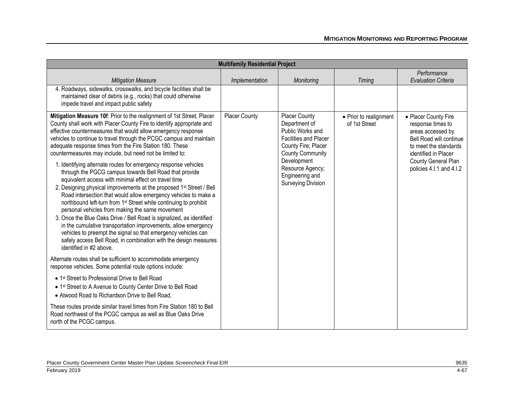| <b>Multifamily Residential Project</b>                                                                                                                                                                                                                                                                                                                                                                                                                                                                                                                                                                                                                                                                                                                                                                                                                                                                                                                                                                                                                                                                                                                                                                    |                |                                                                                                                                                                                                                         |                                         |                                                                                                                                                                                               |
|-----------------------------------------------------------------------------------------------------------------------------------------------------------------------------------------------------------------------------------------------------------------------------------------------------------------------------------------------------------------------------------------------------------------------------------------------------------------------------------------------------------------------------------------------------------------------------------------------------------------------------------------------------------------------------------------------------------------------------------------------------------------------------------------------------------------------------------------------------------------------------------------------------------------------------------------------------------------------------------------------------------------------------------------------------------------------------------------------------------------------------------------------------------------------------------------------------------|----------------|-------------------------------------------------------------------------------------------------------------------------------------------------------------------------------------------------------------------------|-----------------------------------------|-----------------------------------------------------------------------------------------------------------------------------------------------------------------------------------------------|
| <b>Mitigation Measure</b>                                                                                                                                                                                                                                                                                                                                                                                                                                                                                                                                                                                                                                                                                                                                                                                                                                                                                                                                                                                                                                                                                                                                                                                 | Implementation | Monitoring                                                                                                                                                                                                              | <b>Timing</b>                           | Performance<br><b>Evaluation Criteria</b>                                                                                                                                                     |
| 4. Roadways, sidewalks, crosswalks, and bicycle facilities shall be<br>maintained clear of debris (e.g., rocks) that could otherwise<br>impede travel and impact public safety                                                                                                                                                                                                                                                                                                                                                                                                                                                                                                                                                                                                                                                                                                                                                                                                                                                                                                                                                                                                                            |                |                                                                                                                                                                                                                         |                                         |                                                                                                                                                                                               |
| Mitigation Measure 10f: Prior to the realignment of 1st Street, Placer<br>County shall work with Placer County Fire to identify appropriate and<br>effective countermeasures that would allow emergency response<br>vehicles to continue to travel through the PCGC campus and maintain<br>adequate response times from the Fire Station 180. These<br>countermeasures may include, but need not be limited to:<br>1. Identifying alternate routes for emergency response vehicles<br>through the PGCG campus towards Bell Road that provide<br>equivalent access with minimal effect on travel time<br>2. Designing physical improvements at the proposed 1 <sup>st</sup> Street / Bell<br>Road intersection that would allow emergency vehicles to make a<br>northbound left-turn from 1 <sup>st</sup> Street while continuing to prohibit<br>personal vehicles from making the same movement<br>3. Once the Blue Oaks Drive / Bell Road is signalized, as identified<br>in the cumulative transportation improvements, allow emergency<br>vehicles to preempt the signal so that emergency vehicles can<br>safely access Bell Road, in combination with the design measures<br>identified in #2 above. | Placer County  | Placer County<br>Department of<br>Public Works and<br><b>Facilities and Placer</b><br>County Fire; Placer<br><b>County Community</b><br>Development<br>Resource Agency;<br>Engineering and<br><b>Surveying Division</b> | • Prior to realignment<br>of 1st Street | • Placer County Fire<br>response times to<br>areas accessed by<br>Bell Road will continue<br>to meet the standards<br>identified in Placer<br>County General Plan<br>policies 4.I.1 and 4.I.2 |
| Alternate routes shall be sufficient to accommodate emergency<br>response vehicles. Some potential route options include:                                                                                                                                                                                                                                                                                                                                                                                                                                                                                                                                                                                                                                                                                                                                                                                                                                                                                                                                                                                                                                                                                 |                |                                                                                                                                                                                                                         |                                         |                                                                                                                                                                                               |
| • 1 <sup>st</sup> Street to Professional Drive to Bell Road<br>• 1st Street to A Avenue to County Center Drive to Bell Road<br>• Atwood Road to Richardson Drive to Bell Road.                                                                                                                                                                                                                                                                                                                                                                                                                                                                                                                                                                                                                                                                                                                                                                                                                                                                                                                                                                                                                            |                |                                                                                                                                                                                                                         |                                         |                                                                                                                                                                                               |
| These routes provide similar travel times from Fire Station 180 to Bell<br>Road northwest of the PCGC campus as well as Blue Oaks Drive<br>north of the PCGC campus.                                                                                                                                                                                                                                                                                                                                                                                                                                                                                                                                                                                                                                                                                                                                                                                                                                                                                                                                                                                                                                      |                |                                                                                                                                                                                                                         |                                         |                                                                                                                                                                                               |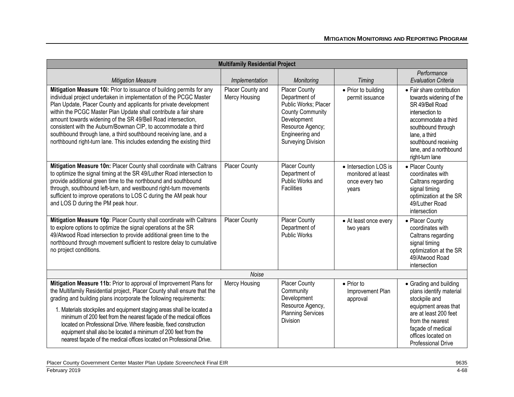| <b>Multifamily Residential Project</b>                                                                                                                                                                                                                                                                                                                                                                                                                                                                                                                                                            |                                    |                                                                                                                                                                             |                                                                        |                                                                                                                                                                                                                               |
|---------------------------------------------------------------------------------------------------------------------------------------------------------------------------------------------------------------------------------------------------------------------------------------------------------------------------------------------------------------------------------------------------------------------------------------------------------------------------------------------------------------------------------------------------------------------------------------------------|------------------------------------|-----------------------------------------------------------------------------------------------------------------------------------------------------------------------------|------------------------------------------------------------------------|-------------------------------------------------------------------------------------------------------------------------------------------------------------------------------------------------------------------------------|
|                                                                                                                                                                                                                                                                                                                                                                                                                                                                                                                                                                                                   | Implementation                     | Monitoring                                                                                                                                                                  |                                                                        | Performance<br><b>Evaluation Criteria</b>                                                                                                                                                                                     |
| <b>Mitigation Measure</b><br>Mitigation Measure 10i: Prior to issuance of building permits for any<br>individual project undertaken in implementation of the PCGC Master<br>Plan Update, Placer County and applicants for private development<br>within the PCGC Master Plan Update shall contribute a fair share<br>amount towards widening of the SR 49/Bell Road intersection,<br>consistent with the Auburn/Bowman CIP, to accommodate a third<br>southbound through lane, a third southbound receiving lane, and a<br>northbound right-turn lane. This includes extending the existing third | Placer County and<br>Mercy Housing | <b>Placer County</b><br>Department of<br>Public Works; Placer<br><b>County Community</b><br>Development<br>Resource Agency;<br>Engineering and<br><b>Surveying Division</b> | Timing<br>• Prior to building<br>permit issuance                       | • Fair share contribution<br>towards widening of the<br>SR 49/Bell Road<br>intersection to<br>accommodate a third<br>southbound through<br>lane, a third<br>southbound receiving<br>lane, and a northbound<br>right-turn lane |
| Mitigation Measure 10n: Placer County shall coordinate with Caltrans<br>to optimize the signal timing at the SR 49/Luther Road intersection to<br>provide additional green time to the northbound and southbound<br>through, southbound left-turn, and westbound right-turn movements<br>sufficient to improve operations to LOS C during the AM peak hour<br>and LOS D during the PM peak hour.                                                                                                                                                                                                  | <b>Placer County</b>               | <b>Placer County</b><br>Department of<br>Public Works and<br><b>Facilities</b>                                                                                              | • Intersection LOS is<br>monitored at least<br>once every two<br>years | • Placer County<br>coordinates with<br>Caltrans regarding<br>signal timing<br>optimization at the SR<br>49/Luther Road<br>intersection                                                                                        |
| Mitigation Measure 10p: Placer County shall coordinate with Caltrans<br>to explore options to optimize the signal operations at the SR<br>49/Atwood Road intersection to provide additional green time to the<br>northbound through movement sufficient to restore delay to cumulative<br>no project conditions.                                                                                                                                                                                                                                                                                  | <b>Placer County</b>               | <b>Placer County</b><br>Department of<br><b>Public Works</b>                                                                                                                | • At least once every<br>two years                                     | • Placer County<br>coordinates with<br>Caltrans regarding<br>signal timing<br>optimization at the SR<br>49/Atwood Road<br>intersection                                                                                        |
|                                                                                                                                                                                                                                                                                                                                                                                                                                                                                                                                                                                                   | Noise                              |                                                                                                                                                                             |                                                                        |                                                                                                                                                                                                                               |
| Mitigation Measure 11b: Prior to approval of Improvement Plans for<br>the Multifamily Residential project, Placer County shall ensure that the<br>grading and building plans incorporate the following requirements:<br>1. Materials stockpiles and equipment staging areas shall be located a<br>minimum of 200 feet from the nearest façade of the medical offices<br>located on Professional Drive. Where feasible, fixed construction<br>equipment shall also be located a minimum of 200 feet from the<br>nearest façade of the medical offices located on Professional Drive.               | Mercy Housing                      | <b>Placer County</b><br>Community<br>Development<br>Resource Agency,<br><b>Planning Services</b><br><b>Division</b>                                                         | $\bullet$ Prior to<br>Improvement Plan<br>approval                     | • Grading and building<br>plans identify material<br>stockpile and<br>equipment areas that<br>are at least 200 feet<br>from the nearest<br>façade of medical<br>offices located on<br><b>Professional Drive</b>               |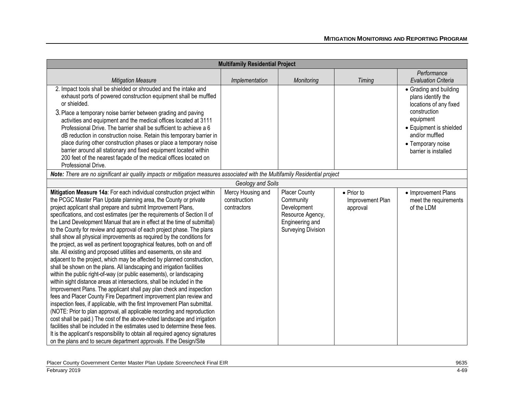| <b>Multifamily Residential Project</b>                                                                                                                                                                                                                                                                                                                                                                                                                                                                                                                                                                                                                                                                                                                                                                                                                                                                                                                                                                                                                                                                                                                                                                                                                                                                                                                                                                                                                                                                                                                                                                            |                                                  |                                                                                                                      |                                                    |                                                                                                                                                                                               |
|-------------------------------------------------------------------------------------------------------------------------------------------------------------------------------------------------------------------------------------------------------------------------------------------------------------------------------------------------------------------------------------------------------------------------------------------------------------------------------------------------------------------------------------------------------------------------------------------------------------------------------------------------------------------------------------------------------------------------------------------------------------------------------------------------------------------------------------------------------------------------------------------------------------------------------------------------------------------------------------------------------------------------------------------------------------------------------------------------------------------------------------------------------------------------------------------------------------------------------------------------------------------------------------------------------------------------------------------------------------------------------------------------------------------------------------------------------------------------------------------------------------------------------------------------------------------------------------------------------------------|--------------------------------------------------|----------------------------------------------------------------------------------------------------------------------|----------------------------------------------------|-----------------------------------------------------------------------------------------------------------------------------------------------------------------------------------------------|
| <b>Mitigation Measure</b>                                                                                                                                                                                                                                                                                                                                                                                                                                                                                                                                                                                                                                                                                                                                                                                                                                                                                                                                                                                                                                                                                                                                                                                                                                                                                                                                                                                                                                                                                                                                                                                         | Implementation                                   | Monitoring                                                                                                           | <b>Timing</b>                                      | Performance<br><b>Evaluation Criteria</b>                                                                                                                                                     |
| 2. Impact tools shall be shielded or shrouded and the intake and<br>exhaust ports of powered construction equipment shall be muffled<br>or shielded.<br>3. Place a temporary noise barrier between grading and paving<br>activities and equipment and the medical offices located at 3111<br>Professional Drive. The barrier shall be sufficient to achieve a 6<br>dB reduction in construction noise. Retain this temporary barrier in<br>place during other construction phases or place a temporary noise<br>barrier around all stationary and fixed equipment located within<br>200 feet of the nearest façade of the medical offices located on<br>Professional Drive.                                                                                                                                                                                                                                                                                                                                                                                                                                                                                                                                                                                                                                                                                                                                                                                                                                                                                                                                       |                                                  |                                                                                                                      |                                                    | • Grading and building<br>plans identify the<br>locations of any fixed<br>construction<br>equipment<br>• Equipment is shielded<br>and/or muffled<br>• Temporary noise<br>barrier is installed |
| Note: There are no significant air quality impacts or mitigation measures associated with the Multifamily Residential project                                                                                                                                                                                                                                                                                                                                                                                                                                                                                                                                                                                                                                                                                                                                                                                                                                                                                                                                                                                                                                                                                                                                                                                                                                                                                                                                                                                                                                                                                     |                                                  |                                                                                                                      |                                                    |                                                                                                                                                                                               |
|                                                                                                                                                                                                                                                                                                                                                                                                                                                                                                                                                                                                                                                                                                                                                                                                                                                                                                                                                                                                                                                                                                                                                                                                                                                                                                                                                                                                                                                                                                                                                                                                                   | Geology and Soils                                |                                                                                                                      |                                                    |                                                                                                                                                                                               |
| Mitigation Measure 14a: For each individual construction project within<br>the PCGC Master Plan Update planning area, the County or private<br>project applicant shall prepare and submit Improvement Plans,<br>specifications, and cost estimates (per the requirements of Section II of<br>the Land Development Manual that are in effect at the time of submittal)<br>to the County for review and approval of each project phase. The plans<br>shall show all physical improvements as required by the conditions for<br>the project, as well as pertinent topographical features, both on and off<br>site. All existing and proposed utilities and easements, on site and<br>adjacent to the project, which may be affected by planned construction,<br>shall be shown on the plans. All landscaping and irrigation facilities<br>within the public right-of-way (or public easements), or landscaping<br>within sight distance areas at intersections, shall be included in the<br>Improvement Plans. The applicant shall pay plan check and inspection<br>fees and Placer County Fire Department improvement plan review and<br>inspection fees, if applicable, with the first Improvement Plan submittal.<br>(NOTE: Prior to plan approval, all applicable recording and reproduction<br>cost shall be paid.) The cost of the above-noted landscape and irrigation<br>facilities shall be included in the estimates used to determine these fees.<br>It is the applicant's responsibility to obtain all required agency signatures<br>on the plans and to secure department approvals. If the Design/Site | Mercy Housing and<br>construction<br>contractors | <b>Placer County</b><br>Community<br>Development<br>Resource Agency,<br>Engineering and<br><b>Surveying Division</b> | $\bullet$ Prior to<br>Improvement Plan<br>approval | • Improvement Plans<br>meet the requirements<br>of the LDM                                                                                                                                    |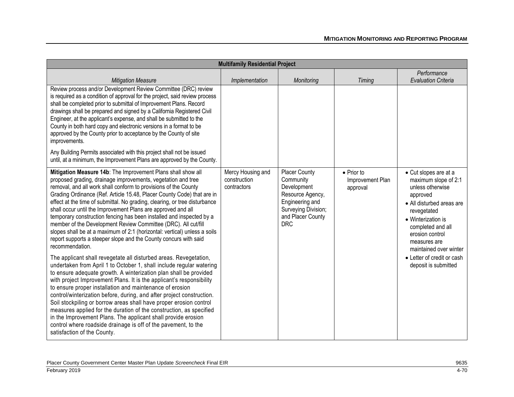| <b>Multifamily Residential Project</b>                                                                                                                                                                                                                                                                                                                                                                                                                                                                                                                                                                                                                                                                                                     |                                                  |                                                                                                                                                   |                                                    |                                                                                                                                                                                                                                   |
|--------------------------------------------------------------------------------------------------------------------------------------------------------------------------------------------------------------------------------------------------------------------------------------------------------------------------------------------------------------------------------------------------------------------------------------------------------------------------------------------------------------------------------------------------------------------------------------------------------------------------------------------------------------------------------------------------------------------------------------------|--------------------------------------------------|---------------------------------------------------------------------------------------------------------------------------------------------------|----------------------------------------------------|-----------------------------------------------------------------------------------------------------------------------------------------------------------------------------------------------------------------------------------|
| <b>Mitigation Measure</b>                                                                                                                                                                                                                                                                                                                                                                                                                                                                                                                                                                                                                                                                                                                  | Implementation                                   | Monitoring                                                                                                                                        | <b>Timing</b>                                      | Performance<br><b>Evaluation Criteria</b>                                                                                                                                                                                         |
| Review process and/or Development Review Committee (DRC) review<br>is required as a condition of approval for the project, said review process<br>shall be completed prior to submittal of Improvement Plans. Record<br>drawings shall be prepared and signed by a California Registered Civil<br>Engineer, at the applicant's expense, and shall be submitted to the<br>County in both hard copy and electronic versions in a format to be<br>approved by the County prior to acceptance by the County of site<br>improvements.                                                                                                                                                                                                           |                                                  |                                                                                                                                                   |                                                    |                                                                                                                                                                                                                                   |
| Any Building Permits associated with this project shall not be issued<br>until, at a minimum, the Improvement Plans are approved by the County.                                                                                                                                                                                                                                                                                                                                                                                                                                                                                                                                                                                            |                                                  |                                                                                                                                                   |                                                    |                                                                                                                                                                                                                                   |
| Mitigation Measure 14b: The Improvement Plans shall show all<br>proposed grading, drainage improvements, vegetation and tree<br>removal, and all work shall conform to provisions of the County<br>Grading Ordinance (Ref. Article 15.48, Placer County Code) that are in<br>effect at the time of submittal. No grading, clearing, or tree disturbance<br>shall occur until the Improvement Plans are approved and all<br>temporary construction fencing has been installed and inspected by a<br>member of the Development Review Committee (DRC). All cut/fill<br>slopes shall be at a maximum of 2:1 (horizontal: vertical) unless a soils<br>report supports a steeper slope and the County concurs with said<br>recommendation.      | Mercy Housing and<br>construction<br>contractors | <b>Placer County</b><br>Community<br>Development<br>Resource Agency,<br>Engineering and<br>Surveying Division;<br>and Placer County<br><b>DRC</b> | $\bullet$ Prior to<br>Improvement Plan<br>approval | • Cut slopes are at a<br>maximum slope of 2:1<br>unless otherwise<br>approved<br>• All disturbed areas are<br>revegetated<br>• Winterization is<br>completed and all<br>erosion control<br>measures are<br>maintained over winter |
| The applicant shall revegetate all disturbed areas. Revegetation,<br>undertaken from April 1 to October 1, shall include regular watering<br>to ensure adequate growth. A winterization plan shall be provided<br>with project Improvement Plans. It is the applicant's responsibility<br>to ensure proper installation and maintenance of erosion<br>control/winterization before, during, and after project construction.<br>Soil stockpiling or borrow areas shall have proper erosion control<br>measures applied for the duration of the construction, as specified<br>in the Improvement Plans. The applicant shall provide erosion<br>control where roadside drainage is off of the pavement, to the<br>satisfaction of the County. |                                                  |                                                                                                                                                   |                                                    | • Letter of credit or cash<br>deposit is submitted                                                                                                                                                                                |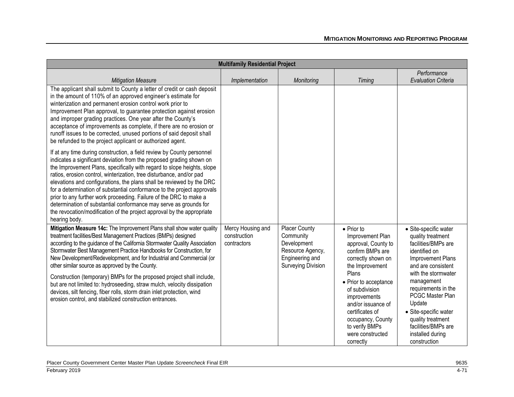|                                                                                                                                                                                                                                                                                                                                                                                                                                                                                                                                                                                                                                                                                                                   | <b>Multifamily Residential Project</b>           |                                                                                                        |                                                                                                                                                                                                                                                                                                                 |                                                                                                                                                                                                                                                                                                                                  |  |
|-------------------------------------------------------------------------------------------------------------------------------------------------------------------------------------------------------------------------------------------------------------------------------------------------------------------------------------------------------------------------------------------------------------------------------------------------------------------------------------------------------------------------------------------------------------------------------------------------------------------------------------------------------------------------------------------------------------------|--------------------------------------------------|--------------------------------------------------------------------------------------------------------|-----------------------------------------------------------------------------------------------------------------------------------------------------------------------------------------------------------------------------------------------------------------------------------------------------------------|----------------------------------------------------------------------------------------------------------------------------------------------------------------------------------------------------------------------------------------------------------------------------------------------------------------------------------|--|
| <b>Mitigation Measure</b>                                                                                                                                                                                                                                                                                                                                                                                                                                                                                                                                                                                                                                                                                         | Implementation                                   | Monitoring                                                                                             | <b>Timing</b>                                                                                                                                                                                                                                                                                                   | Performance<br><b>Evaluation Criteria</b>                                                                                                                                                                                                                                                                                        |  |
| The applicant shall submit to County a letter of credit or cash deposit<br>in the amount of 110% of an approved engineer's estimate for<br>winterization and permanent erosion control work prior to<br>Improvement Plan approval, to guarantee protection against erosion<br>and improper grading practices. One year after the County's<br>acceptance of improvements as complete, if there are no erosion or<br>runoff issues to be corrected, unused portions of said deposit shall<br>be refunded to the project applicant or authorized agent.                                                                                                                                                              |                                                  |                                                                                                        |                                                                                                                                                                                                                                                                                                                 |                                                                                                                                                                                                                                                                                                                                  |  |
| If at any time during construction, a field review by County personnel<br>indicates a significant deviation from the proposed grading shown on<br>the Improvement Plans, specifically with regard to slope heights, slope<br>ratios, erosion control, winterization, tree disturbance, and/or pad<br>elevations and configurations, the plans shall be reviewed by the DRC<br>for a determination of substantial conformance to the project approvals<br>prior to any further work proceeding. Failure of the DRC to make a<br>determination of substantial conformance may serve as grounds for<br>the revocation/modification of the project approval by the appropriate<br>hearing body.                       |                                                  |                                                                                                        |                                                                                                                                                                                                                                                                                                                 |                                                                                                                                                                                                                                                                                                                                  |  |
| Mitigation Measure 14c: The Improvement Plans shall show water quality<br>treatment facilities/Best Management Practices (BMPs) designed<br>according to the guidance of the California Stormwater Quality Association<br>Stormwater Best Management Practice Handbooks for Construction, for<br>New Development/Redevelopment, and for Industrial and Commercial (or<br>other similar source as approved by the County.<br>Construction (temporary) BMPs for the proposed project shall include,<br>but are not limited to: hydroseeding, straw mulch, velocity dissipation<br>devices, silt fencing, fiber rolls, storm drain inlet protection, wind<br>erosion control, and stabilized construction entrances. | Mercy Housing and<br>construction<br>contractors | Placer County<br>Community<br>Development<br>Resource Agency,<br>Engineering and<br>Surveying Division | $\bullet$ Prior to<br>Improvement Plan<br>approval, County to<br>confirm BMPs are<br>correctly shown on<br>the Improvement<br>Plans<br>• Prior to acceptance<br>of subdivision<br>improvements<br>and/or issuance of<br>certificates of<br>occupancy, County<br>to verify BMPs<br>were constructed<br>correctly | · Site-specific water<br>quality treatment<br>facilities/BMPs are<br>identified on<br>Improvement Plans<br>and are consistent<br>with the stormwater<br>management<br>requirements in the<br>PCGC Master Plan<br>Update<br>• Site-specific water<br>quality treatment<br>facilities/BMPs are<br>installed during<br>construction |  |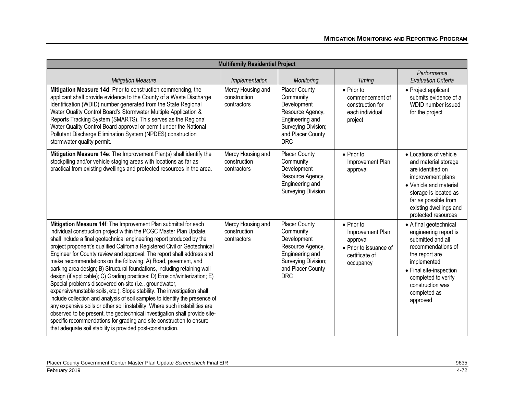| <b>Multifamily Residential Project</b>                                                                                                                                                                                                                                                                                                                                                                                                                                                                                                                                                                                                                                                                                                                                                                                                                                                                                                                                                                                                                                                                                      |                                                  |                                                                                                                                                   |                                                                                                             |                                                                                                                                                                                                                               |
|-----------------------------------------------------------------------------------------------------------------------------------------------------------------------------------------------------------------------------------------------------------------------------------------------------------------------------------------------------------------------------------------------------------------------------------------------------------------------------------------------------------------------------------------------------------------------------------------------------------------------------------------------------------------------------------------------------------------------------------------------------------------------------------------------------------------------------------------------------------------------------------------------------------------------------------------------------------------------------------------------------------------------------------------------------------------------------------------------------------------------------|--------------------------------------------------|---------------------------------------------------------------------------------------------------------------------------------------------------|-------------------------------------------------------------------------------------------------------------|-------------------------------------------------------------------------------------------------------------------------------------------------------------------------------------------------------------------------------|
| <b>Mitigation Measure</b>                                                                                                                                                                                                                                                                                                                                                                                                                                                                                                                                                                                                                                                                                                                                                                                                                                                                                                                                                                                                                                                                                                   | Implementation                                   | Monitoring                                                                                                                                        | <b>Timing</b>                                                                                               | Performance<br><b>Evaluation Criteria</b>                                                                                                                                                                                     |
| Mitigation Measure 14d: Prior to construction commencing, the<br>applicant shall provide evidence to the County of a Waste Discharge<br>Identification (WDID) number generated from the State Regional<br>Water Quality Control Board's Stormwater Multiple Application &<br>Reports Tracking System (SMARTS). This serves as the Regional<br>Water Quality Control Board approval or permit under the National<br>Pollutant Discharge Elimination System (NPDES) construction<br>stormwater quality permit.                                                                                                                                                                                                                                                                                                                                                                                                                                                                                                                                                                                                                | Mercy Housing and<br>construction<br>contractors | <b>Placer County</b><br>Community<br>Development<br>Resource Agency,<br>Engineering and<br>Surveying Division;<br>and Placer County<br><b>DRC</b> | $\bullet$ Prior to<br>commencement of<br>construction for<br>each individual<br>project                     | • Project applicant<br>submits evidence of a<br>WDID number issued<br>for the project                                                                                                                                         |
| Mitigation Measure 14e: The Improvement Plan(s) shall identify the<br>stockpiling and/or vehicle staging areas with locations as far as<br>practical from existing dwellings and protected resources in the area.                                                                                                                                                                                                                                                                                                                                                                                                                                                                                                                                                                                                                                                                                                                                                                                                                                                                                                           | Mercy Housing and<br>construction<br>contractors | Placer County<br>Community<br>Development<br>Resource Agency,<br>Engineering and<br><b>Surveying Division</b>                                     | $\bullet$ Prior to<br>Improvement Plan<br>approval                                                          | • Locations of vehicle<br>and material storage<br>are identified on<br>improvement plans<br>• Vehicle and material<br>storage is located as<br>far as possible from<br>existing dwellings and<br>protected resources          |
| Mitigation Measure 14f: The Improvement Plan submittal for each<br>individual construction project within the PCGC Master Plan Update,<br>shall include a final geotechnical engineering report produced by the<br>project proponent's qualified California Registered Civil or Geotechnical<br>Engineer for County review and approval. The report shall address and<br>make recommendations on the following: A) Road, pavement, and<br>parking area design; B) Structural foundations, including retaining wall<br>design (if applicable); C) Grading practices; D) Erosion/winterization; E)<br>Special problems discovered on-site (i.e., groundwater,<br>expansive/unstable soils, etc.); Slope stability. The investigation shall<br>include collection and analysis of soil samples to identify the presence of<br>any expansive soils or other soil instability. Where such instabilities are<br>observed to be present, the geotechnical investigation shall provide site-<br>specific recommendations for grading and site construction to ensure<br>that adequate soil stability is provided post-construction. | Mercy Housing and<br>construction<br>contractors | <b>Placer County</b><br>Community<br>Development<br>Resource Agency,<br>Engineering and<br>Surveying Division;<br>and Placer County<br><b>DRC</b> | $\bullet$ Prior to<br>Improvement Plan<br>approval<br>• Prior to issuance of<br>certificate of<br>occupancy | • A final geotechnical<br>engineering report is<br>submitted and all<br>recommendations of<br>the report are<br>implemented<br>• Final site-inspection<br>completed to verify<br>construction was<br>completed as<br>approved |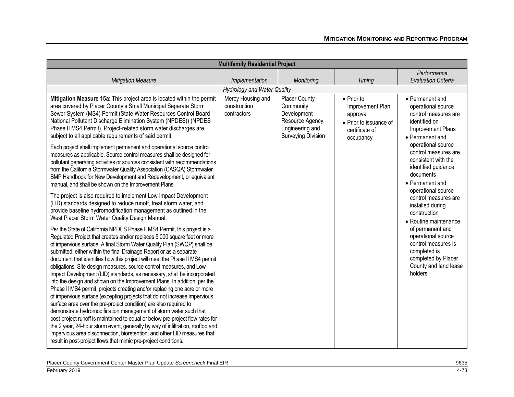| <b>Multifamily Residential Project</b>                                                                                                                                                                                                                                                                                                                                                                                                                                                                                                                                                                                                                                                                                                                                                                                                                                                                                                                                                                                                                                                                                                                                                                                                    |                                                  |                                                                                                               |                                                                                                     |                                                                                                                                                |  |  |
|-------------------------------------------------------------------------------------------------------------------------------------------------------------------------------------------------------------------------------------------------------------------------------------------------------------------------------------------------------------------------------------------------------------------------------------------------------------------------------------------------------------------------------------------------------------------------------------------------------------------------------------------------------------------------------------------------------------------------------------------------------------------------------------------------------------------------------------------------------------------------------------------------------------------------------------------------------------------------------------------------------------------------------------------------------------------------------------------------------------------------------------------------------------------------------------------------------------------------------------------|--------------------------------------------------|---------------------------------------------------------------------------------------------------------------|-----------------------------------------------------------------------------------------------------|------------------------------------------------------------------------------------------------------------------------------------------------|--|--|
|                                                                                                                                                                                                                                                                                                                                                                                                                                                                                                                                                                                                                                                                                                                                                                                                                                                                                                                                                                                                                                                                                                                                                                                                                                           |                                                  |                                                                                                               |                                                                                                     | Performance                                                                                                                                    |  |  |
| <b>Mitigation Measure</b>                                                                                                                                                                                                                                                                                                                                                                                                                                                                                                                                                                                                                                                                                                                                                                                                                                                                                                                                                                                                                                                                                                                                                                                                                 | Implementation                                   | Monitoring                                                                                                    | <b>Timing</b>                                                                                       | <b>Evaluation Criteria</b>                                                                                                                     |  |  |
|                                                                                                                                                                                                                                                                                                                                                                                                                                                                                                                                                                                                                                                                                                                                                                                                                                                                                                                                                                                                                                                                                                                                                                                                                                           | <b>Hydrology and Water Quality</b>               |                                                                                                               |                                                                                                     |                                                                                                                                                |  |  |
| Mitigation Measure 15a: This project area is located within the permit<br>area covered by Placer County's Small Municipal Separate Storm<br>Sewer System (MS4) Permit (State Water Resources Control Board<br>National Pollutant Discharge Elimination System (NPDES)) (NPDES<br>Phase II MS4 Permit). Project-related storm water discharges are<br>subject to all applicable requirements of said permit.                                                                                                                                                                                                                                                                                                                                                                                                                                                                                                                                                                                                                                                                                                                                                                                                                               | Mercy Housing and<br>construction<br>contractors | Placer County<br>Community<br>Development<br>Resource Agency,<br>Engineering and<br><b>Surveying Division</b> | • Prior to<br>Improvement Plan<br>approval<br>• Prior to issuance of<br>certificate of<br>occupancy | • Permanent and<br>operational source<br>control measures are<br>identified on<br>Improvement Plans<br>• Permanent and                         |  |  |
| Each project shall implement permanent and operational source control<br>measures as applicable. Source control measures shall be designed for<br>pollutant generating activities or sources consistent with recommendations<br>from the California Stormwater Quality Association (CASQA) Stormwater<br>BMP Handbook for New Development and Redevelopment, or equivalent<br>manual, and shall be shown on the Improvement Plans.                                                                                                                                                                                                                                                                                                                                                                                                                                                                                                                                                                                                                                                                                                                                                                                                        |                                                  |                                                                                                               |                                                                                                     | operational source<br>control measures are<br>consistent with the<br>identified guidance<br>documents<br>• Permanent and<br>operational source |  |  |
| The project is also required to implement Low Impact Development<br>(LID) standards designed to reduce runoff, treat storm water, and<br>provide baseline hydromodification management as outlined in the<br>West Placer Storm Water Quality Design Manual.                                                                                                                                                                                                                                                                                                                                                                                                                                                                                                                                                                                                                                                                                                                                                                                                                                                                                                                                                                               |                                                  |                                                                                                               |                                                                                                     | control measures are<br>installed during<br>construction<br>• Routine maintenance                                                              |  |  |
| Per the State of California NPDES Phase II MS4 Permit, this project is a<br>Regulated Project that creates and/or replaces 5,000 square feet or more<br>of impervious surface. A final Storm Water Quality Plan (SWQP) shall be<br>submitted, either within the final Drainage Report or as a separate<br>document that identifies how this project will meet the Phase II MS4 permit<br>obligations. Site design measures, source control measures, and Low<br>Impact Development (LID) standards, as necessary, shall be incorporated<br>into the design and shown on the Improvement Plans. In addition, per the<br>Phase II MS4 permit, projects creating and/or replacing one acre or more<br>of impervious surface (excepting projects that do not increase impervious<br>surface area over the pre-project condition) are also required to<br>demonstrate hydromodification management of storm water such that<br>post-project runoff is maintained to equal or below pre-project flow rates for<br>the 2 year, 24-hour storm event, generally by way of infiltration, rooftop and<br>impervious area disconnection, bioretention, and other LID measures that<br>result in post-project flows that mimic pre-project conditions. |                                                  |                                                                                                               |                                                                                                     | of permanent and<br>operational source<br>control measures is<br>completed is<br>completed by Placer<br>County and land lease<br>holders       |  |  |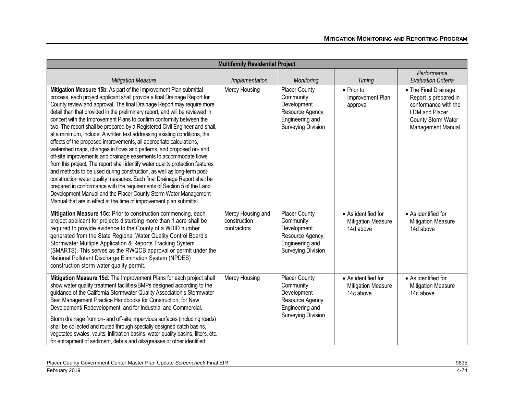| <b>Multifamily Residential Project</b>                                                                                                                                                                                                                                                                                                                                                                                                                                                                                                                                                                                                                                                                                                                                                                                                                                                                                                                                                                                                                                                                                                                                                                                       |                                                  |                                                                                                                      |                                                               |                                                                                                                                           |  |
|------------------------------------------------------------------------------------------------------------------------------------------------------------------------------------------------------------------------------------------------------------------------------------------------------------------------------------------------------------------------------------------------------------------------------------------------------------------------------------------------------------------------------------------------------------------------------------------------------------------------------------------------------------------------------------------------------------------------------------------------------------------------------------------------------------------------------------------------------------------------------------------------------------------------------------------------------------------------------------------------------------------------------------------------------------------------------------------------------------------------------------------------------------------------------------------------------------------------------|--------------------------------------------------|----------------------------------------------------------------------------------------------------------------------|---------------------------------------------------------------|-------------------------------------------------------------------------------------------------------------------------------------------|--|
| <b>Mitigation Measure</b>                                                                                                                                                                                                                                                                                                                                                                                                                                                                                                                                                                                                                                                                                                                                                                                                                                                                                                                                                                                                                                                                                                                                                                                                    | Implementation                                   | Monitoring                                                                                                           | Timing                                                        | Performance<br><b>Evaluation Criteria</b>                                                                                                 |  |
| Mitigation Measure 15b: As part of the Improvement Plan submittal<br>process, each project applicant shall provide a final Drainage Report for<br>County review and approval. The final Drainage Report may require more<br>detail than that provided in the preliminary report, and will be reviewed in<br>concert with the Improvement Plans to confirm conformity between the<br>two. The report shall be prepared by a Registered Civil Engineer and shall,<br>at a minimum, include: A written text addressing existing conditions, the<br>effects of the proposed improvements, all appropriate calculations,<br>watershed maps, changes in flows and patterns, and proposed on- and<br>off-site improvements and drainage easements to accommodate flows<br>from this project. The report shall identify water quality protection features<br>and methods to be used during construction, as well as long-term post-<br>construction water quality measures. Each final Drainage Report shall be<br>prepared in conformance with the requirements of Section 5 of the Land<br>Development Manual and the Placer County Storm Water Management<br>Manual that are in effect at the time of improvement plan submittal. | Mercy Housing                                    | Placer County<br>Community<br>Development<br>Resource Agency,<br>Engineering and<br><b>Surveying Division</b>        | • Prior to<br>Improvement Plan<br>approval                    | • The Final Drainage<br>Report is prepared in<br>conformance with the<br><b>LDM</b> and Placer<br>County Storm Water<br>Management Manual |  |
| Mitigation Measure 15c: Prior to construction commencing, each<br>project applicant for projects disturbing more than 1 acre shall be<br>required to provide evidence to the County of a WDID number<br>generated from the State Regional Water Quality Control Board's<br>Stormwater Multiple Application & Reports Tracking System<br>(SMARTS). This serves as the RWQCB approval or permit under the<br>National Pollutant Discharge Elimination System (NPDES)<br>construction storm water quality permit.                                                                                                                                                                                                                                                                                                                                                                                                                                                                                                                                                                                                                                                                                                               | Mercy Housing and<br>construction<br>contractors | <b>Placer County</b><br>Community<br>Development<br>Resource Agency,<br>Engineering and<br><b>Surveying Division</b> | • As identified for<br><b>Mitigation Measure</b><br>14d above | • As identified for<br><b>Mitigation Measure</b><br>14d above                                                                             |  |
| Mitigation Measure 15d: The Improvement Plans for each project shall<br>show water quality treatment facilities/BMPs designed according to the<br>guidance of the California Stormwater Quality Association's Stormwater<br>Best Management Practice Handbooks for Construction, for New<br>Development/ Redevelopment, and for Industrial and Commercial.<br>Storm drainage from on- and off-site impervious surfaces (including roads)<br>shall be collected and routed through specially designed catch basins,<br>vegetated swales, vaults, infiltration basins, water quality basins, filters, etc.<br>for entrapment of sediment, debris and oils/greases or other identified                                                                                                                                                                                                                                                                                                                                                                                                                                                                                                                                          | Mercy Housing                                    | Placer County<br>Community<br>Development<br>Resource Agency,<br>Engineering and<br><b>Surveying Division</b>        | • As identified for<br><b>Mitigation Measure</b><br>14c above | • As identified for<br><b>Mitigation Measure</b><br>14c above                                                                             |  |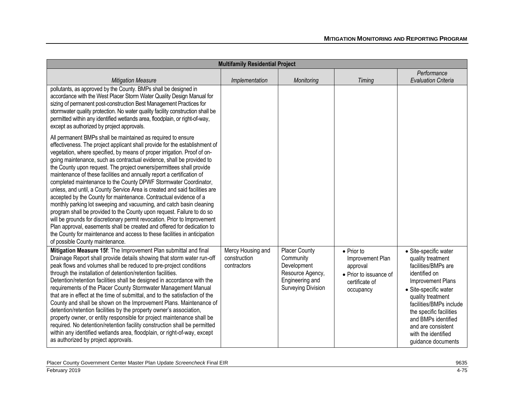| <b>Multifamily Residential Project</b>                                                                                                                                                                                                                                                                                                                                                                                                                                                                                                                                                                                                                                                                                                                                                                                                                                                                                                                                                                                                                                                               |                                                  |                                                                                                                      |                                                                                                     |                                                                                                                                                                                                                                                                                                       |  |
|------------------------------------------------------------------------------------------------------------------------------------------------------------------------------------------------------------------------------------------------------------------------------------------------------------------------------------------------------------------------------------------------------------------------------------------------------------------------------------------------------------------------------------------------------------------------------------------------------------------------------------------------------------------------------------------------------------------------------------------------------------------------------------------------------------------------------------------------------------------------------------------------------------------------------------------------------------------------------------------------------------------------------------------------------------------------------------------------------|--------------------------------------------------|----------------------------------------------------------------------------------------------------------------------|-----------------------------------------------------------------------------------------------------|-------------------------------------------------------------------------------------------------------------------------------------------------------------------------------------------------------------------------------------------------------------------------------------------------------|--|
| <b>Mitigation Measure</b>                                                                                                                                                                                                                                                                                                                                                                                                                                                                                                                                                                                                                                                                                                                                                                                                                                                                                                                                                                                                                                                                            | Implementation                                   | Monitoring                                                                                                           | <b>Timing</b>                                                                                       | Performance<br><b>Evaluation Criteria</b>                                                                                                                                                                                                                                                             |  |
| pollutants, as approved by the County. BMPs shall be designed in<br>accordance with the West Placer Storm Water Quality Design Manual for<br>sizing of permanent post-construction Best Management Practices for<br>stormwater quality protection. No water quality facility construction shall be<br>permitted within any identified wetlands area, floodplain, or right-of-way,<br>except as authorized by project approvals.                                                                                                                                                                                                                                                                                                                                                                                                                                                                                                                                                                                                                                                                      |                                                  |                                                                                                                      |                                                                                                     |                                                                                                                                                                                                                                                                                                       |  |
| All permanent BMPs shall be maintained as required to ensure<br>effectiveness. The project applicant shall provide for the establishment of<br>vegetation, where specified, by means of proper irrigation. Proof of on-<br>going maintenance, such as contractual evidence, shall be provided to<br>the County upon request. The project owners/permittees shall provide<br>maintenance of these facilities and annually report a certification of<br>completed maintenance to the County DPWF Stormwater Coordinator,<br>unless, and until, a County Service Area is created and said facilities are<br>accepted by the County for maintenance. Contractual evidence of a<br>monthly parking lot sweeping and vacuuming, and catch basin cleaning<br>program shall be provided to the County upon request. Failure to do so<br>will be grounds for discretionary permit revocation. Prior to Improvement<br>Plan approval, easements shall be created and offered for dedication to<br>the County for maintenance and access to these facilities in anticipation<br>of possible County maintenance. |                                                  |                                                                                                                      |                                                                                                     |                                                                                                                                                                                                                                                                                                       |  |
| Mitigation Measure 15f: The Improvement Plan submittal and final<br>Drainage Report shall provide details showing that storm water run-off<br>peak flows and volumes shall be reduced to pre-project conditions<br>through the installation of detention/retention facilities.<br>Detention/retention facilities shall be designed in accordance with the<br>requirements of the Placer County Stormwater Management Manual<br>that are in effect at the time of submittal, and to the satisfaction of the<br>County and shall be shown on the Improvement Plans. Maintenance of<br>detention/retention facilities by the property owner's association,<br>property owner, or entity responsible for project maintenance shall be<br>required. No detention/retention facility construction shall be permitted<br>within any identified wetlands area, floodplain, or right-of-way, except<br>as authorized by project approvals.                                                                                                                                                                    | Mercy Housing and<br>construction<br>contractors | <b>Placer County</b><br>Community<br>Development<br>Resource Agency,<br>Engineering and<br><b>Surveying Division</b> | • Prior to<br>Improvement Plan<br>approval<br>• Prior to issuance of<br>certificate of<br>occupancy | · Site-specific water<br>quality treatment<br>facilities/BMPs are<br>identified on<br>Improvement Plans<br>· Site-specific water<br>quality treatment<br>facilities/BMPs include<br>the specific facilities<br>and BMPs identified<br>and are consistent<br>with the identified<br>guidance documents |  |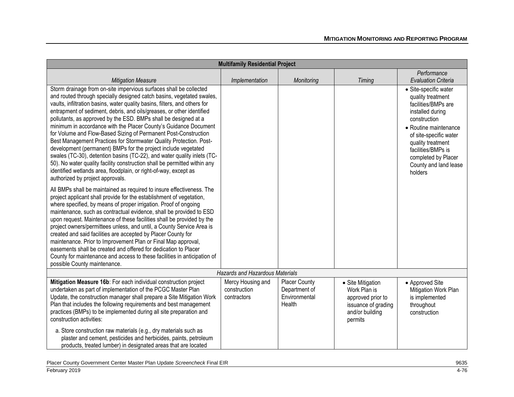| <b>Multifamily Residential Project</b>                                                                                                                                                                                                                                                                                                                                                                                                                                                                                                                                                                                                                                                                                                                                                                                                                                                                               |                                                  |                                                                  |                                                                                                             |                                                                                                                                                                                                                                                                |  |
|----------------------------------------------------------------------------------------------------------------------------------------------------------------------------------------------------------------------------------------------------------------------------------------------------------------------------------------------------------------------------------------------------------------------------------------------------------------------------------------------------------------------------------------------------------------------------------------------------------------------------------------------------------------------------------------------------------------------------------------------------------------------------------------------------------------------------------------------------------------------------------------------------------------------|--------------------------------------------------|------------------------------------------------------------------|-------------------------------------------------------------------------------------------------------------|----------------------------------------------------------------------------------------------------------------------------------------------------------------------------------------------------------------------------------------------------------------|--|
| <b>Mitigation Measure</b>                                                                                                                                                                                                                                                                                                                                                                                                                                                                                                                                                                                                                                                                                                                                                                                                                                                                                            | Implementation                                   | Monitoring                                                       | <b>Timing</b>                                                                                               | Performance<br><b>Evaluation Criteria</b>                                                                                                                                                                                                                      |  |
| Storm drainage from on-site impervious surfaces shall be collected<br>and routed through specially designed catch basins, vegetated swales,<br>vaults, infiltration basins, water quality basins, filters, and others for<br>entrapment of sediment, debris, and oils/greases, or other identified<br>pollutants, as approved by the ESD. BMPs shall be designed at a<br>minimum in accordance with the Placer County's Guidance Document<br>for Volume and Flow-Based Sizing of Permanent Post-Construction<br>Best Management Practices for Stormwater Quality Protection. Post-<br>development (permanent) BMPs for the project include vegetated<br>swales (TC-30), detention basins (TC-22), and water quality inlets (TC-<br>50). No water quality facility construction shall be permitted within any<br>identified wetlands area, floodplain, or right-of-way, except as<br>authorized by project approvals. |                                                  |                                                                  |                                                                                                             | · Site-specific water<br>quality treatment<br>facilities/BMPs are<br>installed during<br>construction<br>• Routine maintenance<br>of site-specific water<br>quality treatment<br>facilities/BMPs is<br>completed by Placer<br>County and land lease<br>holders |  |
| All BMPs shall be maintained as required to insure effectiveness. The<br>project applicant shall provide for the establishment of vegetation,<br>where specified, by means of proper irrigation. Proof of ongoing<br>maintenance, such as contractual evidence, shall be provided to ESD<br>upon request. Maintenance of these facilities shall be provided by the<br>project owners/permittees unless, and until, a County Service Area is<br>created and said facilities are accepted by Placer County for<br>maintenance. Prior to Improvement Plan or Final Map approval,<br>easements shall be created and offered for dedication to Placer<br>County for maintenance and access to these facilities in anticipation of<br>possible County maintenance.                                                                                                                                                         |                                                  |                                                                  |                                                                                                             |                                                                                                                                                                                                                                                                |  |
| <b>Hazards and Hazardous Materials</b>                                                                                                                                                                                                                                                                                                                                                                                                                                                                                                                                                                                                                                                                                                                                                                                                                                                                               |                                                  |                                                                  |                                                                                                             |                                                                                                                                                                                                                                                                |  |
| Mitigation Measure 16b: For each individual construction project<br>undertaken as part of implementation of the PCGC Master Plan<br>Update, the construction manager shall prepare a Site Mitigation Work<br>Plan that includes the following requirements and best management<br>practices (BMPs) to be implemented during all site preparation and<br>construction activities:<br>a. Store construction raw materials (e.g., dry materials such as<br>plaster and cement, pesticides and herbicides, paints, petroleum<br>products, treated lumber) in designated areas that are located                                                                                                                                                                                                                                                                                                                           | Mercy Housing and<br>construction<br>contractors | <b>Placer County</b><br>Department of<br>Environmental<br>Health | • Site Mitigation<br>Work Plan is<br>approved prior to<br>issuance of grading<br>and/or building<br>permits | • Approved Site<br>Mitigation Work Plan<br>is implemented<br>throughout<br>construction                                                                                                                                                                        |  |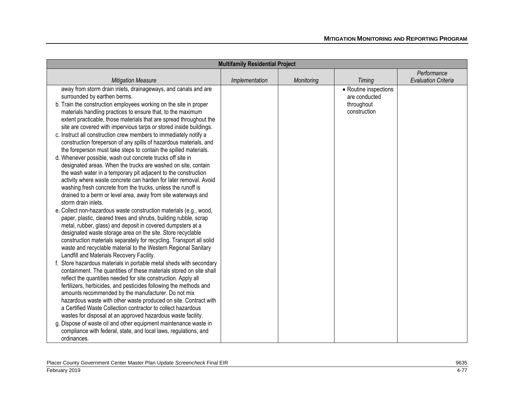| <b>Multifamily Residential Project</b>                                                                                                                                                                                                                                                                                                                                                                                                                                                                                                                                                                                                                                                              |                |            |                                                                      |                            |  |
|-----------------------------------------------------------------------------------------------------------------------------------------------------------------------------------------------------------------------------------------------------------------------------------------------------------------------------------------------------------------------------------------------------------------------------------------------------------------------------------------------------------------------------------------------------------------------------------------------------------------------------------------------------------------------------------------------------|----------------|------------|----------------------------------------------------------------------|----------------------------|--|
|                                                                                                                                                                                                                                                                                                                                                                                                                                                                                                                                                                                                                                                                                                     |                |            |                                                                      | Performance                |  |
| <b>Mitigation Measure</b>                                                                                                                                                                                                                                                                                                                                                                                                                                                                                                                                                                                                                                                                           | Implementation | Monitoring | <b>Timing</b>                                                        | <b>Evaluation Criteria</b> |  |
| away from storm drain inlets, drainageways, and canals and are<br>surrounded by earthen berms.<br>b. Train the construction employees working on the site in proper<br>materials handling practices to ensure that, to the maximum<br>extent practicable, those materials that are spread throughout the<br>site are covered with impervious tarps or stored inside buildings.<br>c. Instruct all construction crew members to immediately notify a                                                                                                                                                                                                                                                 |                |            | • Routine inspections<br>are conducted<br>throughout<br>construction |                            |  |
| construction foreperson of any spills of hazardous materials, and<br>the foreperson must take steps to contain the spilled materials.<br>d. Whenever possible, wash out concrete trucks off site in<br>designated areas. When the trucks are washed on site, contain<br>the wash water in a temporary pit adjacent to the construction<br>activity where waste concrete can harden for later removal. Avoid<br>washing fresh concrete from the trucks, unless the runoff is<br>drained to a berm or level area, away from site waterways and<br>storm drain inlets.                                                                                                                                 |                |            |                                                                      |                            |  |
| e. Collect non-hazardous waste construction materials (e.g., wood,<br>paper, plastic, cleared trees and shrubs, building rubble, scrap<br>metal, rubber, glass) and deposit in covered dumpsters at a<br>designated waste storage area on the site. Store recyclable<br>construction materials separately for recycling. Transport all solid<br>waste and recyclable material to the Western Regional Sanitary<br>Landfill and Materials Recovery Facility.                                                                                                                                                                                                                                         |                |            |                                                                      |                            |  |
| f. Store hazardous materials in portable metal sheds with secondary<br>containment. The quantities of these materials stored on site shall<br>reflect the quantities needed for site construction. Apply all<br>fertilizers, herbicides, and pesticides following the methods and<br>amounts recommended by the manufacturer. Do not mix<br>hazardous waste with other waste produced on site. Contract with<br>a Certified Waste Collection contractor to collect hazardous<br>wastes for disposal at an approved hazardous waste facility.<br>g. Dispose of waste oil and other equipment maintenance waste in<br>compliance with federal, state, and local laws, regulations, and<br>ordinances. |                |            |                                                                      |                            |  |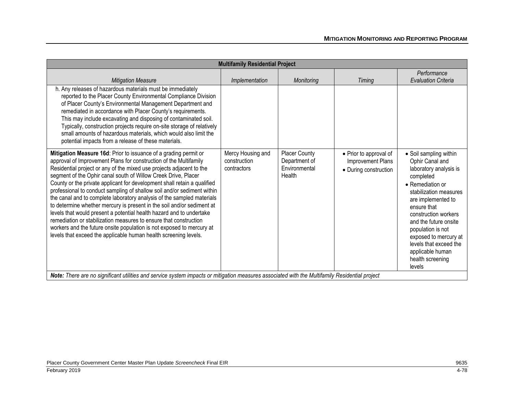| <b>Multifamily Residential Project</b>                                                                                                                                                                                                                                                                                                                                                                                                                                                                                                                                                                                                                                                                                                                                                                                                                                               |                                                  |                                                                  |                                                                      |                                                                                                                                                                                                                                                                                                                                                |
|--------------------------------------------------------------------------------------------------------------------------------------------------------------------------------------------------------------------------------------------------------------------------------------------------------------------------------------------------------------------------------------------------------------------------------------------------------------------------------------------------------------------------------------------------------------------------------------------------------------------------------------------------------------------------------------------------------------------------------------------------------------------------------------------------------------------------------------------------------------------------------------|--------------------------------------------------|------------------------------------------------------------------|----------------------------------------------------------------------|------------------------------------------------------------------------------------------------------------------------------------------------------------------------------------------------------------------------------------------------------------------------------------------------------------------------------------------------|
| <b>Mitigation Measure</b>                                                                                                                                                                                                                                                                                                                                                                                                                                                                                                                                                                                                                                                                                                                                                                                                                                                            | Implementation                                   | <b>Monitoring</b>                                                | <b>Timing</b>                                                        | Performance<br><b>Evaluation Criteria</b>                                                                                                                                                                                                                                                                                                      |
| h. Any releases of hazardous materials must be immediately<br>reported to the Placer County Environmental Compliance Division<br>of Placer County's Environmental Management Department and<br>remediated in accordance with Placer County's requirements.<br>This may include excavating and disposing of contaminated soil.<br>Typically, construction projects require on-site storage of relatively<br>small amounts of hazardous materials, which would also limit the<br>potential impacts from a release of these materials.                                                                                                                                                                                                                                                                                                                                                  |                                                  |                                                                  |                                                                      |                                                                                                                                                                                                                                                                                                                                                |
| Mitigation Measure 16d: Prior to issuance of a grading permit or<br>approval of Improvement Plans for construction of the Multifamily<br>Residential project or any of the mixed use projects adjacent to the<br>segment of the Ophir canal south of Willow Creek Drive, Placer<br>County or the private applicant for development shall retain a qualified<br>professional to conduct sampling of shallow soil and/or sediment within<br>the canal and to complete laboratory analysis of the sampled materials<br>to determine whether mercury is present in the soil and/or sediment at<br>levels that would present a potential health hazard and to undertake<br>remediation or stabilization measures to ensure that construction<br>workers and the future onsite population is not exposed to mercury at<br>levels that exceed the applicable human health screening levels. | Mercy Housing and<br>construction<br>contractors | <b>Placer County</b><br>Department of<br>Environmental<br>Health | • Prior to approval of<br>Improvement Plans<br>• During construction | • Soil sampling within<br>Ophir Canal and<br>laboratory analysis is<br>completed<br>• Remediation or<br>stabilization measures<br>are implemented to<br>ensure that<br>construction workers<br>and the future onsite<br>population is not<br>exposed to mercury at<br>levels that exceed the<br>applicable human<br>health screening<br>levels |